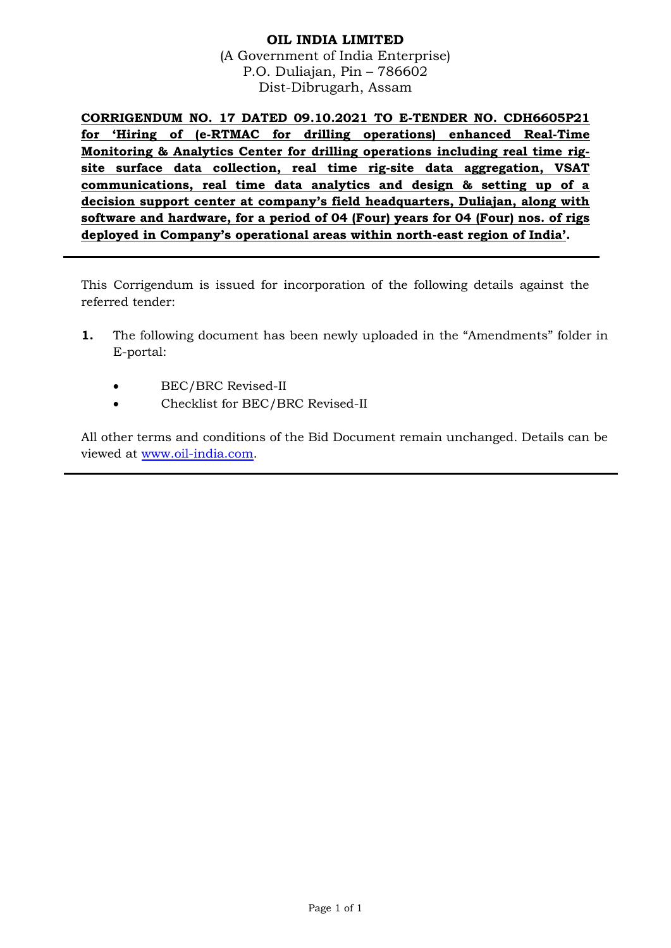## **OIL INDIA LIMITED** (A Government of India Enterprise) P.O. Duliajan, Pin – 786602 Dist-Dibrugarh, Assam

**CORRIGENDUM NO. 17 DATED 09.10.2021 TO E-TENDER NO. CDH6605P21 for 'Hiring of (e-RTMAC for drilling operations) enhanced Real-Time Monitoring & Analytics Center for drilling operations including real time rigsite surface data collection, real time rig-site data aggregation, VSAT communications, real time data analytics and design & setting up of a decision support center at company's field headquarters, Duliajan, along with software and hardware, for a period of 04 (Four) years for 04 (Four) nos. of rigs deployed in Company's operational areas within north-east region of India'.**

This Corrigendum is issued for incorporation of the following details against the referred tender:

- **1.** The following document has been newly uploaded in the "Amendments" folder in E-portal:
	- BEC/BRC Revised-II
	- Checklist for BEC/BRC Revised-II

All other terms and conditions of the Bid Document remain unchanged. Details can be viewed at [www.oil-india.com.](http://www.oil-india.com/)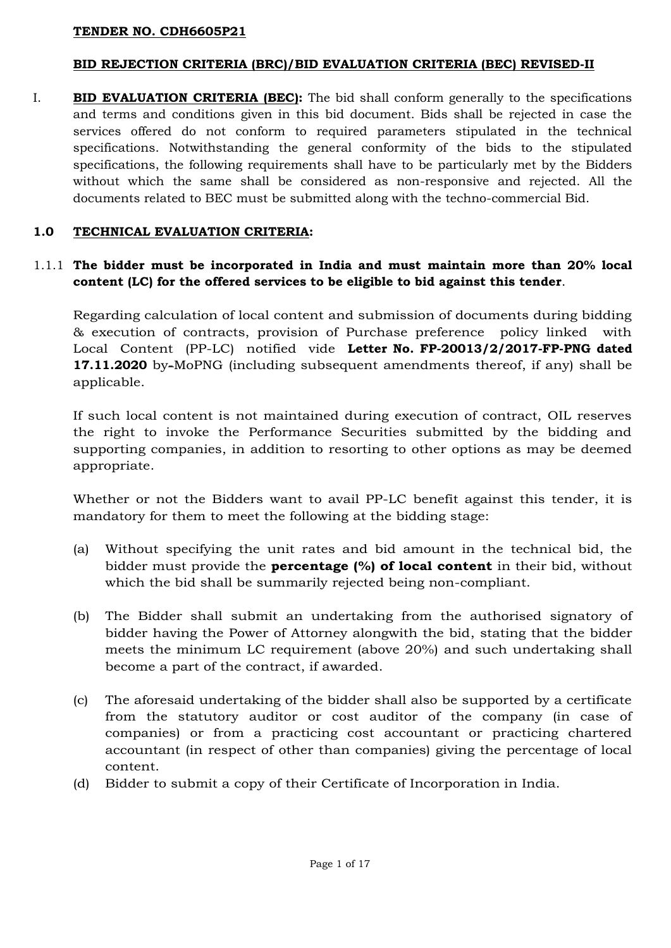### **BID REJECTION CRITERIA (BRC)/BID EVALUATION CRITERIA (BEC) REVISED-II**

I. **BID EVALUATION CRITERIA (BEC):** The bid shall conform generally to the specifications and terms and conditions given in this bid document. Bids shall be rejected in case the services offered do not conform to required parameters stipulated in the technical specifications. Notwithstanding the general conformity of the bids to the stipulated specifications, the following requirements shall have to be particularly met by the Bidders without which the same shall be considered as non-responsive and rejected. All the documents related to BEC must be submitted along with the techno-commercial Bid.

## **1.0 TECHNICAL EVALUATION CRITERIA:**

# 1.1.1 **The bidder must be incorporated in India and must maintain more than 20% local content (LC) for the offered services to be eligible to bid against this tender**.

Regarding calculation of local content and submission of documents during bidding & execution of contracts, provision of Purchase preference policy linked with Local Content (PP-LC) notified vide **Letter No. FP-20013/2/2017-FP-PNG dated 17.11.2020** by-MoPNG (including subsequent amendments thereof, if any) shall be applicable.

If such local content is not maintained during execution of contract, OIL reserves the right to invoke the Performance Securities submitted by the bidding and supporting companies, in addition to resorting to other options as may be deemed appropriate.

Whether or not the Bidders want to avail PP-LC benefit against this tender, it is mandatory for them to meet the following at the bidding stage:

- (a) Without specifying the unit rates and bid amount in the technical bid, the bidder must provide the **percentage (%) of local content** in their bid, without which the bid shall be summarily rejected being non-compliant.
- (b) The Bidder shall submit an undertaking from the authorised signatory of bidder having the Power of Attorney alongwith the bid, stating that the bidder meets the minimum LC requirement (above 20%) and such undertaking shall become a part of the contract, if awarded.
- (c) The aforesaid undertaking of the bidder shall also be supported by a certificate from the statutory auditor or cost auditor of the company (in case of companies) or from a practicing cost accountant or practicing chartered accountant (in respect of other than companies) giving the percentage of local content.
- (d) Bidder to submit a copy of their Certificate of Incorporation in India.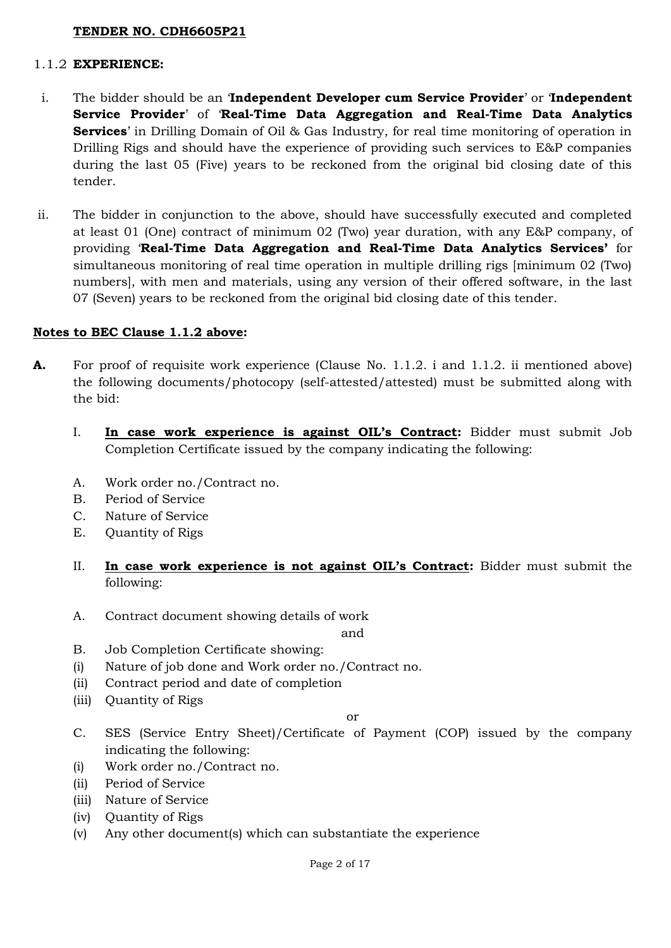#### 1.1.2 **EXPERIENCE:**

- i. The bidder should be an '**Independent Developer cum Service Provider**' or '**Independent Service Provider**' of '**Real-Time Data Aggregation and Real-Time Data Analytics Services**' in Drilling Domain of Oil & Gas Industry, for real time monitoring of operation in Drilling Rigs and should have the experience of providing such services to E&P companies during the last 05 (Five) years to be reckoned from the original bid closing date of this tender.
- ii. The bidder in conjunction to the above, should have successfully executed and completed at least 01 (One) contract of minimum 02 (Two) year duration, with any E&P company, of providing '**Real-Time Data Aggregation and Real-Time Data Analytics Services'** for simultaneous monitoring of real time operation in multiple drilling rigs [minimum 02 (Two) numbers], with men and materials, using any version of their offered software, in the last 07 (Seven) years to be reckoned from the original bid closing date of this tender.

### **Notes to BEC Clause 1.1.2 above:**

- **A.** For proof of requisite work experience (Clause No. 1.1.2. i and 1.1.2. ii mentioned above) the following documents/photocopy (self-attested/attested) must be submitted along with the bid:
	- I. **In case work experience is against OIL's Contract:** Bidder must submit Job Completion Certificate issued by the company indicating the following:
	- A. Work order no./Contract no.
	- B. Period of Service
	- C. Nature of Service
	- E. Quantity of Rigs
	- II. **In case work experience is not against OIL's Contract:** Bidder must submit the following:
	- A. Contract document showing details of work

and

- B. Job Completion Certificate showing:
- (i) Nature of job done and Work order no./Contract no.
- (ii) Contract period and date of completion
- (iii) Quantity of Rigs

or

- C. SES (Service Entry Sheet)/Certificate of Payment (COP) issued by the company indicating the following:
- (i) Work order no./Contract no.
- (ii) Period of Service
- (iii) Nature of Service
- (iv) Quantity of Rigs
- (v) Any other document(s) which can substantiate the experience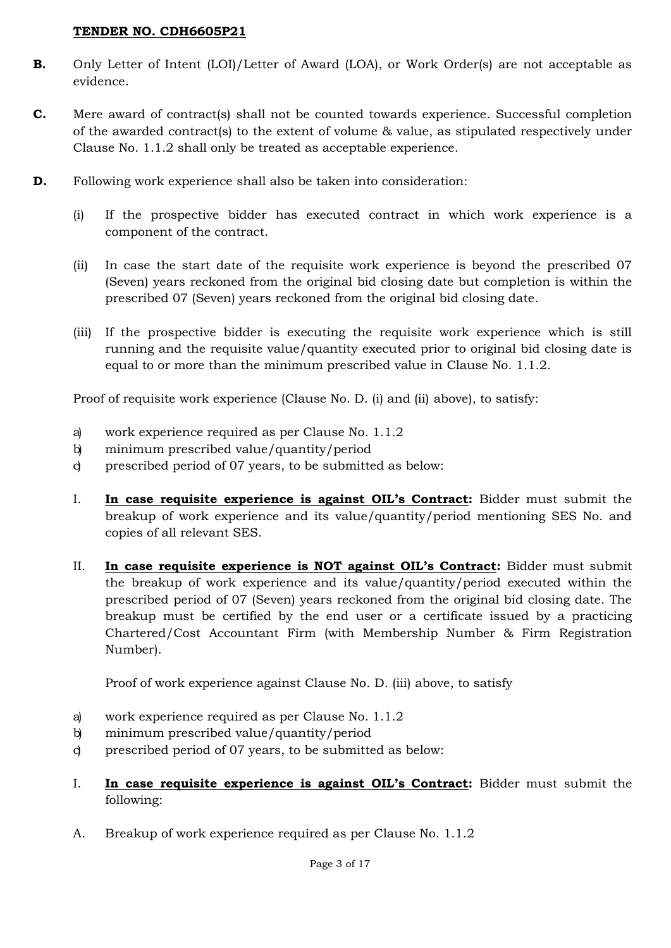- **B.** Only Letter of Intent (LOI)/Letter of Award (LOA), or Work Order(s) are not acceptable as evidence.
- **C.** Mere award of contract(s) shall not be counted towards experience. Successful completion of the awarded contract(s) to the extent of volume & value, as stipulated respectively under Clause No. 1.1.2 shall only be treated as acceptable experience.
- **D.** Following work experience shall also be taken into consideration:
	- (i) If the prospective bidder has executed contract in which work experience is a component of the contract.
	- (ii) In case the start date of the requisite work experience is beyond the prescribed 07 (Seven) years reckoned from the original bid closing date but completion is within the prescribed 07 (Seven) years reckoned from the original bid closing date.
	- (iii) If the prospective bidder is executing the requisite work experience which is still running and the requisite value/quantity executed prior to original bid closing date is equal to or more than the minimum prescribed value in Clause No. 1.1.2.

Proof of requisite work experience (Clause No. D. (i) and (ii) above), to satisfy:

- a) work experience required as per Clause No. 1.1.2
- b) minimum prescribed value/quantity/period
- c) prescribed period of 07 years, to be submitted as below:
- I. **In case requisite experience is against OIL's Contract:** Bidder must submit the breakup of work experience and its value/quantity/period mentioning SES No. and copies of all relevant SES.
- II. **In case requisite experience is NOT against OIL's Contract:** Bidder must submit the breakup of work experience and its value/quantity/period executed within the prescribed period of 07 (Seven) years reckoned from the original bid closing date. The breakup must be certified by the end user or a certificate issued by a practicing Chartered/Cost Accountant Firm (with Membership Number & Firm Registration Number).

Proof of work experience against Clause No. D. (iii) above, to satisfy

- a) work experience required as per Clause No. 1.1.2
- b) minimum prescribed value/quantity/period
- c) prescribed period of 07 years, to be submitted as below:
- I. **In case requisite experience is against OIL's Contract:** Bidder must submit the following:
- A. Breakup of work experience required as per Clause No. 1.1.2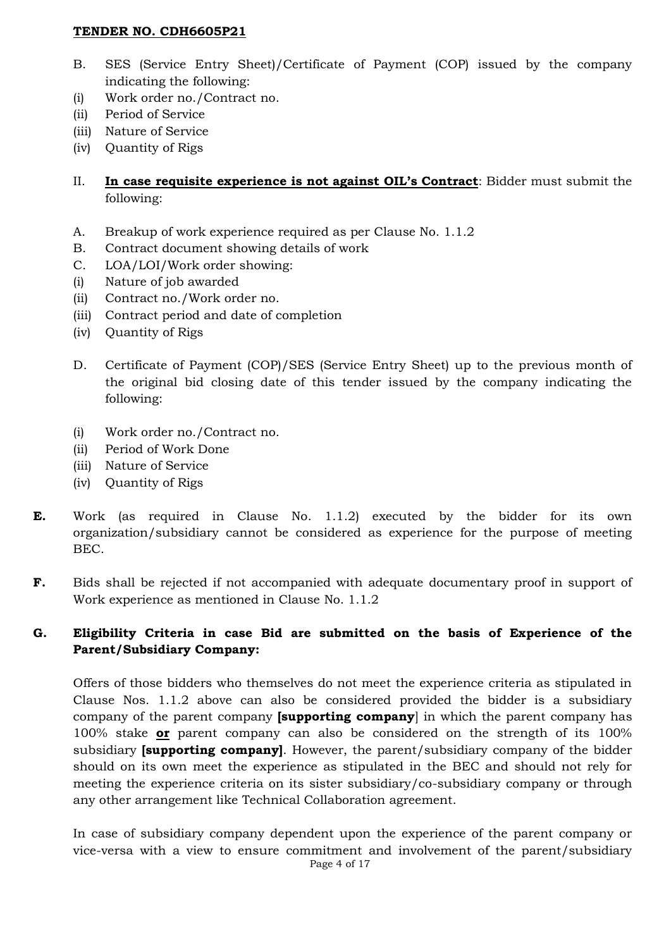- B. SES (Service Entry Sheet)/Certificate of Payment (COP) issued by the company indicating the following:
- (i) Work order no./Contract no.
- (ii) Period of Service
- (iii) Nature of Service
- (iv) Quantity of Rigs
- II. **In case requisite experience is not against OIL's Contract**: Bidder must submit the following:
- A. Breakup of work experience required as per Clause No. 1.1.2
- B. Contract document showing details of work
- C. LOA/LOI/Work order showing:
- (i) Nature of job awarded
- (ii) Contract no./Work order no.
- (iii) Contract period and date of completion
- (iv) Quantity of Rigs
- D. Certificate of Payment (COP)/SES (Service Entry Sheet) up to the previous month of the original bid closing date of this tender issued by the company indicating the following:
- (i) Work order no./Contract no.
- (ii) Period of Work Done
- (iii) Nature of Service
- (iv) Quantity of Rigs
- **E.** Work (as required in Clause No. 1.1.2) executed by the bidder for its own organization/subsidiary cannot be considered as experience for the purpose of meeting BEC.
- **F.** Bids shall be rejected if not accompanied with adequate documentary proof in support of Work experience as mentioned in Clause No. 1.1.2

## **G. Eligibility Criteria in case Bid are submitted on the basis of Experience of the Parent/Subsidiary Company:**

Offers of those bidders who themselves do not meet the experience criteria as stipulated in Clause Nos. 1.1.2 above can also be considered provided the bidder is a subsidiary company of the parent company **[supporting company**] in which the parent company has 100% stake **or** parent company can also be considered on the strength of its 100% subsidiary **[supporting company]**. However, the parent/subsidiary company of the bidder should on its own meet the experience as stipulated in the BEC and should not rely for meeting the experience criteria on its sister subsidiary/co-subsidiary company or through any other arrangement like Technical Collaboration agreement.

In case of subsidiary company dependent upon the experience of the parent company or vice-versa with a view to ensure commitment and involvement of the parent/subsidiary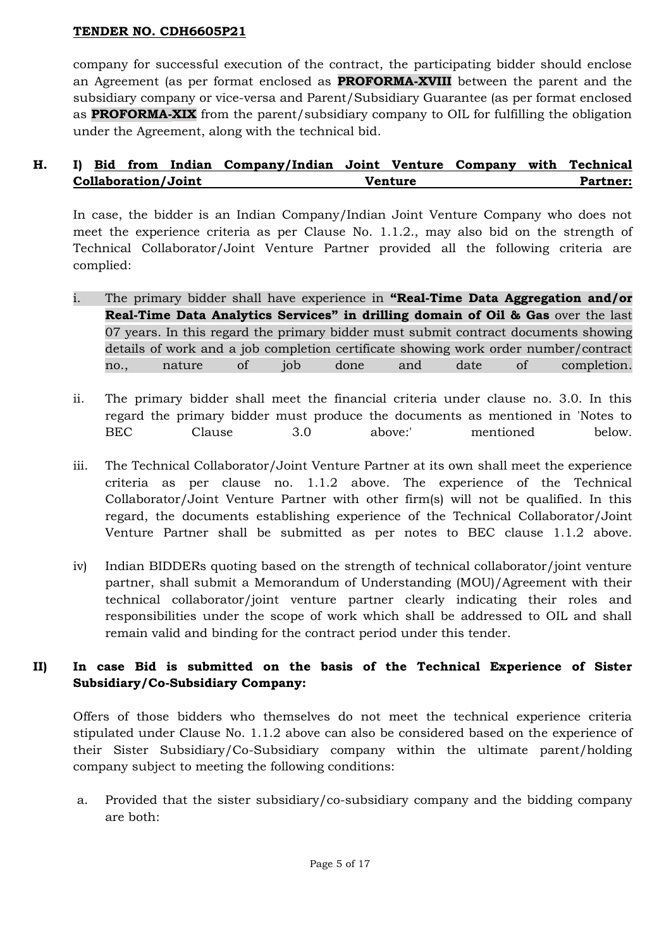company for successful execution of the contract, the participating bidder should enclose an Agreement (as per format enclosed as **PROFORMA-XVIII** between the parent and the subsidiary company or vice-versa and Parent/Subsidiary Guarantee (as per format enclosed as **PROFORMA-XIX** from the parent/subsidiary company to OIL for fulfilling the obligation under the Agreement, along with the technical bid.

# **H. I) Bid from Indian Company/Indian Joint Venture Company with Technical Collaboration/Joint Venture Partner:**

In case, the bidder is an Indian Company/Indian Joint Venture Company who does not meet the experience criteria as per Clause No. 1.1.2., may also bid on the strength of Technical Collaborator/Joint Venture Partner provided all the following criteria are complied:

- i. The primary bidder shall have experience in **"Real-Time Data Aggregation and/or Real-Time Data Analytics Services" in drilling domain of Oil & Gas** over the last 07 years. In this regard the primary bidder must submit contract documents showing details of work and a job completion certificate showing work order number/contract no., nature of job done and date of completion.
- ii. The primary bidder shall meet the financial criteria under clause no. 3.0. In this regard the primary bidder must produce the documents as mentioned in 'Notes to BEC Clause 3.0 above:' mentioned below.
- iii. The Technical Collaborator/Joint Venture Partner at its own shall meet the experience criteria as per clause no. 1.1.2 above. The experience of the Technical Collaborator/Joint Venture Partner with other firm(s) will not be qualified. In this regard, the documents establishing experience of the Technical Collaborator/Joint Venture Partner shall be submitted as per notes to BEC clause 1.1.2 above.
- iv) Indian BIDDERs quoting based on the strength of technical collaborator/joint venture partner, shall submit a Memorandum of Understanding (MOU)/Agreement with their technical collaborator/joint venture partner clearly indicating their roles and responsibilities under the scope of work which shall be addressed to OIL and shall remain valid and binding for the contract period under this tender.

# **II) In case Bid is submitted on the basis of the Technical Experience of Sister Subsidiary/Co-Subsidiary Company:**

Offers of those bidders who themselves do not meet the technical experience criteria stipulated under Clause No. 1.1.2 above can also be considered based on the experience of their Sister Subsidiary/Co-Subsidiary company within the ultimate parent/holding company subject to meeting the following conditions:

a. Provided that the sister subsidiary/co-subsidiary company and the bidding company are both: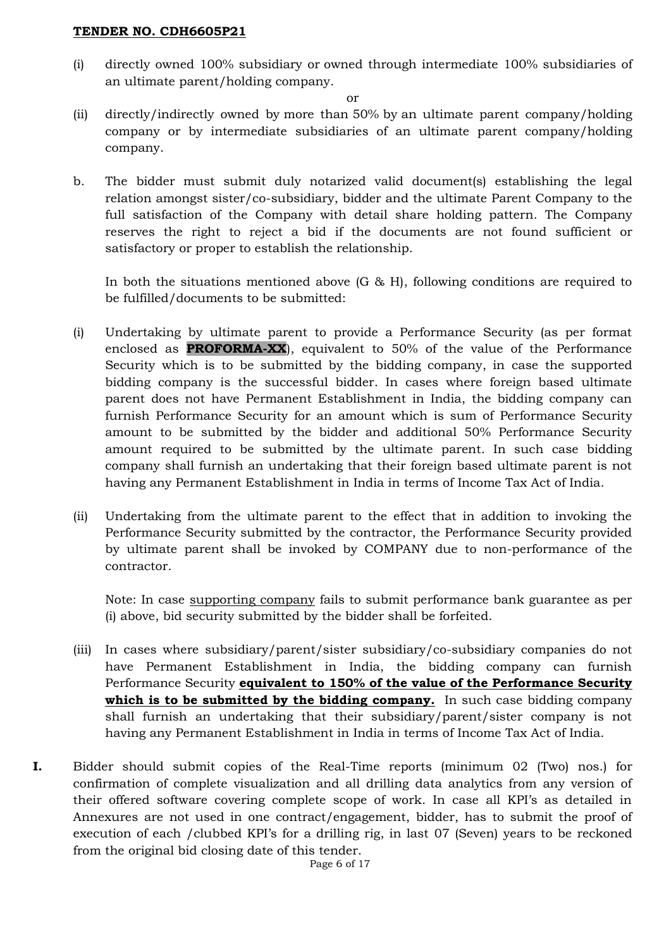(i) directly owned 100% subsidiary or owned through intermediate 100% subsidiaries of an ultimate parent/holding company.

or

- (ii) directly/indirectly owned by more than 50% by an ultimate parent company/holding company or by intermediate subsidiaries of an ultimate parent company/holding company.
- b. The bidder must submit duly notarized valid document(s) establishing the legal relation amongst sister/co-subsidiary, bidder and the ultimate Parent Company to the full satisfaction of the Company with detail share holding pattern. The Company reserves the right to reject a bid if the documents are not found sufficient or satisfactory or proper to establish the relationship.

In both the situations mentioned above (G & H), following conditions are required to be fulfilled/documents to be submitted:

- (i) Undertaking by ultimate parent to provide a Performance Security (as per format enclosed as **PROFORMA-XX**), equivalent to 50% of the value of the Performance Security which is to be submitted by the bidding company, in case the supported bidding company is the successful bidder. In cases where foreign based ultimate parent does not have Permanent Establishment in India, the bidding company can furnish Performance Security for an amount which is sum of Performance Security amount to be submitted by the bidder and additional 50% Performance Security amount required to be submitted by the ultimate parent. In such case bidding company shall furnish an undertaking that their foreign based ultimate parent is not having any Permanent Establishment in India in terms of Income Tax Act of India.
- (ii) Undertaking from the ultimate parent to the effect that in addition to invoking the Performance Security submitted by the contractor, the Performance Security provided by ultimate parent shall be invoked by COMPANY due to non-performance of the contractor.

Note: In case supporting company fails to submit performance bank guarantee as per (i) above, bid security submitted by the bidder shall be forfeited.

- (iii) In cases where subsidiary/parent/sister subsidiary/co-subsidiary companies do not have Permanent Establishment in India, the bidding company can furnish Performance Security **equivalent to 150% of the value of the Performance Security**  which is to be submitted by the bidding company. In such case bidding company shall furnish an undertaking that their subsidiary/parent/sister company is not having any Permanent Establishment in India in terms of Income Tax Act of India.
- **I.** Bidder should submit copies of the Real-Time reports (minimum 02 (Two) nos.) for confirmation of complete visualization and all drilling data analytics from any version of their offered software covering complete scope of work. In case all KPI's as detailed in Annexures are not used in one contract/engagement, bidder, has to submit the proof of execution of each /clubbed KPI's for a drilling rig, in last 07 (Seven) years to be reckoned from the original bid closing date of this tender.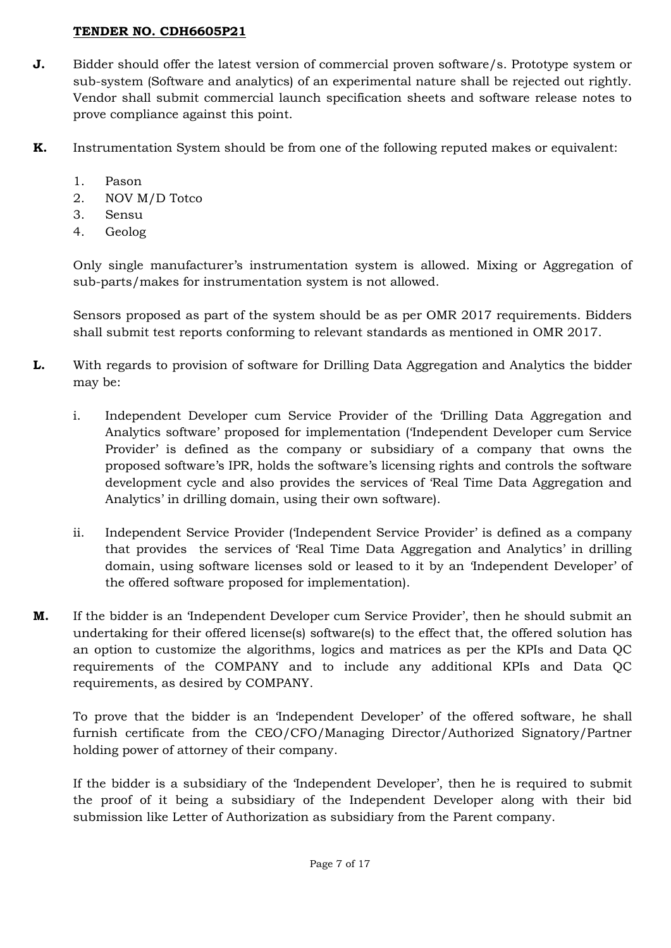- **J.** Bidder should offer the latest version of commercial proven software/s. Prototype system or sub-system (Software and analytics) of an experimental nature shall be rejected out rightly. Vendor shall submit commercial launch specification sheets and software release notes to prove compliance against this point.
- **K.** Instrumentation System should be from one of the following reputed makes or equivalent:
	- 1. Pason
	- 2. NOV M/D Totco
	- 3. Sensu
	- 4. Geolog

Only single manufacturer's instrumentation system is allowed. Mixing or Aggregation of sub-parts/makes for instrumentation system is not allowed.

Sensors proposed as part of the system should be as per OMR 2017 requirements. Bidders shall submit test reports conforming to relevant standards as mentioned in OMR 2017.

- **L.** With regards to provision of software for Drilling Data Aggregation and Analytics the bidder may be:
	- i. Independent Developer cum Service Provider of the 'Drilling Data Aggregation and Analytics software' proposed for implementation ('Independent Developer cum Service Provider' is defined as the company or subsidiary of a company that owns the proposed software's IPR, holds the software's licensing rights and controls the software development cycle and also provides the services of 'Real Time Data Aggregation and Analytics' in drilling domain, using their own software).
	- ii. Independent Service Provider ('Independent Service Provider' is defined as a company that provides the services of 'Real Time Data Aggregation and Analytics' in drilling domain, using software licenses sold or leased to it by an 'Independent Developer' of the offered software proposed for implementation).
- **M.** If the bidder is an 'Independent Developer cum Service Provider', then he should submit an undertaking for their offered license(s) software(s) to the effect that, the offered solution has an option to customize the algorithms, logics and matrices as per the KPIs and Data QC requirements of the COMPANY and to include any additional KPIs and Data QC requirements, as desired by COMPANY.

To prove that the bidder is an 'Independent Developer' of the offered software, he shall furnish certificate from the CEO/CFO/Managing Director/Authorized Signatory/Partner holding power of attorney of their company.

If the bidder is a subsidiary of the 'Independent Developer', then he is required to submit the proof of it being a subsidiary of the Independent Developer along with their bid submission like Letter of Authorization as subsidiary from the Parent company.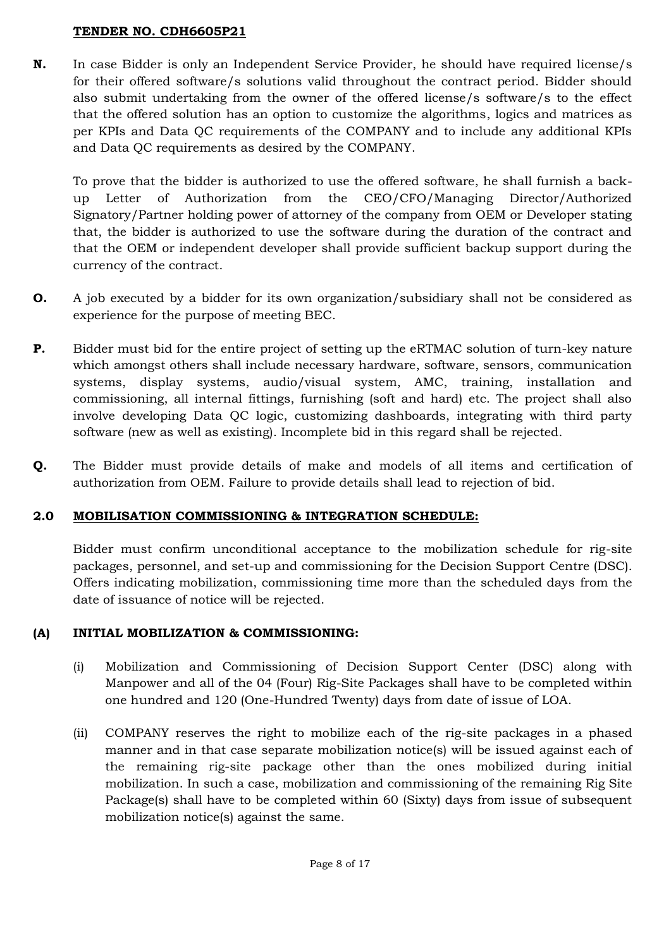**N.** In case Bidder is only an Independent Service Provider, he should have required license/s for their offered software/s solutions valid throughout the contract period. Bidder should also submit undertaking from the owner of the offered license/s software/s to the effect that the offered solution has an option to customize the algorithms, logics and matrices as per KPIs and Data QC requirements of the COMPANY and to include any additional KPIs and Data QC requirements as desired by the COMPANY.

To prove that the bidder is authorized to use the offered software, he shall furnish a backup Letter of Authorization from the CEO/CFO/Managing Director/Authorized Signatory/Partner holding power of attorney of the company from OEM or Developer stating that, the bidder is authorized to use the software during the duration of the contract and that the OEM or independent developer shall provide sufficient backup support during the currency of the contract.

- **O.** A job executed by a bidder for its own organization/subsidiary shall not be considered as experience for the purpose of meeting BEC.
- **P.** Bidder must bid for the entire project of setting up the eRTMAC solution of turn-key nature which amongst others shall include necessary hardware, software, sensors, communication systems, display systems, audio/visual system, AMC, training, installation and commissioning, all internal fittings, furnishing (soft and hard) etc. The project shall also involve developing Data QC logic, customizing dashboards, integrating with third party software (new as well as existing). Incomplete bid in this regard shall be rejected.
- **Q.** The Bidder must provide details of make and models of all items and certification of authorization from OEM. Failure to provide details shall lead to rejection of bid.

## **2.0 MOBILISATION COMMISSIONING & INTEGRATION SCHEDULE:**

Bidder must confirm unconditional acceptance to the mobilization schedule for rig-site packages, personnel, and set-up and commissioning for the Decision Support Centre (DSC). Offers indicating mobilization, commissioning time more than the scheduled days from the date of issuance of notice will be rejected.

# **(A) INITIAL MOBILIZATION & COMMISSIONING:**

- (i) Mobilization and Commissioning of Decision Support Center (DSC) along with Manpower and all of the 04 (Four) Rig-Site Packages shall have to be completed within one hundred and 120 (One-Hundred Twenty) days from date of issue of LOA.
- (ii) COMPANY reserves the right to mobilize each of the rig-site packages in a phased manner and in that case separate mobilization notice(s) will be issued against each of the remaining rig-site package other than the ones mobilized during initial mobilization. In such a case, mobilization and commissioning of the remaining Rig Site Package(s) shall have to be completed within 60 (Sixty) days from issue of subsequent mobilization notice(s) against the same.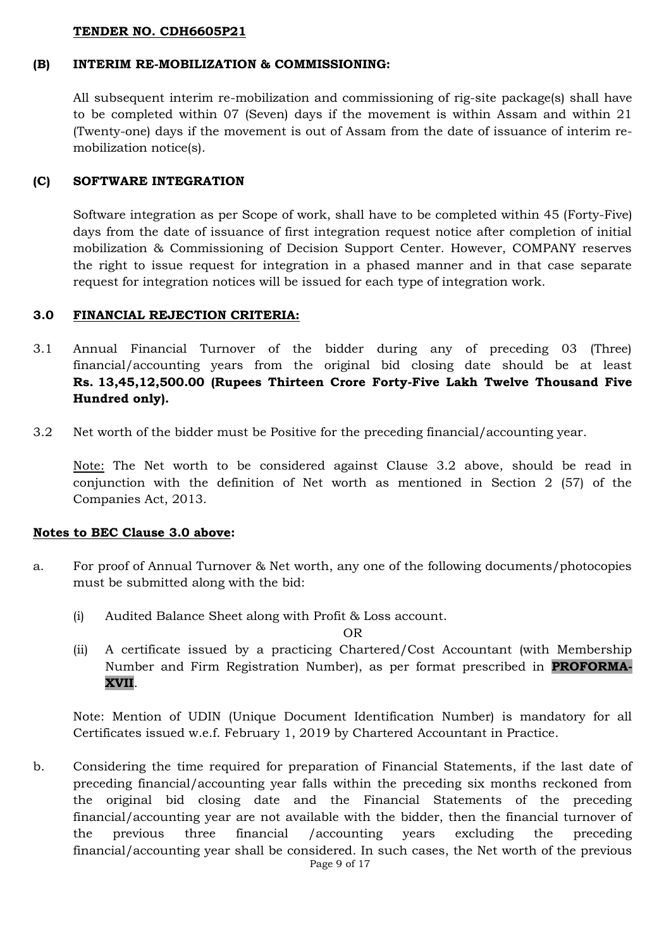#### **(B) INTERIM RE-MOBILIZATION & COMMISSIONING:**

All subsequent interim re-mobilization and commissioning of rig-site package(s) shall have to be completed within 07 (Seven) days if the movement is within Assam and within 21 (Twenty-one) days if the movement is out of Assam from the date of issuance of interim remobilization notice(s).

#### **(C) SOFTWARE INTEGRATION**

Software integration as per Scope of work, shall have to be completed within 45 (Forty-Five) days from the date of issuance of first integration request notice after completion of initial mobilization & Commissioning of Decision Support Center. However, COMPANY reserves the right to issue request for integration in a phased manner and in that case separate request for integration notices will be issued for each type of integration work.

### **3.0 FINANCIAL REJECTION CRITERIA:**

- 3.1 Annual Financial Turnover of the bidder during any of preceding 03 (Three) financial/accounting years from the original bid closing date should be at least **Rs. 13,45,12,500.00 (Rupees Thirteen Crore Forty-Five Lakh Twelve Thousand Five Hundred only).**
- 3.2 Net worth of the bidder must be Positive for the preceding financial/accounting year.

Note: The Net worth to be considered against Clause 3.2 above, should be read in conjunction with the definition of Net worth as mentioned in Section 2 (57) of the Companies Act, 2013.

### **Notes to BEC Clause 3.0 above:**

- a. For proof of Annual Turnover & Net worth, any one of the following documents/photocopies must be submitted along with the bid:
	- (i) Audited Balance Sheet along with Profit & Loss account.

OR

(ii) A certificate issued by a practicing Chartered/Cost Accountant (with Membership Number and Firm Registration Number), as per format prescribed in **PROFORMA-XVII**.

Note: Mention of UDIN (Unique Document Identification Number) is mandatory for all Certificates issued w.e.f. February 1, 2019 by Chartered Accountant in Practice.

b. Considering the time required for preparation of Financial Statements, if the last date of preceding financial/accounting year falls within the preceding six months reckoned from the original bid closing date and the Financial Statements of the preceding financial/accounting year are not available with the bidder, then the financial turnover of the previous three financial /accounting years excluding the preceding financial/accounting year shall be considered. In such cases, the Net worth of the previous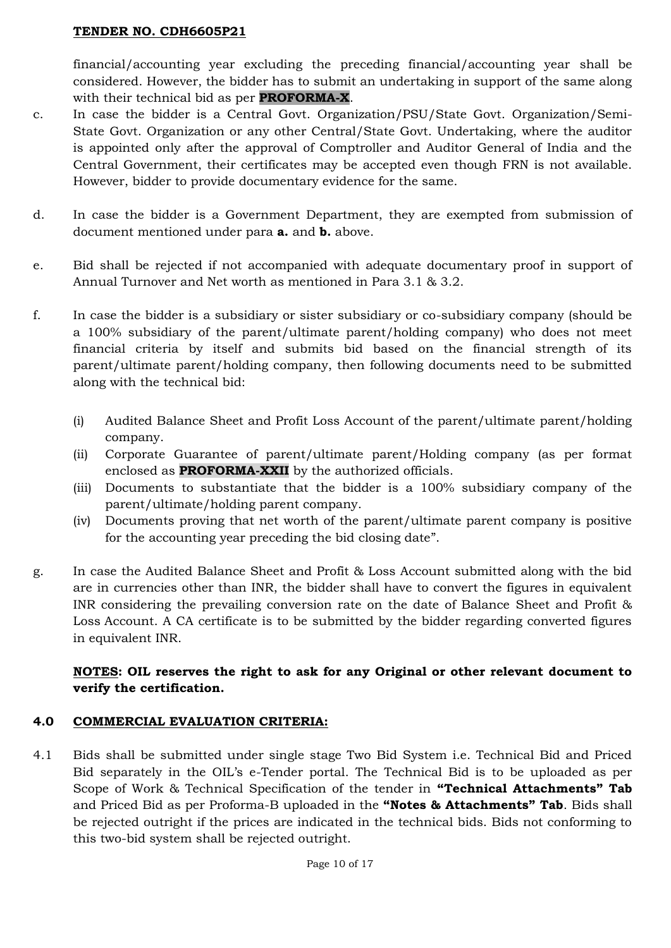financial/accounting year excluding the preceding financial/accounting year shall be considered. However, the bidder has to submit an undertaking in support of the same along with their technical bid as per **PROFORMA-X**.

- c. In case the bidder is a Central Govt. Organization/PSU/State Govt. Organization/Semi-State Govt. Organization or any other Central/State Govt. Undertaking, where the auditor is appointed only after the approval of Comptroller and Auditor General of India and the Central Government, their certificates may be accepted even though FRN is not available. However, bidder to provide documentary evidence for the same.
- d. In case the bidder is a Government Department, they are exempted from submission of document mentioned under para **a.** and **b.** above.
- e. Bid shall be rejected if not accompanied with adequate documentary proof in support of Annual Turnover and Net worth as mentioned in Para 3.1 & 3.2.
- f. In case the bidder is a subsidiary or sister subsidiary or co-subsidiary company (should be a 100% subsidiary of the parent/ultimate parent/holding company) who does not meet financial criteria by itself and submits bid based on the financial strength of its parent/ultimate parent/holding company, then following documents need to be submitted along with the technical bid:
	- (i) Audited Balance Sheet and Profit Loss Account of the parent/ultimate parent/holding company.
	- (ii) Corporate Guarantee of parent/ultimate parent/Holding company (as per format enclosed as **PROFORMA-XXII** by the authorized officials.
	- (iii) Documents to substantiate that the bidder is a 100% subsidiary company of the parent/ultimate/holding parent company.
	- (iv) Documents proving that net worth of the parent/ultimate parent company is positive for the accounting year preceding the bid closing date".
- g. In case the Audited Balance Sheet and Profit & Loss Account submitted along with the bid are in currencies other than INR, the bidder shall have to convert the figures in equivalent INR considering the prevailing conversion rate on the date of Balance Sheet and Profit & Loss Account. A CA certificate is to be submitted by the bidder regarding converted figures in equivalent INR.

# **NOTES: OIL reserves the right to ask for any Original or other relevant document to verify the certification.**

## **4.0 COMMERCIAL EVALUATION CRITERIA:**

4.1 Bids shall be submitted under single stage Two Bid System i.e. Technical Bid and Priced Bid separately in the OIL's e-Tender portal. The Technical Bid is to be uploaded as per Scope of Work & Technical Specification of the tender in **"Technical Attachments" Tab** and Priced Bid as per Proforma-B uploaded in the **"Notes & Attachments" Tab**. Bids shall be rejected outright if the prices are indicated in the technical bids. Bids not conforming to this two-bid system shall be rejected outright.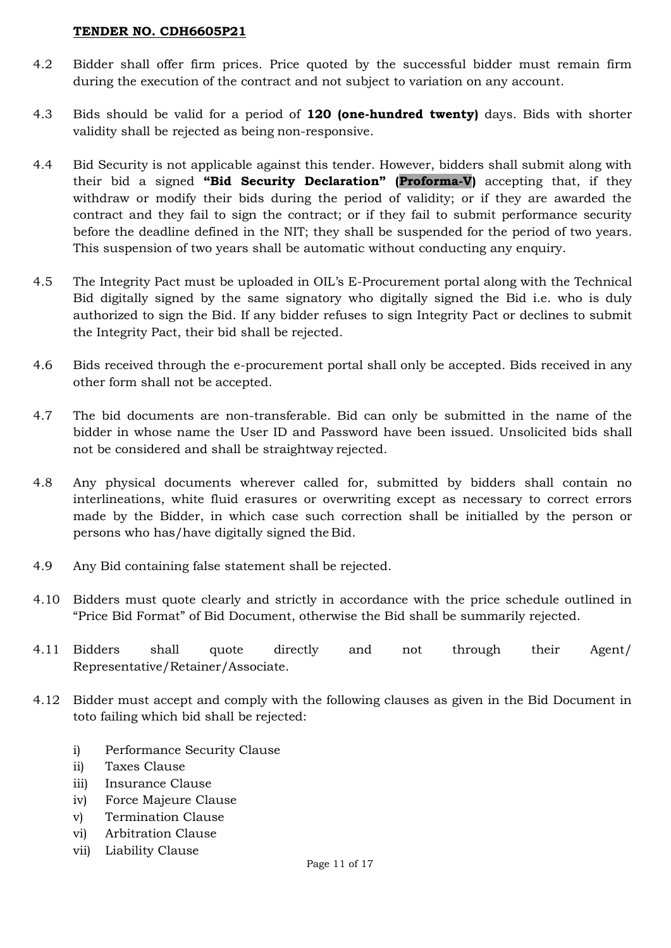- 4.2 Bidder shall offer firm prices. Price quoted by the successful bidder must remain firm during the execution of the contract and not subject to variation on any account.
- 4.3 Bids should be valid for a period of **120 (one-hundred twenty)** days. Bids with shorter validity shall be rejected as being non-responsive.
- 4.4 Bid Security is not applicable against this tender. However, bidders shall submit along with their bid a signed **"Bid Security Declaration" (Proforma-V)** accepting that, if they withdraw or modify their bids during the period of validity; or if they are awarded the contract and they fail to sign the contract; or if they fail to submit performance security before the deadline defined in the NIT; they shall be suspended for the period of two years. This suspension of two years shall be automatic without conducting any enquiry.
- 4.5 The Integrity Pact must be uploaded in OIL's E-Procurement portal along with the Technical Bid digitally signed by the same signatory who digitally signed the Bid i.e. who is duly authorized to sign the Bid. If any bidder refuses to sign Integrity Pact or declines to submit the Integrity Pact, their bid shall be rejected.
- 4.6 Bids received through the e-procurement portal shall only be accepted. Bids received in any other form shall not be accepted.
- 4.7 The bid documents are non-transferable. Bid can only be submitted in the name of the bidder in whose name the User ID and Password have been issued. Unsolicited bids shall not be considered and shall be straightway rejected.
- 4.8 Any physical documents wherever called for, submitted by bidders shall contain no interlineations, white fluid erasures or overwriting except as necessary to correct errors made by the Bidder, in which case such correction shall be initialled by the person or persons who has/have digitally signed the Bid.
- 4.9 Any Bid containing false statement shall be rejected.
- 4.10 Bidders must quote clearly and strictly in accordance with the price schedule outlined in "Price Bid Format" of Bid Document, otherwise the Bid shall be summarily rejected.
- 4.11 Bidders shall quote directly and not through their Agent/ Representative/Retainer/Associate.
- 4.12 Bidder must accept and comply with the following clauses as given in the Bid Document in toto failing which bid shall be rejected:
	- i) Performance Security Clause
	- ii) Taxes Clause
	- iii) Insurance Clause
	- iv) Force Majeure Clause
	- v) Termination Clause
	- vi) Arbitration Clause
	- vii) Liability Clause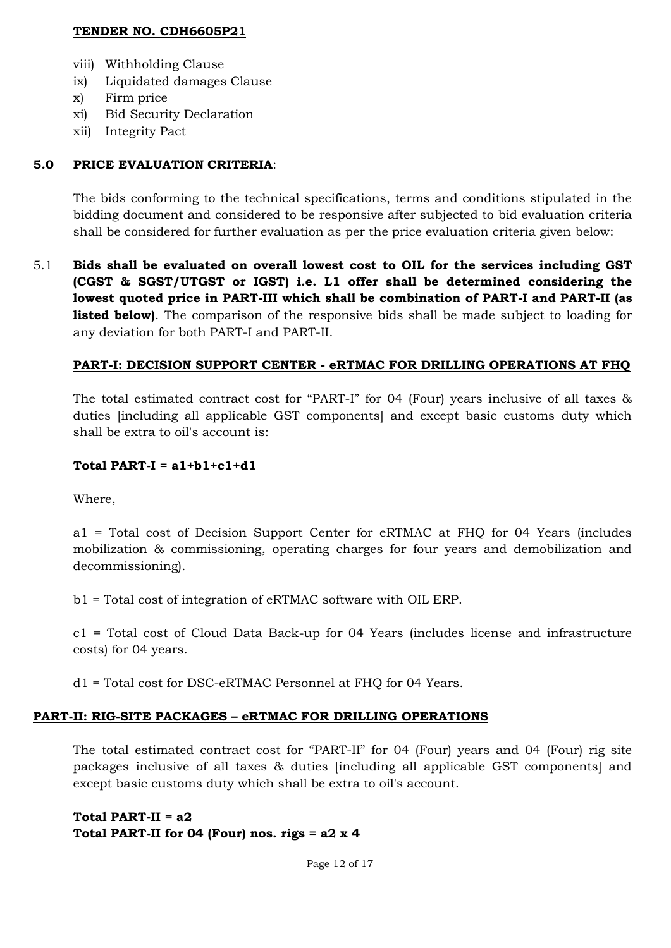- viii) Withholding Clause
- ix) Liquidated damages Clause
- x) Firm price
- xi) Bid Security Declaration
- xii) Integrity Pact

## **5.0 PRICE EVALUATION CRITERIA**:

The bids conforming to the technical specifications, terms and conditions stipulated in the bidding document and considered to be responsive after subjected to bid evaluation criteria shall be considered for further evaluation as per the price evaluation criteria given below:

5.1 **Bids shall be evaluated on overall lowest cost to OIL for the services including GST (CGST & SGST/UTGST or IGST) i.e. L1 offer shall be determined considering the lowest quoted price in PART-III which shall be combination of PART-I and PART-II (as listed below)**. The comparison of the responsive bids shall be made subject to loading for any deviation for both PART-I and PART-II.

## **PART-I: DECISION SUPPORT CENTER - eRTMAC FOR DRILLING OPERATIONS AT FHQ**

The total estimated contract cost for "PART-I" for 04 (Four) years inclusive of all taxes & duties [including all applicable GST components] and except basic customs duty which shall be extra to oil's account is:

### **Total PART-I = a1+b1+c1+d1**

Where,

a1 = Total cost of Decision Support Center for eRTMAC at FHQ for 04 Years (includes mobilization & commissioning, operating charges for four years and demobilization and decommissioning).

b1 = Total cost of integration of eRTMAC software with OIL ERP.

c1 = Total cost of Cloud Data Back-up for 04 Years (includes license and infrastructure costs) for 04 years.

d1 = Total cost for DSC-eRTMAC Personnel at FHQ for 04 Years.

### **PART-II: RIG-SITE PACKAGES – eRTMAC FOR DRILLING OPERATIONS**

The total estimated contract cost for "PART-II" for 04 (Four) years and 04 (Four) rig site packages inclusive of all taxes & duties [including all applicable GST components] and except basic customs duty which shall be extra to oil's account.

## **Total PART-II = a2 Total PART-II for 04 (Four) nos. rigs = a2 x 4**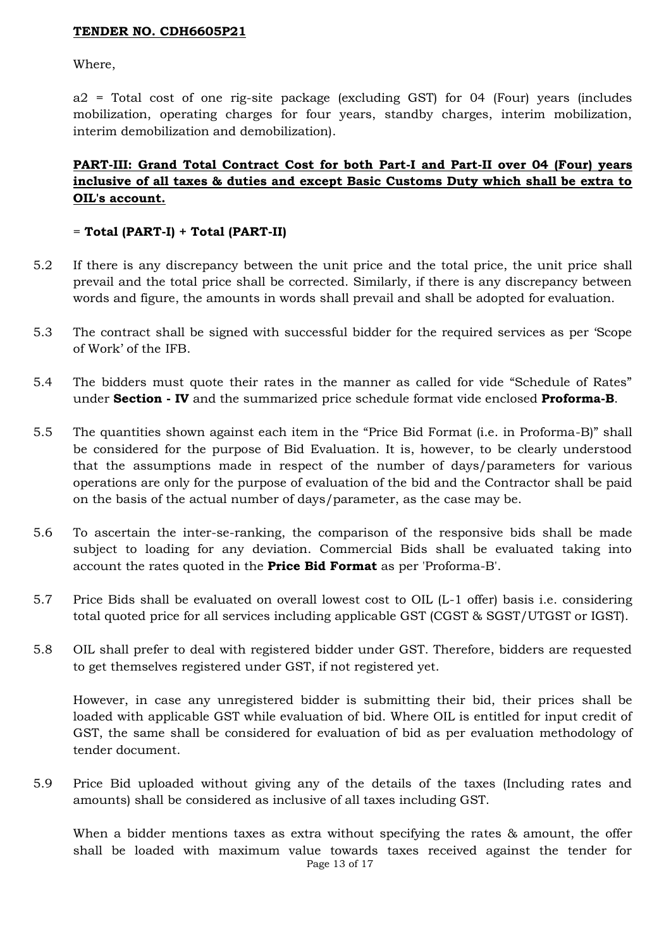Where,

a2 = Total cost of one rig-site package (excluding GST) for 04 (Four) years (includes mobilization, operating charges for four years, standby charges, interim mobilization, interim demobilization and demobilization).

# **PART-III: Grand Total Contract Cost for both Part-I and Part-II over 04 (Four) years inclusive of all taxes & duties and except Basic Customs Duty which shall be extra to OIL's account.**

### = **Total (PART-I) + Total (PART-II)**

- 5.2 If there is any discrepancy between the unit price and the total price, the unit price shall prevail and the total price shall be corrected. Similarly, if there is any discrepancy between words and figure, the amounts in words shall prevail and shall be adopted for evaluation.
- 5.3 The contract shall be signed with successful bidder for the required services as per 'Scope of Work' of the IFB.
- 5.4 The bidders must quote their rates in the manner as called for vide "Schedule of Rates" under **Section - IV** and the summarized price schedule format vide enclosed **Proforma-B**.
- 5.5 The quantities shown against each item in the "Price Bid Format (i.e. in Proforma-B)" shall be considered for the purpose of Bid Evaluation. It is, however, to be clearly understood that the assumptions made in respect of the number of days/parameters for various operations are only for the purpose of evaluation of the bid and the Contractor shall be paid on the basis of the actual number of days/parameter, as the case may be.
- 5.6 To ascertain the inter-se-ranking, the comparison of the responsive bids shall be made subject to loading for any deviation. Commercial Bids shall be evaluated taking into account the rates quoted in the **Price Bid Format** as per 'Proforma-B'.
- 5.7 Price Bids shall be evaluated on overall lowest cost to OIL (L-1 offer) basis i.e. considering total quoted price for all services including applicable GST (CGST & SGST/UTGST or IGST).
- 5.8 OIL shall prefer to deal with registered bidder under GST. Therefore, bidders are requested to get themselves registered under GST, if not registered yet.

However, in case any unregistered bidder is submitting their bid, their prices shall be loaded with applicable GST while evaluation of bid. Where OIL is entitled for input credit of GST, the same shall be considered for evaluation of bid as per evaluation methodology of tender document.

5.9 Price Bid uploaded without giving any of the details of the taxes (Including rates and amounts) shall be considered as inclusive of all taxes including GST.

Page 13 of 17 When a bidder mentions taxes as extra without specifying the rates & amount, the offer shall be loaded with maximum value towards taxes received against the tender for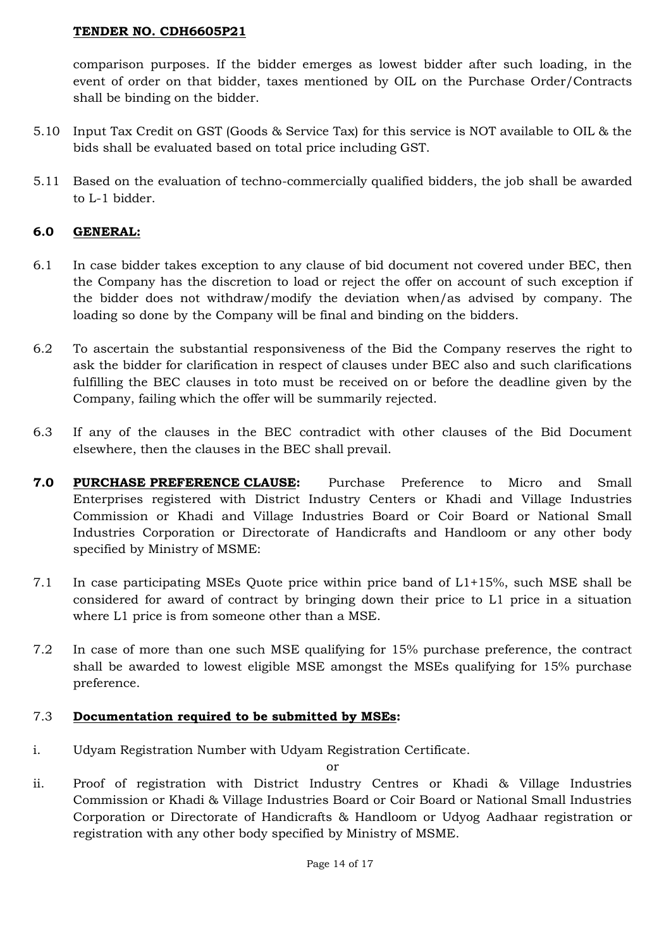comparison purposes. If the bidder emerges as lowest bidder after such loading, in the event of order on that bidder, taxes mentioned by OIL on the Purchase Order/Contracts shall be binding on the bidder.

- 5.10 Input Tax Credit on GST (Goods & Service Tax) for this service is NOT available to OIL & the bids shall be evaluated based on total price including GST.
- 5.11 Based on the evaluation of techno-commercially qualified bidders, the job shall be awarded to L-1 bidder.

## **6.0 GENERAL:**

- 6.1 In case bidder takes exception to any clause of bid document not covered under BEC, then the Company has the discretion to load or reject the offer on account of such exception if the bidder does not withdraw/modify the deviation when/as advised by company. The loading so done by the Company will be final and binding on the bidders.
- 6.2 To ascertain the substantial responsiveness of the Bid the Company reserves the right to ask the bidder for clarification in respect of clauses under BEC also and such clarifications fulfilling the BEC clauses in toto must be received on or before the deadline given by the Company, failing which the offer will be summarily rejected.
- 6.3 If any of the clauses in the BEC contradict with other clauses of the Bid Document elsewhere, then the clauses in the BEC shall prevail.
- **7.0 PURCHASE PREFERENCE CLAUSE:** Purchase Preference to Micro and Small Enterprises registered with District Industry Centers or Khadi and Village Industries Commission or Khadi and Village Industries Board or Coir Board or National Small Industries Corporation or Directorate of Handicrafts and Handloom or any other body specified by Ministry of MSME:
- 7.1 In case participating MSEs Quote price within price band of L1+15%, such MSE shall be considered for award of contract by bringing down their price to L1 price in a situation where L1 price is from someone other than a MSE.
- 7.2 In case of more than one such MSE qualifying for 15% purchase preference, the contract shall be awarded to lowest eligible MSE amongst the MSEs qualifying for 15% purchase preference.

### 7.3 **Documentation required to be submitted by MSEs:**

i. Udyam Registration Number with Udyam Registration Certificate.

or

ii. Proof of registration with District Industry Centres or Khadi & Village Industries Commission or Khadi & Village Industries Board or Coir Board or National Small Industries Corporation or Directorate of Handicrafts & Handloom or Udyog Aadhaar registration or registration with any other body specified by Ministry of MSME.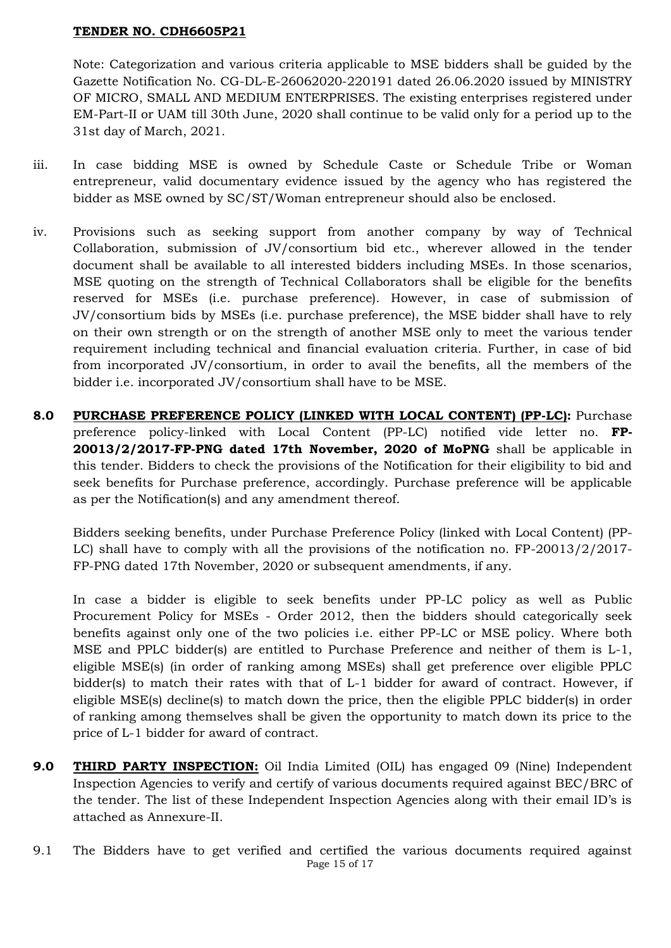Note: Categorization and various criteria applicable to MSE bidders shall be guided by the Gazette Notification No. CG-DL-E-26062020-220191 dated 26.06.2020 issued by MINISTRY OF MICRO, SMALL AND MEDIUM ENTERPRISES. The existing enterprises registered under EM-Part-II or UAM till 30th June, 2020 shall continue to be valid only for a period up to the 31st day of March, 2021.

- iii. In case bidding MSE is owned by Schedule Caste or Schedule Tribe or Woman entrepreneur, valid documentary evidence issued by the agency who has registered the bidder as MSE owned by SC/ST/Woman entrepreneur should also be enclosed.
- iv. Provisions such as seeking support from another company by way of Technical Collaboration, submission of JV/consortium bid etc., wherever allowed in the tender document shall be available to all interested bidders including MSEs. In those scenarios, MSE quoting on the strength of Technical Collaborators shall be eligible for the benefits reserved for MSEs (i.e. purchase preference). However, in case of submission of JV/consortium bids by MSEs (i.e. purchase preference), the MSE bidder shall have to rely on their own strength or on the strength of another MSE only to meet the various tender requirement including technical and financial evaluation criteria. Further, in case of bid from incorporated JV/consortium, in order to avail the benefits, all the members of the bidder i.e. incorporated JV/consortium shall have to be MSE.
- **8.0 PURCHASE PREFERENCE POLICY (LINKED WITH LOCAL CONTENT) (PP-LC):** Purchase preference policy-linked with Local Content (PP-LC) notified vide letter no. **FP-20013/2/2017-FP-PNG dated 17th November, 2020 of MoPNG** shall be applicable in this tender. Bidders to check the provisions of the Notification for their eligibility to bid and seek benefits for Purchase preference, accordingly. Purchase preference will be applicable as per the Notification(s) and any amendment thereof.

Bidders seeking benefits, under Purchase Preference Policy (linked with Local Content) (PP-LC) shall have to comply with all the provisions of the notification no. FP-20013/2/2017- FP-PNG dated 17th November, 2020 or subsequent amendments, if any.

In case a bidder is eligible to seek benefits under PP-LC policy as well as Public Procurement Policy for MSEs - Order 2012, then the bidders should categorically seek benefits against only one of the two policies i.e. either PP-LC or MSE policy. Where both MSE and PPLC bidder(s) are entitled to Purchase Preference and neither of them is L-1, eligible MSE(s) (in order of ranking among MSEs) shall get preference over eligible PPLC bidder(s) to match their rates with that of L-1 bidder for award of contract. However, if eligible MSE(s) decline(s) to match down the price, then the eligible PPLC bidder(s) in order of ranking among themselves shall be given the opportunity to match down its price to the price of L-1 bidder for award of contract.

- **9.0 THIRD PARTY INSPECTION:** Oil India Limited (OIL) has engaged 09 (Nine) Independent Inspection Agencies to verify and certify of various documents required against BEC/BRC of the tender. The list of these Independent Inspection Agencies along with their email ID's is attached as Annexure-II.
- Page 15 of 17 9.1 The Bidders have to get verified and certified the various documents required against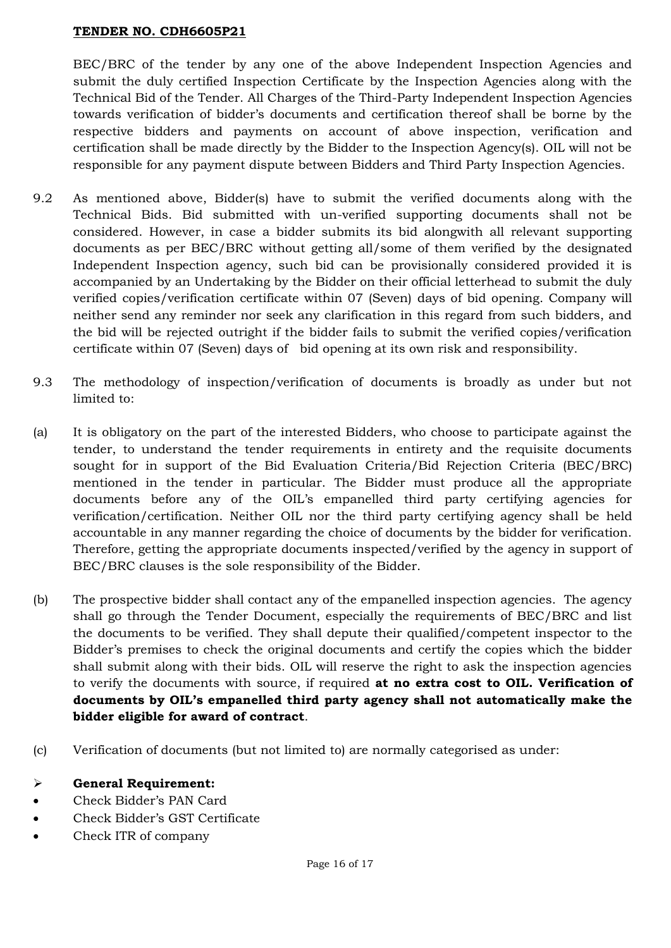BEC/BRC of the tender by any one of the above Independent Inspection Agencies and submit the duly certified Inspection Certificate by the Inspection Agencies along with the Technical Bid of the Tender. All Charges of the Third-Party Independent Inspection Agencies towards verification of bidder's documents and certification thereof shall be borne by the respective bidders and payments on account of above inspection, verification and certification shall be made directly by the Bidder to the Inspection Agency(s). OIL will not be responsible for any payment dispute between Bidders and Third Party Inspection Agencies.

- 9.2 As mentioned above, Bidder(s) have to submit the verified documents along with the Technical Bids. Bid submitted with un-verified supporting documents shall not be considered. However, in case a bidder submits its bid alongwith all relevant supporting documents as per BEC/BRC without getting all/some of them verified by the designated Independent Inspection agency, such bid can be provisionally considered provided it is accompanied by an Undertaking by the Bidder on their official letterhead to submit the duly verified copies/verification certificate within 07 (Seven) days of bid opening. Company will neither send any reminder nor seek any clarification in this regard from such bidders, and the bid will be rejected outright if the bidder fails to submit the verified copies/verification certificate within 07 (Seven) days of bid opening at its own risk and responsibility.
- 9.3 The methodology of inspection/verification of documents is broadly as under but not limited to:
- (a) It is obligatory on the part of the interested Bidders, who choose to participate against the tender, to understand the tender requirements in entirety and the requisite documents sought for in support of the Bid Evaluation Criteria/Bid Rejection Criteria (BEC/BRC) mentioned in the tender in particular. The Bidder must produce all the appropriate documents before any of the OIL's empanelled third party certifying agencies for verification/certification. Neither OIL nor the third party certifying agency shall be held accountable in any manner regarding the choice of documents by the bidder for verification. Therefore, getting the appropriate documents inspected/verified by the agency in support of BEC/BRC clauses is the sole responsibility of the Bidder.
- (b) The prospective bidder shall contact any of the empanelled inspection agencies. The agency shall go through the Tender Document, especially the requirements of BEC/BRC and list the documents to be verified. They shall depute their qualified/competent inspector to the Bidder's premises to check the original documents and certify the copies which the bidder shall submit along with their bids. OIL will reserve the right to ask the inspection agencies to verify the documents with source, if required **at no extra cost to OIL. Verification of documents by OIL's empanelled third party agency shall not automatically make the bidder eligible for award of contract**.
- (c) Verification of documents (but not limited to) are normally categorised as under:
- **General Requirement:**
- Check Bidder's PAN Card
- Check Bidder's GST Certificate
- Check ITR of company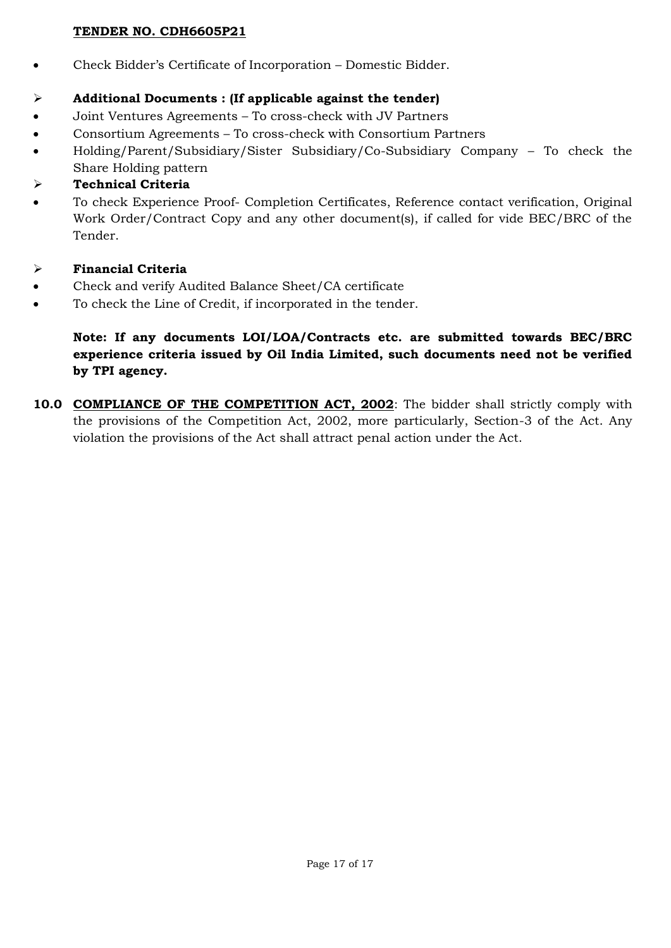Check Bidder's Certificate of Incorporation – Domestic Bidder.

# **Additional Documents : (If applicable against the tender)**

- Joint Ventures Agreements To cross-check with JV Partners
- Consortium Agreements To cross-check with Consortium Partners
- Holding/Parent/Subsidiary/Sister Subsidiary/Co-Subsidiary Company To check the Share Holding pattern

# **Technical Criteria**

- To check Experience Proof- Completion Certificates, Reference contact verification, Original Work Order/Contract Copy and any other document(s), if called for vide BEC/BRC of the Tender.
- **Financial Criteria**
- Check and verify Audited Balance Sheet/CA certificate
- To check the Line of Credit, if incorporated in the tender.

# **Note: If any documents LOI/LOA/Contracts etc. are submitted towards BEC/BRC experience criteria issued by Oil India Limited, such documents need not be verified by TPI agency.**

10.0 **COMPLIANCE OF THE COMPETITION ACT, 2002**: The bidder shall strictly comply with the provisions of the Competition Act, 2002, more particularly, Section-3 of the Act. Any violation the provisions of the Act shall attract penal action under the Act.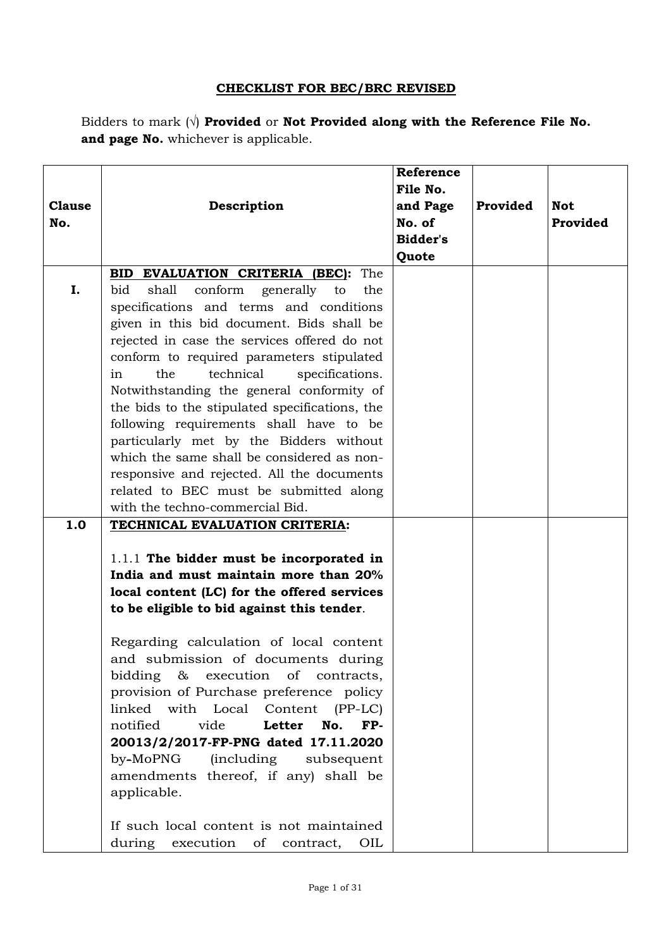# **CHECKLIST FOR BEC/BRC REVISED**

Bidders to mark (√) **Provided** or **Not Provided along with the Reference File No. and page No.** whichever is applicable.

| <b>Clause</b><br>No. | Description                                                                                                                                                                                                                                                                                                                                                                                                                                                                                                                                                                                                                                       | Reference<br>File No.<br>and Page<br>No. of<br>Bidder's<br>Quote | Provided | <b>Not</b><br>Provided |
|----------------------|---------------------------------------------------------------------------------------------------------------------------------------------------------------------------------------------------------------------------------------------------------------------------------------------------------------------------------------------------------------------------------------------------------------------------------------------------------------------------------------------------------------------------------------------------------------------------------------------------------------------------------------------------|------------------------------------------------------------------|----------|------------------------|
|                      | <b>BID EVALUATION CRITERIA (BEC):</b> The                                                                                                                                                                                                                                                                                                                                                                                                                                                                                                                                                                                                         |                                                                  |          |                        |
| I.                   | shall<br>conform<br>bid<br>generally<br>to<br>the<br>specifications and terms and conditions<br>given in this bid document. Bids shall be<br>rejected in case the services offered do not<br>conform to required parameters stipulated<br>the<br>technical<br>specifications.<br>in<br>Notwithstanding the general conformity of<br>the bids to the stipulated specifications, the<br>following requirements shall have to be<br>particularly met by the Bidders without<br>which the same shall be considered as non-<br>responsive and rejected. All the documents<br>related to BEC must be submitted along<br>with the techno-commercial Bid. |                                                                  |          |                        |
| 1.0                  | TECHNICAL EVALUATION CRITERIA:                                                                                                                                                                                                                                                                                                                                                                                                                                                                                                                                                                                                                    |                                                                  |          |                        |
|                      | 1.1.1 The bidder must be incorporated in<br>India and must maintain more than 20%<br>local content (LC) for the offered services<br>to be eligible to bid against this tender.<br>Regarding calculation of local content<br>and submission of documents during<br>bidding<br>&<br>execution of contracts,<br>provision of Purchase preference policy<br>linked with Local Content<br>$(PP-LC)$<br>notified<br>vide<br>Letter<br>No.<br>FP-<br>20013/2/2017-FP-PNG dated 17.11.2020<br>by-MoPNG (including<br>subsequent<br>amendments thereof, if any) shall be<br>applicable.<br>If such local content is not maintained                         |                                                                  |          |                        |
|                      | during execution of contract,<br>OIL                                                                                                                                                                                                                                                                                                                                                                                                                                                                                                                                                                                                              |                                                                  |          |                        |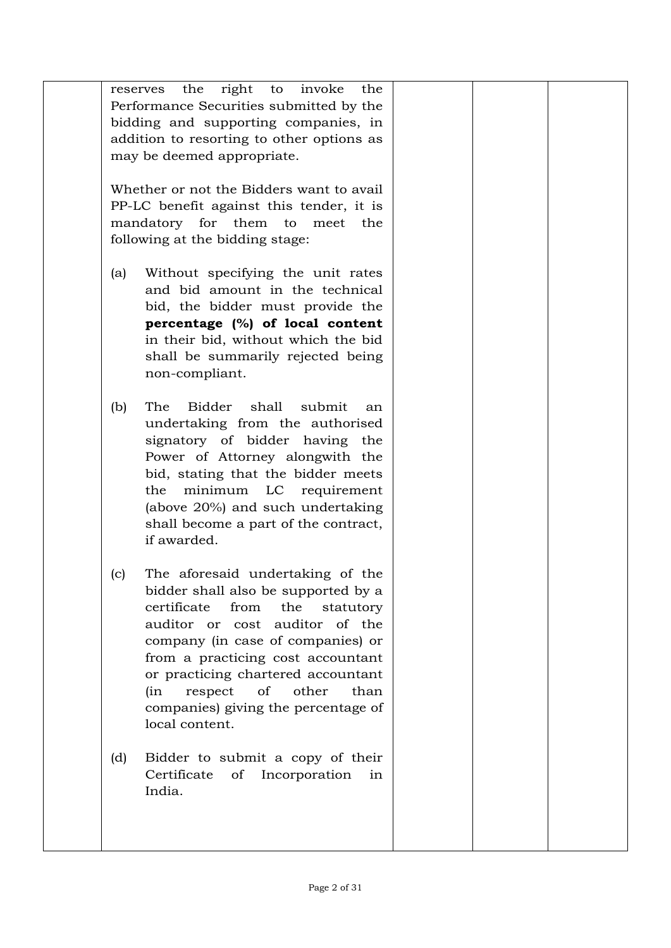|     | the                                                                             |  |  |
|-----|---------------------------------------------------------------------------------|--|--|
|     | the right to invoke<br>reserves                                                 |  |  |
|     | Performance Securities submitted by the<br>bidding and supporting companies, in |  |  |
|     | addition to resorting to other options as                                       |  |  |
|     | may be deemed appropriate.                                                      |  |  |
|     |                                                                                 |  |  |
|     | Whether or not the Bidders want to avail                                        |  |  |
|     | PP-LC benefit against this tender, it is                                        |  |  |
|     | mandatory for them to meet the                                                  |  |  |
|     | following at the bidding stage:                                                 |  |  |
|     |                                                                                 |  |  |
| (a) | Without specifying the unit rates                                               |  |  |
|     | and bid amount in the technical                                                 |  |  |
|     | bid, the bidder must provide the                                                |  |  |
|     | percentage (%) of local content                                                 |  |  |
|     | in their bid, without which the bid                                             |  |  |
|     | shall be summarily rejected being                                               |  |  |
|     | non-compliant.                                                                  |  |  |
|     |                                                                                 |  |  |
| (b) | Bidder<br>shall<br>submit<br>The<br>an                                          |  |  |
|     | undertaking from the authorised                                                 |  |  |
|     | signatory of bidder having the                                                  |  |  |
|     | Power of Attorney alongwith the                                                 |  |  |
|     | bid, stating that the bidder meets                                              |  |  |
|     | minimum LC requirement<br>the                                                   |  |  |
|     | (above 20%) and such undertaking                                                |  |  |
|     | shall become a part of the contract,                                            |  |  |
|     | if awarded.                                                                     |  |  |
|     |                                                                                 |  |  |
| (c) | The aforesaid undertaking of the                                                |  |  |
|     | bidder shall also be supported by a<br>certificate<br>from<br>the               |  |  |
|     | statutory<br>auditor or cost auditor of the                                     |  |  |
|     | company (in case of companies) or                                               |  |  |
|     | from a practicing cost accountant                                               |  |  |
|     | or practicing chartered accountant                                              |  |  |
|     | of<br>other<br>(in<br>respect<br>than                                           |  |  |
|     | companies) giving the percentage of                                             |  |  |
|     | local content.                                                                  |  |  |
|     |                                                                                 |  |  |
| (d) | Bidder to submit a copy of their                                                |  |  |
|     | Certificate<br>Incorporation<br>of<br>in                                        |  |  |
|     | India.                                                                          |  |  |
|     |                                                                                 |  |  |
|     |                                                                                 |  |  |
|     |                                                                                 |  |  |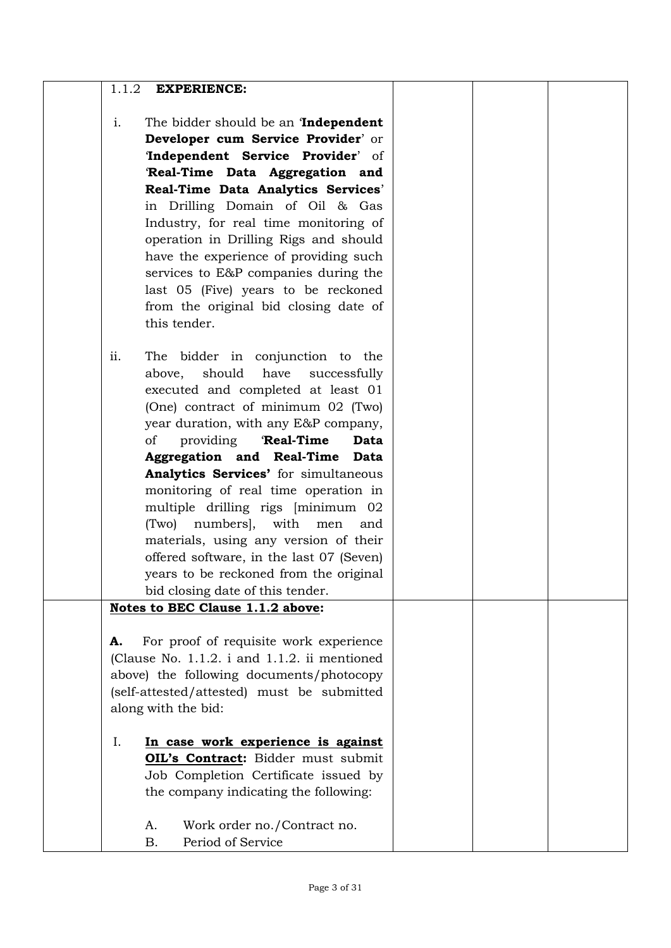| 1.1.2<br><b>EXPERIENCE:</b>                                                            |  |  |
|----------------------------------------------------------------------------------------|--|--|
| i.<br>The bidder should be an <b>Independent</b>                                       |  |  |
| Developer cum Service Provider' or                                                     |  |  |
| 'Independent Service Provider' of                                                      |  |  |
| 'Real-Time Data Aggregation and                                                        |  |  |
| Real-Time Data Analytics Services'                                                     |  |  |
| in Drilling Domain of Oil & Gas                                                        |  |  |
| Industry, for real time monitoring of                                                  |  |  |
| operation in Drilling Rigs and should                                                  |  |  |
| have the experience of providing such                                                  |  |  |
| services to E&P companies during the                                                   |  |  |
| last 05 (Five) years to be reckoned                                                    |  |  |
| from the original bid closing date of                                                  |  |  |
| this tender.                                                                           |  |  |
|                                                                                        |  |  |
| ii.<br>The bidder in conjunction to the                                                |  |  |
| have<br>should<br>above,<br>successfully                                               |  |  |
| executed and completed at least 01                                                     |  |  |
| (One) contract of minimum 02 (Two)                                                     |  |  |
| year duration, with any E&P company,                                                   |  |  |
| providing<br>'Real-Time<br>οf<br>Data                                                  |  |  |
| Aggregation and Real-Time Data                                                         |  |  |
| Analytics Services' for simultaneous                                                   |  |  |
| monitoring of real time operation in                                                   |  |  |
| multiple drilling rigs [minimum 02                                                     |  |  |
| (Two) numbers, with men<br>and                                                         |  |  |
| materials, using any version of their                                                  |  |  |
| offered software, in the last 07 (Seven)                                               |  |  |
| years to be reckoned from the original                                                 |  |  |
| bid closing date of this tender.                                                       |  |  |
| Notes to BEC Clause 1.1.2 above:                                                       |  |  |
|                                                                                        |  |  |
| For proof of requisite work experience<br>А.                                           |  |  |
| (Clause No. 1.1.2. i and 1.1.2. ii mentioned                                           |  |  |
| above) the following documents/photocopy<br>(self-attested/attested) must be submitted |  |  |
| along with the bid:                                                                    |  |  |
|                                                                                        |  |  |
| I.<br>In case work experience is against                                               |  |  |
| OIL's Contract: Bidder must submit                                                     |  |  |
| Job Completion Certificate issued by                                                   |  |  |
| the company indicating the following:                                                  |  |  |
|                                                                                        |  |  |
| Work order no./Contract no.<br>А.                                                      |  |  |
| Period of Service<br><b>B.</b>                                                         |  |  |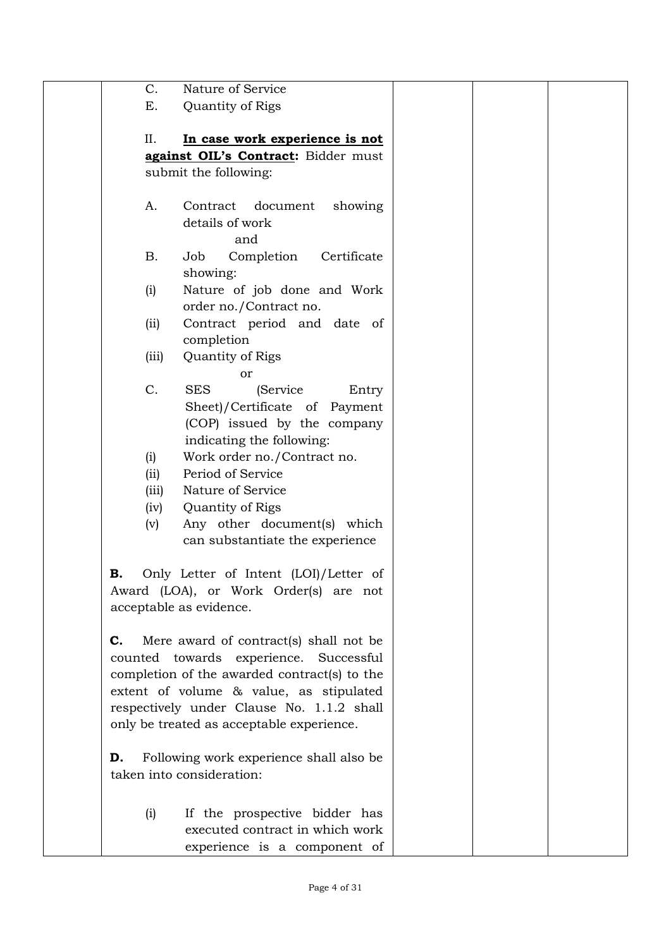| Nature of Service<br>C.<br>Ε.<br>Quantity of Rigs<br>In case work experience is not<br>II.<br>against OIL's Contract: Bidder must<br>submit the following:<br>Contract<br>document<br>showing<br>A.<br>details of work<br>and<br><b>B.</b><br>Job<br>Completion<br>Certificate<br>showing:<br>Nature of job done and Work<br>(i)<br>order no./Contract no.<br>Contract period and date of<br>(i)<br>completion<br>Quantity of Rigs<br>(iii)<br>or<br>C.<br><b>SES</b><br>(Service<br>Entry<br>Sheet)/Certificate of Payment<br>(COP) issued by the company<br>indicating the following:<br>Work order no./Contract no.<br>(i)<br>Period of Service<br>(ii)<br>Nature of Service<br>(iii)<br>Quantity of Rigs<br>(iv)<br>Any other document(s) which<br>(v)<br>can substantiate the experience<br>Only Letter of Intent (LOI)/Letter of<br>В.<br>Award (LOA), or Work Order(s) are not<br>acceptable as evidence.<br>Mere award of contract(s) shall not be<br>C.<br>counted towards experience. Successful<br>completion of the awarded contract(s) to the<br>extent of volume & value, as stipulated<br>respectively under Clause No. 1.1.2 shall<br>only be treated as acceptable experience.<br>Following work experience shall also be<br>D.<br>taken into consideration:<br>If the prospective bidder has<br>(i)<br>executed contract in which work<br>experience is a component of |  |  |  |
|------------------------------------------------------------------------------------------------------------------------------------------------------------------------------------------------------------------------------------------------------------------------------------------------------------------------------------------------------------------------------------------------------------------------------------------------------------------------------------------------------------------------------------------------------------------------------------------------------------------------------------------------------------------------------------------------------------------------------------------------------------------------------------------------------------------------------------------------------------------------------------------------------------------------------------------------------------------------------------------------------------------------------------------------------------------------------------------------------------------------------------------------------------------------------------------------------------------------------------------------------------------------------------------------------------------------------------------------------------------------------------------|--|--|--|
|                                                                                                                                                                                                                                                                                                                                                                                                                                                                                                                                                                                                                                                                                                                                                                                                                                                                                                                                                                                                                                                                                                                                                                                                                                                                                                                                                                                          |  |  |  |
|                                                                                                                                                                                                                                                                                                                                                                                                                                                                                                                                                                                                                                                                                                                                                                                                                                                                                                                                                                                                                                                                                                                                                                                                                                                                                                                                                                                          |  |  |  |
|                                                                                                                                                                                                                                                                                                                                                                                                                                                                                                                                                                                                                                                                                                                                                                                                                                                                                                                                                                                                                                                                                                                                                                                                                                                                                                                                                                                          |  |  |  |
|                                                                                                                                                                                                                                                                                                                                                                                                                                                                                                                                                                                                                                                                                                                                                                                                                                                                                                                                                                                                                                                                                                                                                                                                                                                                                                                                                                                          |  |  |  |
|                                                                                                                                                                                                                                                                                                                                                                                                                                                                                                                                                                                                                                                                                                                                                                                                                                                                                                                                                                                                                                                                                                                                                                                                                                                                                                                                                                                          |  |  |  |
|                                                                                                                                                                                                                                                                                                                                                                                                                                                                                                                                                                                                                                                                                                                                                                                                                                                                                                                                                                                                                                                                                                                                                                                                                                                                                                                                                                                          |  |  |  |
|                                                                                                                                                                                                                                                                                                                                                                                                                                                                                                                                                                                                                                                                                                                                                                                                                                                                                                                                                                                                                                                                                                                                                                                                                                                                                                                                                                                          |  |  |  |
|                                                                                                                                                                                                                                                                                                                                                                                                                                                                                                                                                                                                                                                                                                                                                                                                                                                                                                                                                                                                                                                                                                                                                                                                                                                                                                                                                                                          |  |  |  |
|                                                                                                                                                                                                                                                                                                                                                                                                                                                                                                                                                                                                                                                                                                                                                                                                                                                                                                                                                                                                                                                                                                                                                                                                                                                                                                                                                                                          |  |  |  |
|                                                                                                                                                                                                                                                                                                                                                                                                                                                                                                                                                                                                                                                                                                                                                                                                                                                                                                                                                                                                                                                                                                                                                                                                                                                                                                                                                                                          |  |  |  |
|                                                                                                                                                                                                                                                                                                                                                                                                                                                                                                                                                                                                                                                                                                                                                                                                                                                                                                                                                                                                                                                                                                                                                                                                                                                                                                                                                                                          |  |  |  |
|                                                                                                                                                                                                                                                                                                                                                                                                                                                                                                                                                                                                                                                                                                                                                                                                                                                                                                                                                                                                                                                                                                                                                                                                                                                                                                                                                                                          |  |  |  |
|                                                                                                                                                                                                                                                                                                                                                                                                                                                                                                                                                                                                                                                                                                                                                                                                                                                                                                                                                                                                                                                                                                                                                                                                                                                                                                                                                                                          |  |  |  |
|                                                                                                                                                                                                                                                                                                                                                                                                                                                                                                                                                                                                                                                                                                                                                                                                                                                                                                                                                                                                                                                                                                                                                                                                                                                                                                                                                                                          |  |  |  |
|                                                                                                                                                                                                                                                                                                                                                                                                                                                                                                                                                                                                                                                                                                                                                                                                                                                                                                                                                                                                                                                                                                                                                                                                                                                                                                                                                                                          |  |  |  |
|                                                                                                                                                                                                                                                                                                                                                                                                                                                                                                                                                                                                                                                                                                                                                                                                                                                                                                                                                                                                                                                                                                                                                                                                                                                                                                                                                                                          |  |  |  |
|                                                                                                                                                                                                                                                                                                                                                                                                                                                                                                                                                                                                                                                                                                                                                                                                                                                                                                                                                                                                                                                                                                                                                                                                                                                                                                                                                                                          |  |  |  |
|                                                                                                                                                                                                                                                                                                                                                                                                                                                                                                                                                                                                                                                                                                                                                                                                                                                                                                                                                                                                                                                                                                                                                                                                                                                                                                                                                                                          |  |  |  |
|                                                                                                                                                                                                                                                                                                                                                                                                                                                                                                                                                                                                                                                                                                                                                                                                                                                                                                                                                                                                                                                                                                                                                                                                                                                                                                                                                                                          |  |  |  |
|                                                                                                                                                                                                                                                                                                                                                                                                                                                                                                                                                                                                                                                                                                                                                                                                                                                                                                                                                                                                                                                                                                                                                                                                                                                                                                                                                                                          |  |  |  |
|                                                                                                                                                                                                                                                                                                                                                                                                                                                                                                                                                                                                                                                                                                                                                                                                                                                                                                                                                                                                                                                                                                                                                                                                                                                                                                                                                                                          |  |  |  |
|                                                                                                                                                                                                                                                                                                                                                                                                                                                                                                                                                                                                                                                                                                                                                                                                                                                                                                                                                                                                                                                                                                                                                                                                                                                                                                                                                                                          |  |  |  |
|                                                                                                                                                                                                                                                                                                                                                                                                                                                                                                                                                                                                                                                                                                                                                                                                                                                                                                                                                                                                                                                                                                                                                                                                                                                                                                                                                                                          |  |  |  |
|                                                                                                                                                                                                                                                                                                                                                                                                                                                                                                                                                                                                                                                                                                                                                                                                                                                                                                                                                                                                                                                                                                                                                                                                                                                                                                                                                                                          |  |  |  |
|                                                                                                                                                                                                                                                                                                                                                                                                                                                                                                                                                                                                                                                                                                                                                                                                                                                                                                                                                                                                                                                                                                                                                                                                                                                                                                                                                                                          |  |  |  |
|                                                                                                                                                                                                                                                                                                                                                                                                                                                                                                                                                                                                                                                                                                                                                                                                                                                                                                                                                                                                                                                                                                                                                                                                                                                                                                                                                                                          |  |  |  |
|                                                                                                                                                                                                                                                                                                                                                                                                                                                                                                                                                                                                                                                                                                                                                                                                                                                                                                                                                                                                                                                                                                                                                                                                                                                                                                                                                                                          |  |  |  |
|                                                                                                                                                                                                                                                                                                                                                                                                                                                                                                                                                                                                                                                                                                                                                                                                                                                                                                                                                                                                                                                                                                                                                                                                                                                                                                                                                                                          |  |  |  |
|                                                                                                                                                                                                                                                                                                                                                                                                                                                                                                                                                                                                                                                                                                                                                                                                                                                                                                                                                                                                                                                                                                                                                                                                                                                                                                                                                                                          |  |  |  |
|                                                                                                                                                                                                                                                                                                                                                                                                                                                                                                                                                                                                                                                                                                                                                                                                                                                                                                                                                                                                                                                                                                                                                                                                                                                                                                                                                                                          |  |  |  |
|                                                                                                                                                                                                                                                                                                                                                                                                                                                                                                                                                                                                                                                                                                                                                                                                                                                                                                                                                                                                                                                                                                                                                                                                                                                                                                                                                                                          |  |  |  |
|                                                                                                                                                                                                                                                                                                                                                                                                                                                                                                                                                                                                                                                                                                                                                                                                                                                                                                                                                                                                                                                                                                                                                                                                                                                                                                                                                                                          |  |  |  |
|                                                                                                                                                                                                                                                                                                                                                                                                                                                                                                                                                                                                                                                                                                                                                                                                                                                                                                                                                                                                                                                                                                                                                                                                                                                                                                                                                                                          |  |  |  |
|                                                                                                                                                                                                                                                                                                                                                                                                                                                                                                                                                                                                                                                                                                                                                                                                                                                                                                                                                                                                                                                                                                                                                                                                                                                                                                                                                                                          |  |  |  |
|                                                                                                                                                                                                                                                                                                                                                                                                                                                                                                                                                                                                                                                                                                                                                                                                                                                                                                                                                                                                                                                                                                                                                                                                                                                                                                                                                                                          |  |  |  |
|                                                                                                                                                                                                                                                                                                                                                                                                                                                                                                                                                                                                                                                                                                                                                                                                                                                                                                                                                                                                                                                                                                                                                                                                                                                                                                                                                                                          |  |  |  |
|                                                                                                                                                                                                                                                                                                                                                                                                                                                                                                                                                                                                                                                                                                                                                                                                                                                                                                                                                                                                                                                                                                                                                                                                                                                                                                                                                                                          |  |  |  |
|                                                                                                                                                                                                                                                                                                                                                                                                                                                                                                                                                                                                                                                                                                                                                                                                                                                                                                                                                                                                                                                                                                                                                                                                                                                                                                                                                                                          |  |  |  |
|                                                                                                                                                                                                                                                                                                                                                                                                                                                                                                                                                                                                                                                                                                                                                                                                                                                                                                                                                                                                                                                                                                                                                                                                                                                                                                                                                                                          |  |  |  |
|                                                                                                                                                                                                                                                                                                                                                                                                                                                                                                                                                                                                                                                                                                                                                                                                                                                                                                                                                                                                                                                                                                                                                                                                                                                                                                                                                                                          |  |  |  |
|                                                                                                                                                                                                                                                                                                                                                                                                                                                                                                                                                                                                                                                                                                                                                                                                                                                                                                                                                                                                                                                                                                                                                                                                                                                                                                                                                                                          |  |  |  |
|                                                                                                                                                                                                                                                                                                                                                                                                                                                                                                                                                                                                                                                                                                                                                                                                                                                                                                                                                                                                                                                                                                                                                                                                                                                                                                                                                                                          |  |  |  |
|                                                                                                                                                                                                                                                                                                                                                                                                                                                                                                                                                                                                                                                                                                                                                                                                                                                                                                                                                                                                                                                                                                                                                                                                                                                                                                                                                                                          |  |  |  |
|                                                                                                                                                                                                                                                                                                                                                                                                                                                                                                                                                                                                                                                                                                                                                                                                                                                                                                                                                                                                                                                                                                                                                                                                                                                                                                                                                                                          |  |  |  |
|                                                                                                                                                                                                                                                                                                                                                                                                                                                                                                                                                                                                                                                                                                                                                                                                                                                                                                                                                                                                                                                                                                                                                                                                                                                                                                                                                                                          |  |  |  |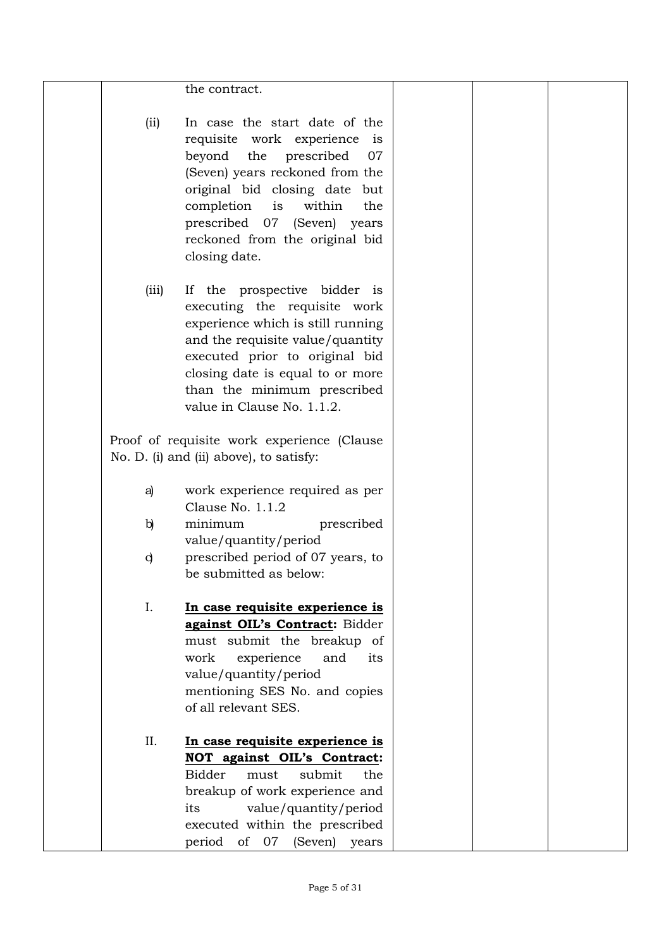|              | the contract.                                         |  |  |
|--------------|-------------------------------------------------------|--|--|
| (ii)         | In case the start date of the                         |  |  |
|              | requisite work experience<br>is                       |  |  |
|              | the<br>beyond<br>prescribed<br>07                     |  |  |
|              | (Seven) years reckoned from the                       |  |  |
|              | original bid closing date but                         |  |  |
|              | completion<br>is<br>within<br>the                     |  |  |
|              | prescribed 07 (Seven) years                           |  |  |
|              | reckoned from the original bid                        |  |  |
|              | closing date.                                         |  |  |
|              |                                                       |  |  |
| (iii)        | If the prospective bidder is                          |  |  |
|              | executing the requisite work                          |  |  |
|              | experience which is still running                     |  |  |
|              | and the requisite value/quantity                      |  |  |
|              | executed prior to original bid                        |  |  |
|              | closing date is equal to or more                      |  |  |
|              | than the minimum prescribed                           |  |  |
|              | value in Clause No. 1.1.2.                            |  |  |
|              |                                                       |  |  |
|              | Proof of requisite work experience (Clause            |  |  |
|              | No. D. (i) and (ii) above), to satisfy:               |  |  |
| a)           | work experience required as per                       |  |  |
|              | Clause No. 1.1.2                                      |  |  |
| $\mathbf{b}$ | minimum<br>prescribed                                 |  |  |
|              | value/quantity/period                                 |  |  |
| $\mathbf{d}$ | prescribed period of 07 years, to                     |  |  |
|              | be submitted as below:                                |  |  |
|              |                                                       |  |  |
| I.           | In case requisite experience is                       |  |  |
|              | against OIL's Contract: Bidder                        |  |  |
|              | must submit the breakup of                            |  |  |
|              | work<br>experience<br>and<br>its                      |  |  |
|              | value/quantity/period                                 |  |  |
|              | mentioning SES No. and copies<br>of all relevant SES. |  |  |
|              |                                                       |  |  |
| II.          | In case requisite experience is                       |  |  |
|              | NOT against OIL's Contract:                           |  |  |
|              | <b>Bidder</b><br>submit<br>the<br>must                |  |  |
|              | breakup of work experience and                        |  |  |
|              | value/quantity/period<br>its                          |  |  |
|              | executed within the prescribed                        |  |  |
|              | of<br>07<br>(Seven)<br>period<br>years                |  |  |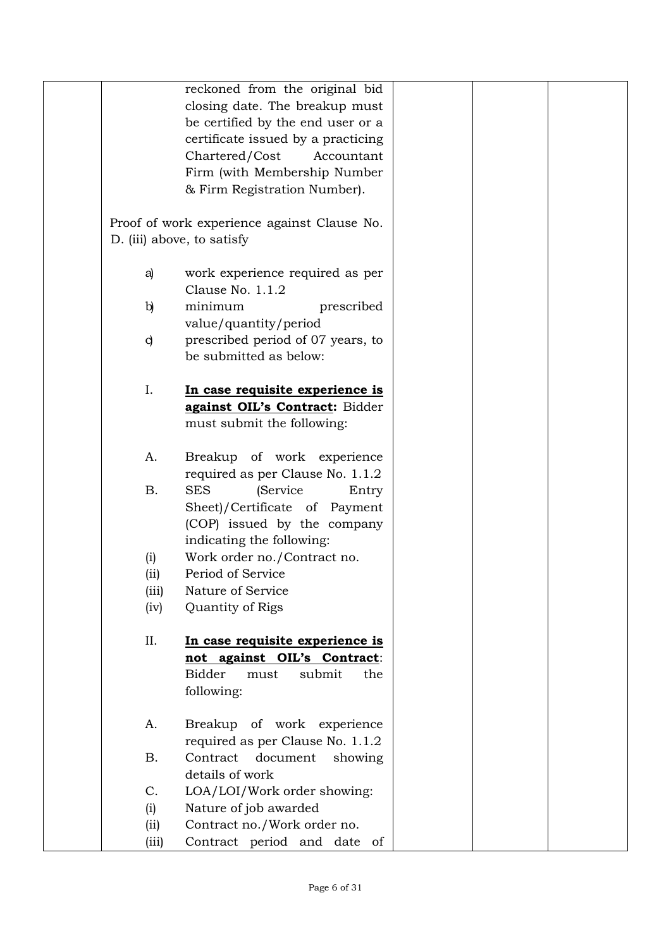| reckoned from the original bid<br>closing date. The breakup must<br>be certified by the end user or a<br>certificate issued by a practicing<br>Chartered/Cost<br>Accountant<br>Firm (with Membership Number<br>& Firm Registration Number).<br>Proof of work experience against Clause No.<br>D. (iii) above, to satisfy<br>work experience required as per<br>a)<br>Clause No. 1.1.2<br>minimum<br>$\mathbf{b}$<br>prescribed<br>value/quantity/period<br>prescribed period of 07 years, to<br>$\mathbf{d}$<br>be submitted as below:<br>I.<br>In case requisite experience is<br>against OIL's Contract: Bidder<br>must submit the following:<br>Breakup of work experience<br>A.<br>required as per Clause No. 1.1.2<br><b>SES</b><br>(Service<br><b>B.</b><br>Entry<br>Sheet)/Certificate of Payment<br>(COP) issued by the company<br>indicating the following:<br>Work order no./Contract no.<br>(i)<br>Period of Service<br>(ii)<br>(iii)<br>Nature of Service<br>(iv)<br>Quantity of Rigs<br>II.<br>In case requisite experience is |
|---------------------------------------------------------------------------------------------------------------------------------------------------------------------------------------------------------------------------------------------------------------------------------------------------------------------------------------------------------------------------------------------------------------------------------------------------------------------------------------------------------------------------------------------------------------------------------------------------------------------------------------------------------------------------------------------------------------------------------------------------------------------------------------------------------------------------------------------------------------------------------------------------------------------------------------------------------------------------------------------------------------------------------------------|
|                                                                                                                                                                                                                                                                                                                                                                                                                                                                                                                                                                                                                                                                                                                                                                                                                                                                                                                                                                                                                                             |
|                                                                                                                                                                                                                                                                                                                                                                                                                                                                                                                                                                                                                                                                                                                                                                                                                                                                                                                                                                                                                                             |
|                                                                                                                                                                                                                                                                                                                                                                                                                                                                                                                                                                                                                                                                                                                                                                                                                                                                                                                                                                                                                                             |
|                                                                                                                                                                                                                                                                                                                                                                                                                                                                                                                                                                                                                                                                                                                                                                                                                                                                                                                                                                                                                                             |
|                                                                                                                                                                                                                                                                                                                                                                                                                                                                                                                                                                                                                                                                                                                                                                                                                                                                                                                                                                                                                                             |
|                                                                                                                                                                                                                                                                                                                                                                                                                                                                                                                                                                                                                                                                                                                                                                                                                                                                                                                                                                                                                                             |
|                                                                                                                                                                                                                                                                                                                                                                                                                                                                                                                                                                                                                                                                                                                                                                                                                                                                                                                                                                                                                                             |
|                                                                                                                                                                                                                                                                                                                                                                                                                                                                                                                                                                                                                                                                                                                                                                                                                                                                                                                                                                                                                                             |
|                                                                                                                                                                                                                                                                                                                                                                                                                                                                                                                                                                                                                                                                                                                                                                                                                                                                                                                                                                                                                                             |
|                                                                                                                                                                                                                                                                                                                                                                                                                                                                                                                                                                                                                                                                                                                                                                                                                                                                                                                                                                                                                                             |
|                                                                                                                                                                                                                                                                                                                                                                                                                                                                                                                                                                                                                                                                                                                                                                                                                                                                                                                                                                                                                                             |
|                                                                                                                                                                                                                                                                                                                                                                                                                                                                                                                                                                                                                                                                                                                                                                                                                                                                                                                                                                                                                                             |
|                                                                                                                                                                                                                                                                                                                                                                                                                                                                                                                                                                                                                                                                                                                                                                                                                                                                                                                                                                                                                                             |
|                                                                                                                                                                                                                                                                                                                                                                                                                                                                                                                                                                                                                                                                                                                                                                                                                                                                                                                                                                                                                                             |
|                                                                                                                                                                                                                                                                                                                                                                                                                                                                                                                                                                                                                                                                                                                                                                                                                                                                                                                                                                                                                                             |
|                                                                                                                                                                                                                                                                                                                                                                                                                                                                                                                                                                                                                                                                                                                                                                                                                                                                                                                                                                                                                                             |
|                                                                                                                                                                                                                                                                                                                                                                                                                                                                                                                                                                                                                                                                                                                                                                                                                                                                                                                                                                                                                                             |
|                                                                                                                                                                                                                                                                                                                                                                                                                                                                                                                                                                                                                                                                                                                                                                                                                                                                                                                                                                                                                                             |
|                                                                                                                                                                                                                                                                                                                                                                                                                                                                                                                                                                                                                                                                                                                                                                                                                                                                                                                                                                                                                                             |
|                                                                                                                                                                                                                                                                                                                                                                                                                                                                                                                                                                                                                                                                                                                                                                                                                                                                                                                                                                                                                                             |
|                                                                                                                                                                                                                                                                                                                                                                                                                                                                                                                                                                                                                                                                                                                                                                                                                                                                                                                                                                                                                                             |
|                                                                                                                                                                                                                                                                                                                                                                                                                                                                                                                                                                                                                                                                                                                                                                                                                                                                                                                                                                                                                                             |
|                                                                                                                                                                                                                                                                                                                                                                                                                                                                                                                                                                                                                                                                                                                                                                                                                                                                                                                                                                                                                                             |
|                                                                                                                                                                                                                                                                                                                                                                                                                                                                                                                                                                                                                                                                                                                                                                                                                                                                                                                                                                                                                                             |
|                                                                                                                                                                                                                                                                                                                                                                                                                                                                                                                                                                                                                                                                                                                                                                                                                                                                                                                                                                                                                                             |
|                                                                                                                                                                                                                                                                                                                                                                                                                                                                                                                                                                                                                                                                                                                                                                                                                                                                                                                                                                                                                                             |
|                                                                                                                                                                                                                                                                                                                                                                                                                                                                                                                                                                                                                                                                                                                                                                                                                                                                                                                                                                                                                                             |
|                                                                                                                                                                                                                                                                                                                                                                                                                                                                                                                                                                                                                                                                                                                                                                                                                                                                                                                                                                                                                                             |
|                                                                                                                                                                                                                                                                                                                                                                                                                                                                                                                                                                                                                                                                                                                                                                                                                                                                                                                                                                                                                                             |
|                                                                                                                                                                                                                                                                                                                                                                                                                                                                                                                                                                                                                                                                                                                                                                                                                                                                                                                                                                                                                                             |
|                                                                                                                                                                                                                                                                                                                                                                                                                                                                                                                                                                                                                                                                                                                                                                                                                                                                                                                                                                                                                                             |
|                                                                                                                                                                                                                                                                                                                                                                                                                                                                                                                                                                                                                                                                                                                                                                                                                                                                                                                                                                                                                                             |
|                                                                                                                                                                                                                                                                                                                                                                                                                                                                                                                                                                                                                                                                                                                                                                                                                                                                                                                                                                                                                                             |
|                                                                                                                                                                                                                                                                                                                                                                                                                                                                                                                                                                                                                                                                                                                                                                                                                                                                                                                                                                                                                                             |
|                                                                                                                                                                                                                                                                                                                                                                                                                                                                                                                                                                                                                                                                                                                                                                                                                                                                                                                                                                                                                                             |
| not against OIL's Contract:                                                                                                                                                                                                                                                                                                                                                                                                                                                                                                                                                                                                                                                                                                                                                                                                                                                                                                                                                                                                                 |
| <b>Bidder</b><br>submit<br>must<br>the                                                                                                                                                                                                                                                                                                                                                                                                                                                                                                                                                                                                                                                                                                                                                                                                                                                                                                                                                                                                      |
| following:                                                                                                                                                                                                                                                                                                                                                                                                                                                                                                                                                                                                                                                                                                                                                                                                                                                                                                                                                                                                                                  |
|                                                                                                                                                                                                                                                                                                                                                                                                                                                                                                                                                                                                                                                                                                                                                                                                                                                                                                                                                                                                                                             |
| Breakup of work experience<br>Α.                                                                                                                                                                                                                                                                                                                                                                                                                                                                                                                                                                                                                                                                                                                                                                                                                                                                                                                                                                                                            |
| required as per Clause No. 1.1.2                                                                                                                                                                                                                                                                                                                                                                                                                                                                                                                                                                                                                                                                                                                                                                                                                                                                                                                                                                                                            |
| <b>B.</b><br>Contract document<br>showing                                                                                                                                                                                                                                                                                                                                                                                                                                                                                                                                                                                                                                                                                                                                                                                                                                                                                                                                                                                                   |
| details of work                                                                                                                                                                                                                                                                                                                                                                                                                                                                                                                                                                                                                                                                                                                                                                                                                                                                                                                                                                                                                             |
| LOA/LOI/Work order showing:<br>$C_{\cdot}$                                                                                                                                                                                                                                                                                                                                                                                                                                                                                                                                                                                                                                                                                                                                                                                                                                                                                                                                                                                                  |
| Nature of job awarded<br>(i)                                                                                                                                                                                                                                                                                                                                                                                                                                                                                                                                                                                                                                                                                                                                                                                                                                                                                                                                                                                                                |
| Contract no./Work order no.<br>(iii)                                                                                                                                                                                                                                                                                                                                                                                                                                                                                                                                                                                                                                                                                                                                                                                                                                                                                                                                                                                                        |
| Contract period and date of<br>(iii)                                                                                                                                                                                                                                                                                                                                                                                                                                                                                                                                                                                                                                                                                                                                                                                                                                                                                                                                                                                                        |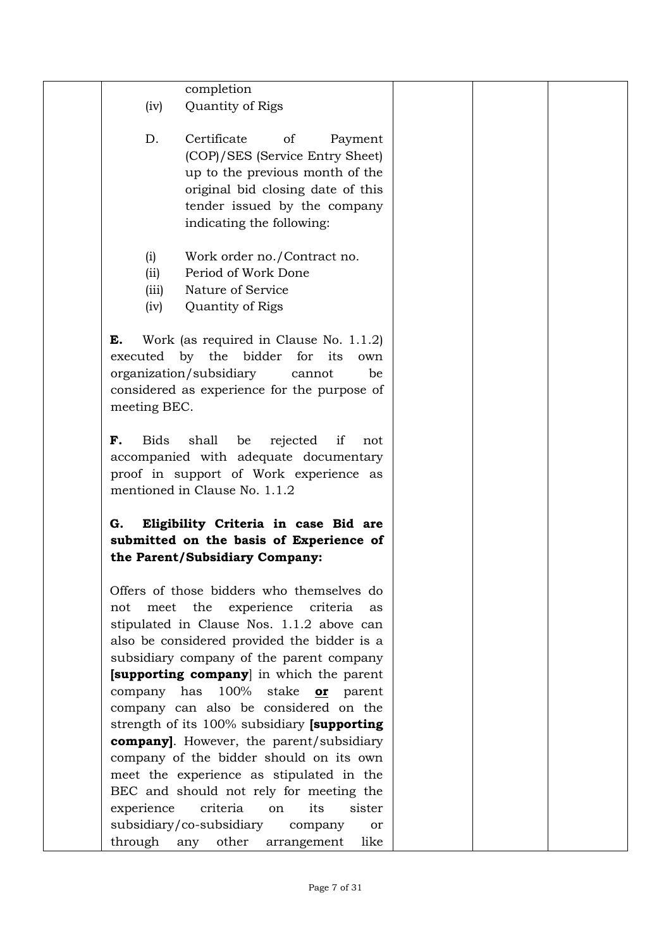| (iv)                                                                    | completion<br>Quantity of Rigs                                                                                                                                                                                                                                                                                                                                                                                                                                                                                                                                                                                                          |  |  |
|-------------------------------------------------------------------------|-----------------------------------------------------------------------------------------------------------------------------------------------------------------------------------------------------------------------------------------------------------------------------------------------------------------------------------------------------------------------------------------------------------------------------------------------------------------------------------------------------------------------------------------------------------------------------------------------------------------------------------------|--|--|
| D.                                                                      | Certificate<br>of<br>Payment<br>(COP)/SES (Service Entry Sheet)<br>up to the previous month of the<br>original bid closing date of this<br>tender issued by the company<br>indicating the following:                                                                                                                                                                                                                                                                                                                                                                                                                                    |  |  |
| (i)<br>(ii)<br>(iii)<br>(iv)                                            | Work order no./Contract no.<br>Period of Work Done<br>Nature of Service<br>Quantity of Rigs                                                                                                                                                                                                                                                                                                                                                                                                                                                                                                                                             |  |  |
| E.<br>executed by the bidder<br>organization/subsidiary<br>meeting BEC. | Work (as required in Clause No. 1.1.2)<br>for its<br>own<br>be<br>cannot<br>considered as experience for the purpose of                                                                                                                                                                                                                                                                                                                                                                                                                                                                                                                 |  |  |
| <b>Bids</b><br>F.                                                       | shall<br>be<br>rejected<br>if<br>not<br>accompanied with adequate documentary<br>proof in support of Work experience as<br>mentioned in Clause No. 1.1.2                                                                                                                                                                                                                                                                                                                                                                                                                                                                                |  |  |
| G.                                                                      | Eligibility Criteria in case Bid are<br>submitted on the basis of Experience of<br>the Parent/Subsidiary Company:                                                                                                                                                                                                                                                                                                                                                                                                                                                                                                                       |  |  |
| not<br>has<br>company<br>experience<br>subsidiary/co-subsidiary         | Offers of those bidders who themselves do<br>meet the experience criteria<br>as<br>stipulated in Clause Nos. 1.1.2 above can<br>also be considered provided the bidder is a<br>subsidiary company of the parent company<br>[supporting company] in which the parent<br>100%<br>stake<br>parent<br>or<br>company can also be considered on the<br>strength of its 100% subsidiary [supporting]<br><b>company</b> ]. However, the parent/subsidiary<br>company of the bidder should on its own<br>meet the experience as stipulated in the<br>BEC and should not rely for meeting the<br>criteria<br>its<br>sister<br>on<br>company<br>or |  |  |
|                                                                         | through any other arrangement<br>like                                                                                                                                                                                                                                                                                                                                                                                                                                                                                                                                                                                                   |  |  |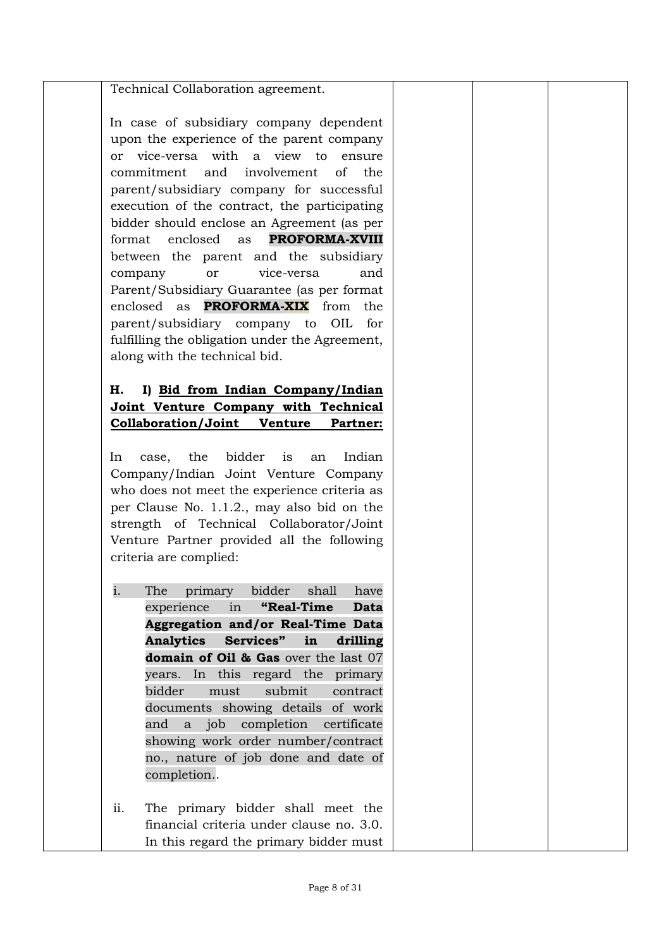### Technical Collaboration agreement.

In case of subsidiary company dependent upon the experience of the parent company or vice-versa with a view to ensure commitment and involvement of the parent/subsidiary company for successful execution of the contract, the participating bidder should enclose an Agreement (as per format enclosed as **PROFORMA-XVIII** between the parent and the subsidiary company or vice-versa and Parent/Subsidiary Guarantee (as per format enclosed as **PROFORMA-XIX** from the parent/subsidiary company to OIL for fulfilling the obligation under the Agreement, along with the technical bid.

# **H. I) Bid from Indian Company/Indian Joint Venture Company with Technical Collaboration/Joint Venture Partner:**

In case, the bidder is an Indian Company/Indian Joint Venture Company who does not meet the experience criteria as per Clause No. 1.1.2., may also bid on the strength of Technical Collaborator/Joint Venture Partner provided all the following criteria are complied:

- i. The primary bidder shall have experience in **"Real-Time Data Aggregation and/or Real-Time Data Analytics Services" in drilling domain of Oil & Gas** over the last 07 years. In this regard the primary bidder must submit contract documents showing details of work and a job completion certificate showing work order number/contract no., nature of job done and date of completion..
- ii. The primary bidder shall meet the financial criteria under clause no. 3.0. In this regard the primary bidder must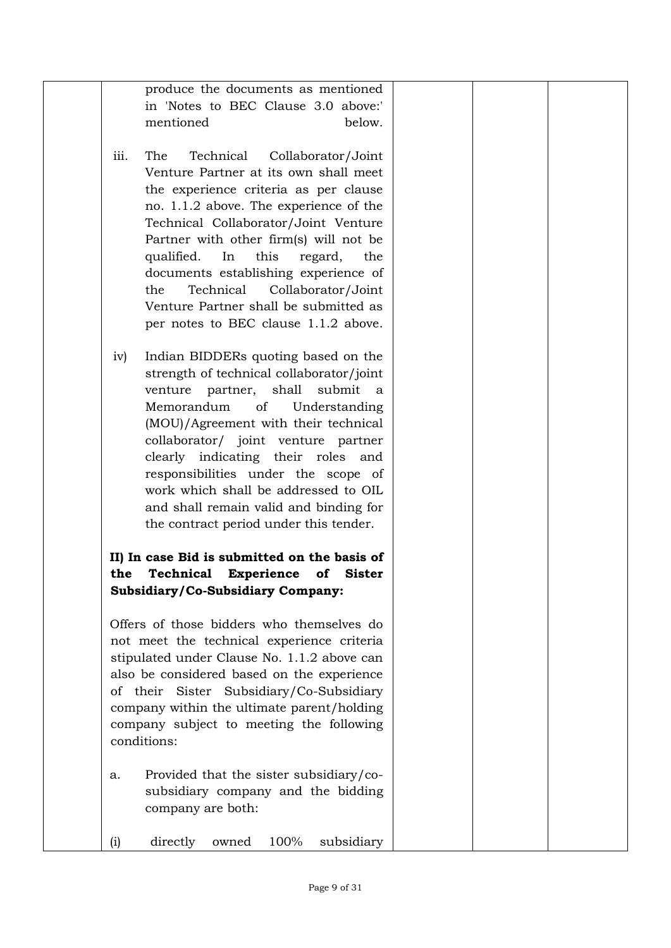|      | produce the documents as mentioned                                                     |  |  |
|------|----------------------------------------------------------------------------------------|--|--|
|      | in 'Notes to BEC Clause 3.0 above:'                                                    |  |  |
|      | mentioned<br>below.                                                                    |  |  |
| iii. | The<br>Technical<br>Collaborator/Joint                                                 |  |  |
|      | Venture Partner at its own shall meet                                                  |  |  |
|      | the experience criteria as per clause                                                  |  |  |
|      | no. 1.1.2 above. The experience of the                                                 |  |  |
|      | Technical Collaborator/Joint Venture                                                   |  |  |
|      | Partner with other firm(s) will not be                                                 |  |  |
|      | this<br>qualified.<br>In<br>regard,<br>the                                             |  |  |
|      | documents establishing experience of                                                   |  |  |
|      | Technical<br>Collaborator/Joint<br>the                                                 |  |  |
|      | Venture Partner shall be submitted as                                                  |  |  |
|      | per notes to BEC clause 1.1.2 above.                                                   |  |  |
| iv)  | Indian BIDDERs quoting based on the                                                    |  |  |
|      | strength of technical collaborator/joint                                               |  |  |
|      | venture partner, shall<br>submit<br><sub>a</sub>                                       |  |  |
|      | of<br>Memorandum<br>Understanding                                                      |  |  |
|      | (MOU)/Agreement with their technical                                                   |  |  |
|      | collaborator/ joint venture partner                                                    |  |  |
|      | clearly indicating their roles and                                                     |  |  |
|      | responsibilities under the scope of                                                    |  |  |
|      | work which shall be addressed to OIL                                                   |  |  |
|      | and shall remain valid and binding for                                                 |  |  |
|      | the contract period under this tender.                                                 |  |  |
|      | II) In case Bid is submitted on the basis of                                           |  |  |
| the  | <b>Technical</b><br><b>Experience</b><br>of<br><b>Sister</b>                           |  |  |
|      | Subsidiary/Co-Subsidiary Company:                                                      |  |  |
|      |                                                                                        |  |  |
|      | Offers of those bidders who themselves do                                              |  |  |
|      | not meet the technical experience criteria                                             |  |  |
|      | stipulated under Clause No. 1.1.2 above can                                            |  |  |
|      | also be considered based on the experience                                             |  |  |
|      | of their Sister Subsidiary/Co-Subsidiary<br>company within the ultimate parent/holding |  |  |
|      | company subject to meeting the following                                               |  |  |
|      | conditions:                                                                            |  |  |
|      |                                                                                        |  |  |
| a.   | Provided that the sister subsidiary/co-                                                |  |  |
|      | subsidiary company and the bidding                                                     |  |  |
|      | company are both:                                                                      |  |  |
|      |                                                                                        |  |  |
| (i)  | directly<br>subsidiary<br>owned<br>100%                                                |  |  |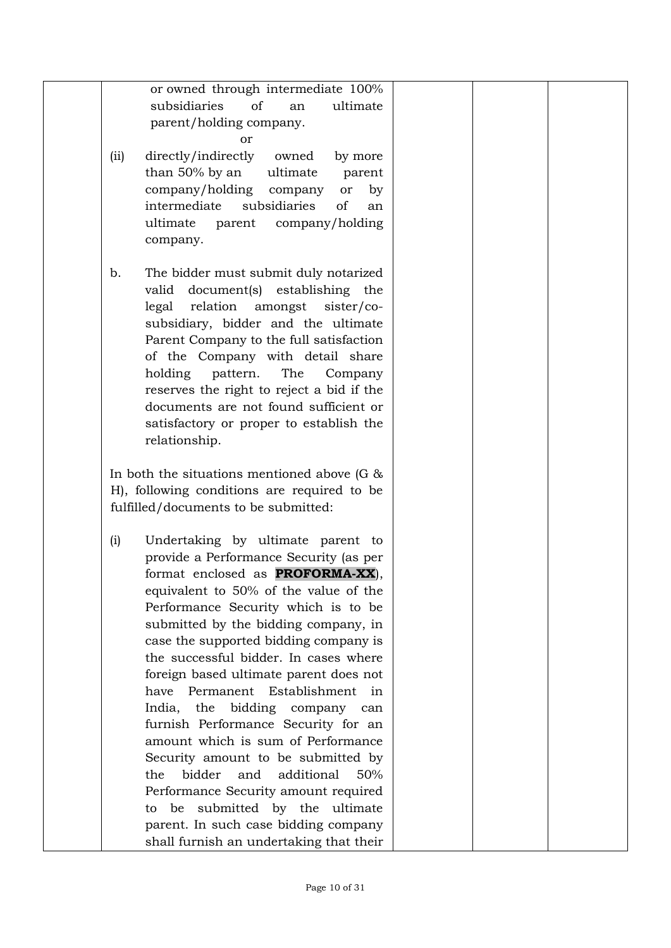| or owned through intermediate 100%              |     |  |
|-------------------------------------------------|-----|--|
| subsidiaries<br>of<br>ultimate<br>an            |     |  |
| parent/holding company.                         |     |  |
| or                                              |     |  |
| directly/indirectly<br>owned<br>(ii)<br>by more |     |  |
|                                                 |     |  |
| than 50% by an<br>ultimate<br>parent            |     |  |
| company/holding<br>company<br>or                | by  |  |
| of<br>intermediate<br>subsidiaries              | an  |  |
| ultimate<br>company/holding<br>parent           |     |  |
| company.                                        |     |  |
|                                                 |     |  |
| The bidder must submit duly notarized<br>b.     |     |  |
| document(s) establishing the<br>valid           |     |  |
| legal<br>relation amongst sister/co-            |     |  |
| subsidiary, bidder and the ultimate             |     |  |
| Parent Company to the full satisfaction         |     |  |
| of the Company with detail share                |     |  |
| pattern.<br>The<br>holding<br>Company           |     |  |
| reserves the right to reject a bid if the       |     |  |
| documents are not found sufficient or           |     |  |
| satisfactory or proper to establish the         |     |  |
|                                                 |     |  |
| relationship.                                   |     |  |
|                                                 |     |  |
| In both the situations mentioned above (G $\&$  |     |  |
| H), following conditions are required to be     |     |  |
| fulfilled/documents to be submitted:            |     |  |
| Undertaking by ultimate parent to<br>(i)        |     |  |
| provide a Performance Security (as per          |     |  |
|                                                 |     |  |
| format enclosed as <b>PROFORMA-XX</b> ),        |     |  |
| equivalent to 50% of the value of the           |     |  |
| Performance Security which is to be             |     |  |
| submitted by the bidding company, in            |     |  |
| case the supported bidding company is           |     |  |
| the successful bidder. In cases where           |     |  |
| foreign based ultimate parent does not          |     |  |
| have Permanent Establishment in                 |     |  |
| India,<br>the<br>bidding<br>company             | can |  |
| furnish Performance Security for an             |     |  |
| amount which is sum of Performance              |     |  |
| Security amount to be submitted by              |     |  |
| bidder<br>additional<br>and<br>the              | 50% |  |
|                                                 |     |  |
| Performance Security amount required            |     |  |
| be submitted by the ultimate<br>to              |     |  |
| parent. In such case bidding company            |     |  |
| shall furnish an undertaking that their         |     |  |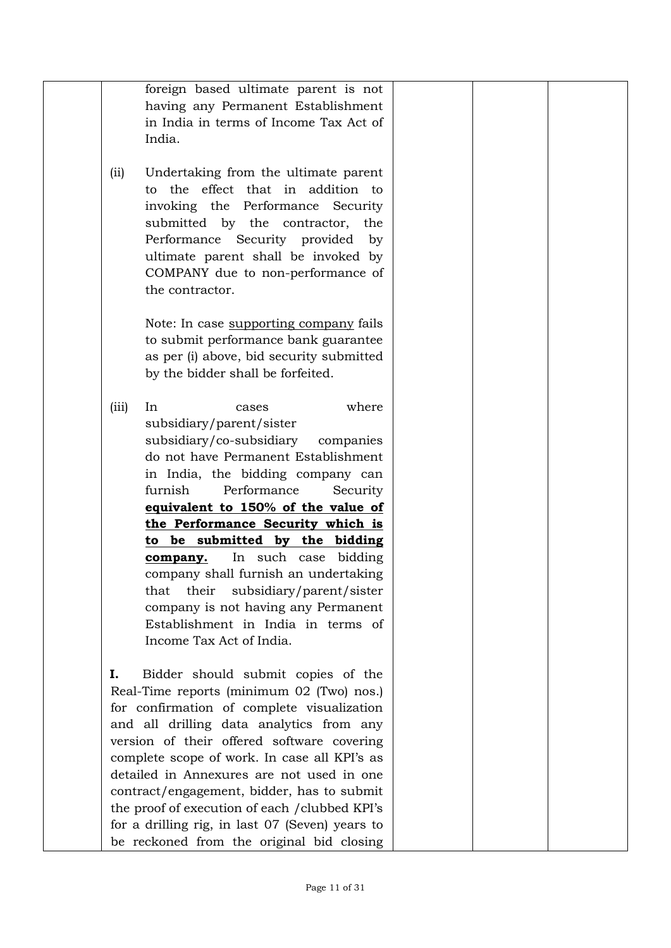|       | foreign based ultimate parent is not            |  |
|-------|-------------------------------------------------|--|
|       | having any Permanent Establishment              |  |
|       | in India in terms of Income Tax Act of          |  |
|       | India.                                          |  |
|       |                                                 |  |
| (iii) | Undertaking from the ultimate parent            |  |
|       | to the effect that in addition to               |  |
|       | invoking the Performance Security               |  |
|       | submitted by the contractor, the                |  |
|       | Performance Security provided by                |  |
|       | ultimate parent shall be invoked by             |  |
|       | COMPANY due to non-performance of               |  |
|       | the contractor.                                 |  |
|       | Note: In case supporting company fails          |  |
|       | to submit performance bank guarantee            |  |
|       | as per (i) above, bid security submitted        |  |
|       | by the bidder shall be forfeited.               |  |
|       |                                                 |  |
| (iii) | where<br>In<br>cases                            |  |
|       | subsidiary/parent/sister                        |  |
|       | subsidiary/co-subsidiary companies              |  |
|       | do not have Permanent Establishment             |  |
|       | in India, the bidding company can               |  |
|       | furnish<br>Performance<br>Security              |  |
|       | equivalent to 150% of the value of              |  |
|       | the Performance Security which is               |  |
|       | to be submitted by the bidding                  |  |
|       | In such case bidding<br>company.                |  |
|       | company shall furnish an undertaking            |  |
|       | subsidiary/parent/sister<br>their<br>that       |  |
|       | company is not having any Permanent             |  |
|       | Establishment in India in terms of              |  |
|       | Income Tax Act of India.                        |  |
| Ι.    | Bidder should submit copies of the              |  |
|       | Real-Time reports (minimum 02 (Two) nos.)       |  |
|       | for confirmation of complete visualization      |  |
|       | and all drilling data analytics from any        |  |
|       | version of their offered software covering      |  |
|       | complete scope of work. In case all KPI's as    |  |
|       | detailed in Annexures are not used in one       |  |
|       | contract/engagement, bidder, has to submit      |  |
|       | the proof of execution of each /clubbed KPI's   |  |
|       | for a drilling rig, in last 07 (Seven) years to |  |
|       | be reckoned from the original bid closing       |  |
|       |                                                 |  |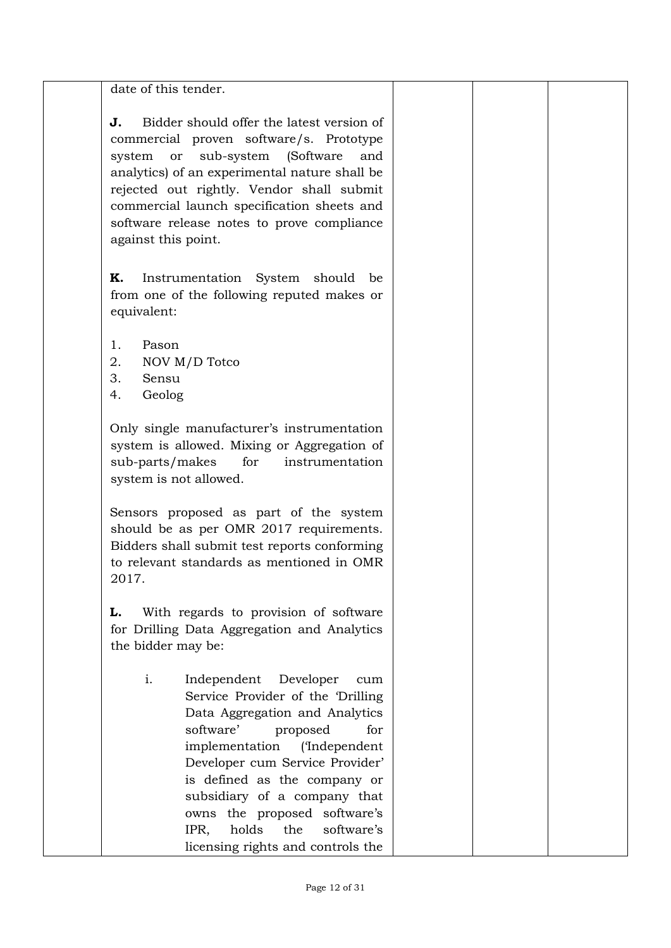date of this tender.

**J.** Bidder should offer the latest version of commercial proven software/s. Prototype system or sub-system (Software and analytics) of an experimental nature shall be rejected out rightly. Vendor shall submit commercial launch specification sheets and software release notes to prove compliance against this point.

**K.** Instrumentation System should be from one of the following reputed makes or equivalent:

- 1. Pason
- 2. NOV M/D Totco
- 3. Sensu
- 4. Geolog

Only single manufacturer's instrumentation system is allowed. Mixing or Aggregation of sub-parts/makes for instrumentation system is not allowed.

Sensors proposed as part of the system should be as per OMR 2017 requirements. Bidders shall submit test reports conforming to relevant standards as mentioned in OMR 2017.

**L.** With regards to provision of software for Drilling Data Aggregation and Analytics the bidder may be:

> i. Independent Developer cum Service Provider of the 'Drilling Data Aggregation and Analytics software' proposed for implementation ('Independent Developer cum Service Provider' is defined as the company or subsidiary of a company that owns the proposed software's IPR, holds the software's licensing rights and controls the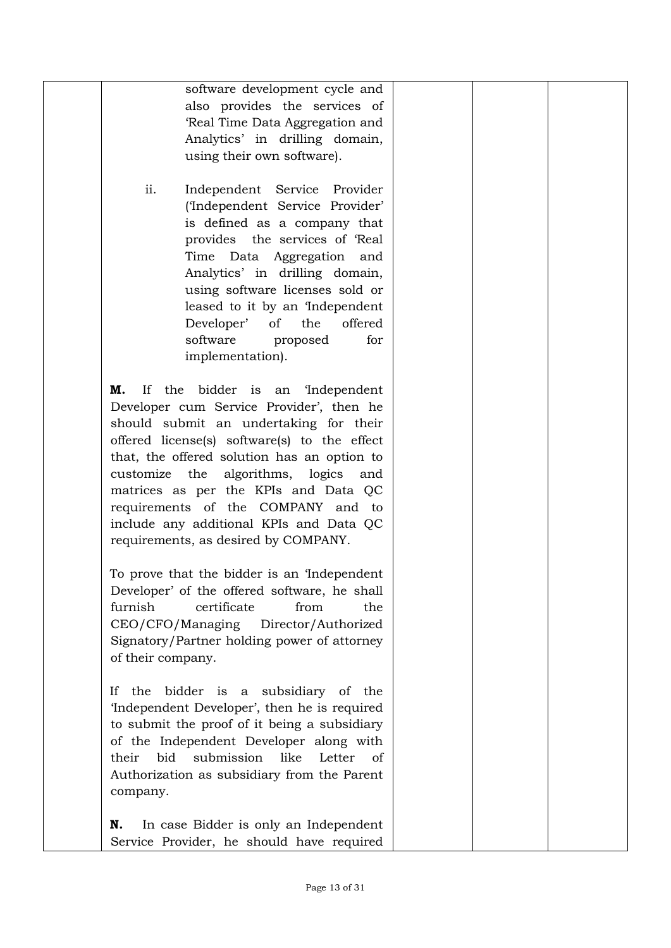| software development cycle and                     |  |  |
|----------------------------------------------------|--|--|
| also provides the services of                      |  |  |
| 'Real Time Data Aggregation and                    |  |  |
| Analytics' in drilling domain,                     |  |  |
| using their own software).                         |  |  |
|                                                    |  |  |
|                                                    |  |  |
| ii.<br>Independent Service Provider                |  |  |
| ('Independent Service Provider'                    |  |  |
| is defined as a company that                       |  |  |
| provides the services of 'Real                     |  |  |
| Time Data Aggregation and                          |  |  |
| Analytics' in drilling domain,                     |  |  |
| using software licenses sold or                    |  |  |
| leased to it by an 'Independent                    |  |  |
| Developer' of<br>the<br>offered                    |  |  |
|                                                    |  |  |
| software<br>for<br>proposed                        |  |  |
| implementation).                                   |  |  |
|                                                    |  |  |
| If the bidder is an 'Independent<br>М.             |  |  |
| Developer cum Service Provider', then he           |  |  |
| should submit an undertaking for their             |  |  |
| offered license(s) software(s) to the effect       |  |  |
| that, the offered solution has an option to        |  |  |
| customize the algorithms, logics and               |  |  |
| matrices as per the KPIs and Data QC               |  |  |
| requirements of the COMPANY and to                 |  |  |
|                                                    |  |  |
| include any additional KPIs and Data QC            |  |  |
| requirements, as desired by COMPANY.               |  |  |
|                                                    |  |  |
| To prove that the bidder is an Independent         |  |  |
| Developer' of the offered software, he shall       |  |  |
| furnish<br>certificate<br>from<br>the              |  |  |
| CEO/CFO/Managing<br>Director/Authorized            |  |  |
| Signatory/Partner holding power of attorney        |  |  |
| of their company.                                  |  |  |
|                                                    |  |  |
| bidder is a subsidiary of the<br>If<br>the         |  |  |
| 'Independent Developer', then he is required       |  |  |
| to submit the proof of it being a subsidiary       |  |  |
|                                                    |  |  |
| of the Independent Developer along with            |  |  |
| bid<br>submission<br>like<br>Letter<br>their<br>of |  |  |
| Authorization as subsidiary from the Parent        |  |  |
| company.                                           |  |  |
|                                                    |  |  |
| In case Bidder is only an Independent<br>N.        |  |  |
| Service Provider, he should have required          |  |  |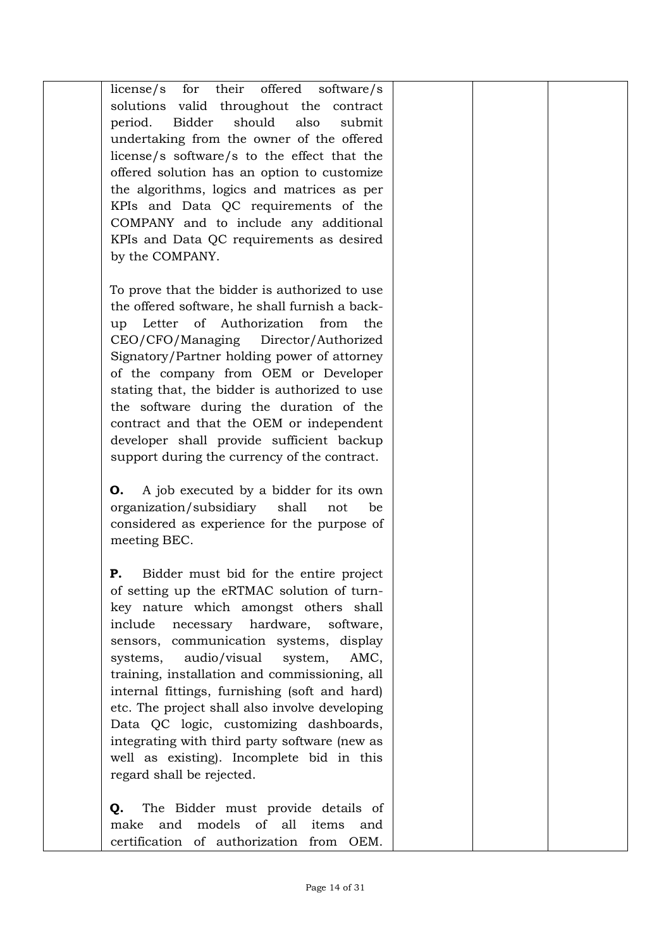| license/s for their offered software/s         |  |  |
|------------------------------------------------|--|--|
| solutions<br>valid throughout the<br>contract  |  |  |
| Bidder<br>should<br>also<br>period.<br>submit  |  |  |
| undertaking from the owner of the offered      |  |  |
| license/s software/s to the effect that the    |  |  |
| offered solution has an option to customize    |  |  |
| the algorithms, logics and matrices as per     |  |  |
| KPIs and Data QC requirements of the           |  |  |
| COMPANY and to include any additional          |  |  |
| KPIs and Data QC requirements as desired       |  |  |
| by the COMPANY.                                |  |  |
| To prove that the bidder is authorized to use  |  |  |
| the offered software, he shall furnish a back- |  |  |
| Letter of Authorization<br>from<br>up<br>the   |  |  |
| CEO/CFO/Managing Director/Authorized           |  |  |
| Signatory/Partner holding power of attorney    |  |  |
| of the company from OEM or Developer           |  |  |
| stating that, the bidder is authorized to use  |  |  |
| the software during the duration of the        |  |  |
| contract and that the OEM or independent       |  |  |
| developer shall provide sufficient backup      |  |  |
| support during the currency of the contract.   |  |  |
|                                                |  |  |
| A job executed by a bidder for its own<br>O.   |  |  |
| organization/subsidiary<br>shall<br>be<br>not  |  |  |
| considered as experience for the purpose of    |  |  |
| meeting BEC.                                   |  |  |
| Bidder must bid for the entire project<br>Ρ.   |  |  |
| of setting up the eRTMAC solution of turn-     |  |  |
| key nature which amongst others shall          |  |  |
| necessary hardware,<br>include<br>software,    |  |  |
| sensors, communication systems, display        |  |  |
| audio/visual<br>AMC,<br>system,<br>systems,    |  |  |
| training, installation and commissioning, all  |  |  |
| internal fittings, furnishing (soft and hard)  |  |  |
| etc. The project shall also involve developing |  |  |
| Data QC logic, customizing dashboards,         |  |  |
| integrating with third party software (new as  |  |  |
| well as existing). Incomplete bid in this      |  |  |
| regard shall be rejected.                      |  |  |
| The Bidder must provide details of             |  |  |
| Q.<br>and models of all items<br>make<br>and   |  |  |
| certification of authorization from OEM.       |  |  |
|                                                |  |  |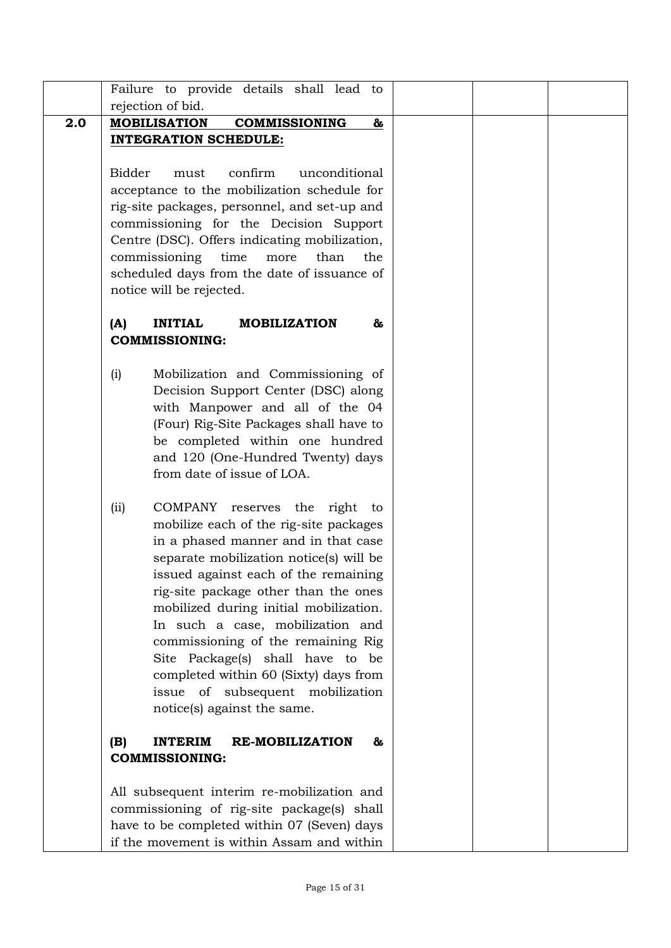|     | Failure to provide details shall lead to             |  |
|-----|------------------------------------------------------|--|
|     | rejection of bid.                                    |  |
| 2.0 | <b>MOBILISATION</b><br><b>COMMISSIONING</b><br>&     |  |
|     | <b>INTEGRATION SCHEDULE:</b>                         |  |
|     |                                                      |  |
|     | <b>Bidder</b><br>confirm<br>unconditional<br>must    |  |
|     | acceptance to the mobilization schedule for          |  |
|     | rig-site packages, personnel, and set-up and         |  |
|     | commissioning for the Decision Support               |  |
|     | Centre (DSC). Offers indicating mobilization,        |  |
|     | commissioning<br>time<br>more<br>than<br>the         |  |
|     | scheduled days from the date of issuance of          |  |
|     | notice will be rejected.                             |  |
|     |                                                      |  |
|     | <b>INITIAL</b><br>(A)<br><b>MOBILIZATION</b><br>&    |  |
|     | <b>COMMISSIONING:</b>                                |  |
|     |                                                      |  |
|     | Mobilization and Commissioning of<br>(i)             |  |
|     | Decision Support Center (DSC) along                  |  |
|     | with Manpower and all of the 04                      |  |
|     | (Four) Rig-Site Packages shall have to               |  |
|     | be completed within one hundred                      |  |
|     | and 120 (One-Hundred Twenty) days                    |  |
|     | from date of issue of LOA.                           |  |
|     |                                                      |  |
|     | COMPANY<br>reserves the right<br>(ii)<br>to          |  |
|     | mobilize each of the rig-site packages               |  |
|     | in a phased manner and in that case                  |  |
|     | separate mobilization notice(s) will be              |  |
|     | issued against each of the remaining                 |  |
|     | rig-site package other than the ones                 |  |
|     | mobilized during initial mobilization.               |  |
|     | In such a case, mobilization and                     |  |
|     | commissioning of the remaining Rig                   |  |
|     | Site Package(s) shall have to be                     |  |
|     | completed within 60 (Sixty) days from                |  |
|     | issue of subsequent mobilization                     |  |
|     | notice(s) against the same.                          |  |
|     |                                                      |  |
|     | <b>INTERIM</b><br><b>RE-MOBILIZATION</b><br>(B)<br>& |  |
|     | <b>COMMISSIONING:</b>                                |  |
|     |                                                      |  |
|     | All subsequent interim re-mobilization and           |  |
|     | commissioning of rig-site package(s) shall           |  |
|     | have to be completed within 07 (Seven) days          |  |
|     | if the movement is within Assam and within           |  |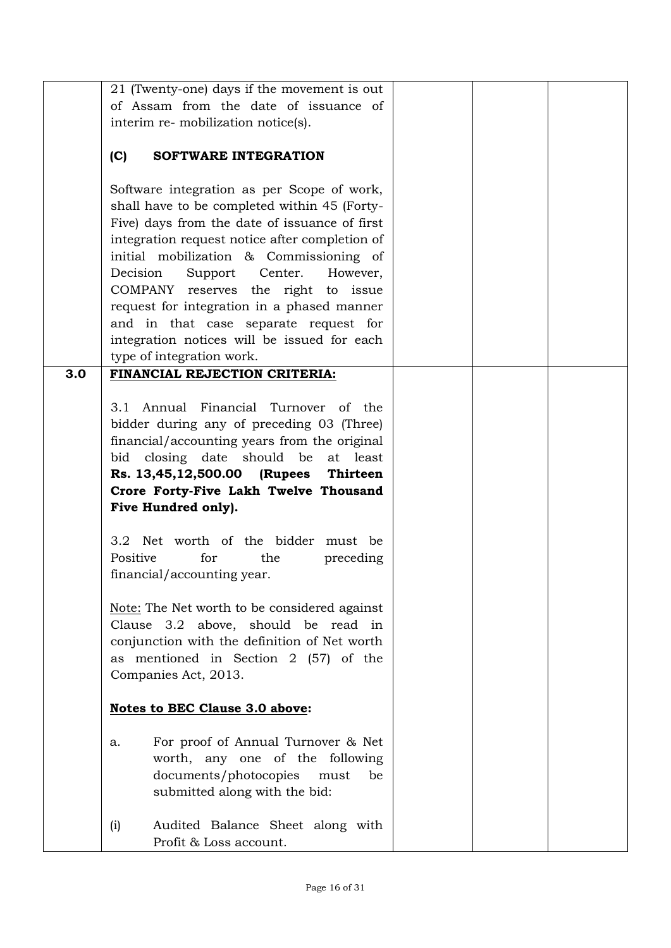|     | 21 (Twenty-one) days if the movement is out                   |  |  |
|-----|---------------------------------------------------------------|--|--|
|     | of Assam from the date of issuance of                         |  |  |
|     | interim re- mobilization notice(s).                           |  |  |
|     |                                                               |  |  |
|     | (C)<br>SOFTWARE INTEGRATION                                   |  |  |
|     |                                                               |  |  |
|     | Software integration as per Scope of work,                    |  |  |
|     | shall have to be completed within 45 (Forty-                  |  |  |
|     | Five) days from the date of issuance of first                 |  |  |
|     | integration request notice after completion of                |  |  |
|     | initial mobilization & Commissioning of                       |  |  |
|     | Support Center.<br>Decision<br>However,                       |  |  |
|     | COMPANY reserves the right to issue                           |  |  |
|     | request for integration in a phased manner                    |  |  |
|     | and in that case separate request for                         |  |  |
|     | integration notices will be issued for each                   |  |  |
|     | type of integration work.                                     |  |  |
| 3.0 | FINANCIAL REJECTION CRITERIA:                                 |  |  |
|     |                                                               |  |  |
|     | 3.1 Annual Financial Turnover of the                          |  |  |
|     | bidder during any of preceding 03 (Three)                     |  |  |
|     | financial/accounting years from the original                  |  |  |
|     | bid closing date should be<br>at least                        |  |  |
|     | Rs. 13,45,12,500.00 (Rupees Thirteen                          |  |  |
|     | Crore Forty-Five Lakh Twelve Thousand                         |  |  |
|     | Five Hundred only).                                           |  |  |
|     |                                                               |  |  |
|     | 3.2 Net worth of the bidder must be                           |  |  |
|     | Positive<br>for<br>the<br>preceding                           |  |  |
|     | financial/accounting year.                                    |  |  |
|     |                                                               |  |  |
|     | Note: The Net worth to be considered against                  |  |  |
|     | Clause 3.2 above, should be read in                           |  |  |
|     | conjunction with the definition of Net worth                  |  |  |
|     | as mentioned in Section 2 (57) of the<br>Companies Act, 2013. |  |  |
|     |                                                               |  |  |
|     | <b>Notes to BEC Clause 3.0 above:</b>                         |  |  |
|     |                                                               |  |  |
|     | For proof of Annual Turnover & Net<br>a.                      |  |  |
|     | worth, any one of the following                               |  |  |
|     | documents/photocopies<br>be<br>must                           |  |  |
|     | submitted along with the bid:                                 |  |  |
|     |                                                               |  |  |
|     | Audited Balance Sheet along with<br>(i)                       |  |  |
|     | Profit & Loss account.                                        |  |  |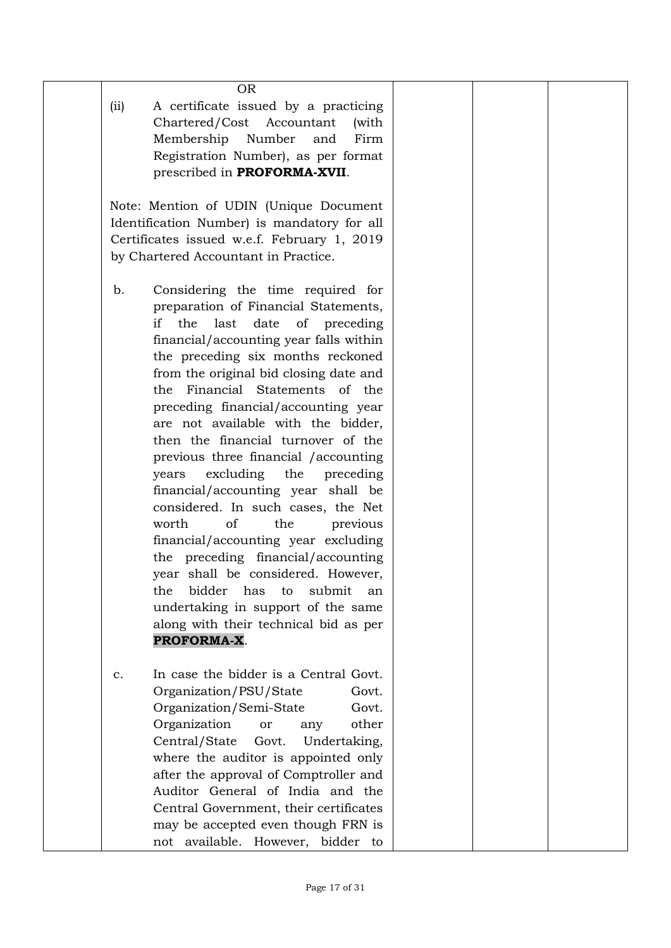|      | <b>OR</b>                                   |  |  |
|------|---------------------------------------------|--|--|
| (ii) | A certificate issued by a practicing        |  |  |
|      | Chartered/Cost Accountant<br>(with          |  |  |
|      | Membership Number<br>and<br>Firm            |  |  |
|      | Registration Number), as per format         |  |  |
|      |                                             |  |  |
|      | prescribed in PROFORMA-XVII.                |  |  |
|      |                                             |  |  |
|      | Note: Mention of UDIN (Unique Document      |  |  |
|      | Identification Number) is mandatory for all |  |  |
|      | Certificates issued w.e.f. February 1, 2019 |  |  |
|      | by Chartered Accountant in Practice.        |  |  |
|      |                                             |  |  |
| b.   | Considering the time required for           |  |  |
|      | preparation of Financial Statements,        |  |  |
|      | if<br>last<br>date<br>the<br>of preceding   |  |  |
|      | financial/accounting year falls within      |  |  |
|      | the preceding six months reckoned           |  |  |
|      |                                             |  |  |
|      | from the original bid closing date and      |  |  |
|      | Financial Statements of the<br>the          |  |  |
|      | preceding financial/accounting year         |  |  |
|      | are not available with the bidder,          |  |  |
|      | then the financial turnover of the          |  |  |
|      | previous three financial / accounting       |  |  |
|      | excluding the<br>years<br>preceding         |  |  |
|      | financial/accounting year shall be          |  |  |
|      | considered. In such cases, the Net          |  |  |
|      | of<br>worth<br>the<br>previous              |  |  |
|      | financial/accounting year excluding         |  |  |
|      | the preceding financial/accounting          |  |  |
|      | year shall be considered. However,          |  |  |
|      | bidder<br>has<br>submit<br>the<br>to        |  |  |
|      | an                                          |  |  |
|      | undertaking in support of the same          |  |  |
|      | along with their technical bid as per       |  |  |
|      | PROFORMA-X.                                 |  |  |
|      |                                             |  |  |
| c.   | In case the bidder is a Central Govt.       |  |  |
|      | Organization/PSU/State<br>Govt.             |  |  |
|      | Organization/Semi-State<br>Govt.            |  |  |
|      | Organization<br>other<br>or<br>any          |  |  |
|      | Central/State<br>Govt.<br>Undertaking,      |  |  |
|      | where the auditor is appointed only         |  |  |
|      | after the approval of Comptroller and       |  |  |
|      | Auditor General of India and the            |  |  |
|      | Central Government, their certificates      |  |  |
|      |                                             |  |  |
|      | may be accepted even though FRN is          |  |  |
|      | not available. However, bidder to           |  |  |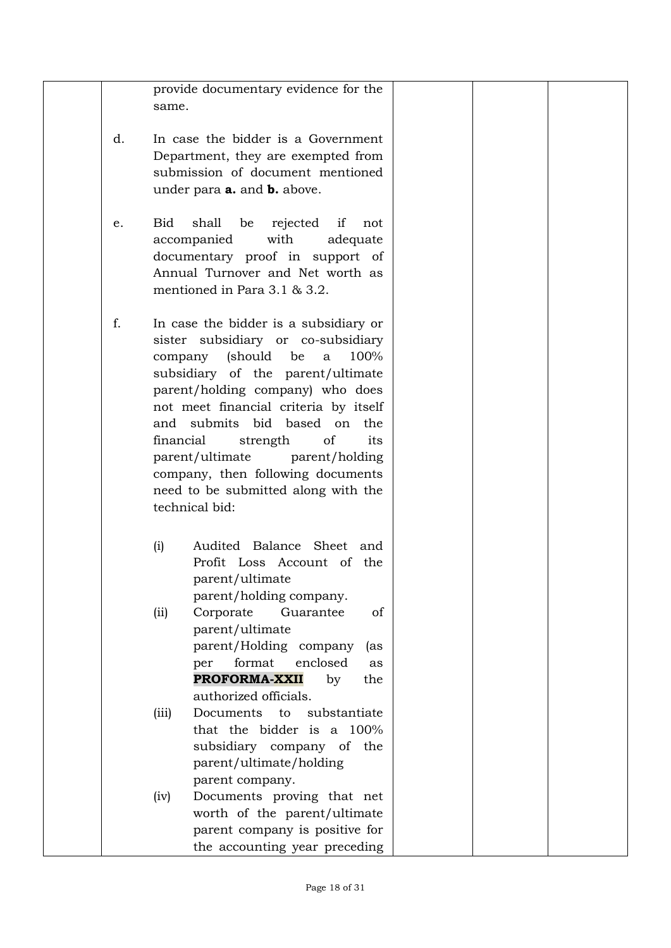|    | provide documentary evidence for the      |  |
|----|-------------------------------------------|--|
|    |                                           |  |
|    | same.                                     |  |
|    |                                           |  |
| d. | In case the bidder is a Government        |  |
|    |                                           |  |
|    | Department, they are exempted from        |  |
|    | submission of document mentioned          |  |
|    |                                           |  |
|    | under para <b>a.</b> and <b>b.</b> above. |  |
|    |                                           |  |
| e. | Bid<br>shall<br>rejected if<br>be<br>not  |  |
|    |                                           |  |
|    | with<br>accompanied<br>adequate           |  |
|    | documentary proof in support of           |  |
|    | Annual Turnover and Net worth as          |  |
|    |                                           |  |
|    | mentioned in Para 3.1 & 3.2.              |  |
|    |                                           |  |
|    |                                           |  |
| f. | In case the bidder is a subsidiary or     |  |
|    | sister subsidiary or co-subsidiary        |  |
|    | (should be<br>100%<br>company<br>a        |  |
|    |                                           |  |
|    | subsidiary of the parent/ultimate         |  |
|    | parent/holding company) who does          |  |
|    | not meet financial criteria by itself     |  |
|    |                                           |  |
|    | and submits bid based on<br>the.          |  |
|    | of<br>financial<br>strength<br>its        |  |
|    | parent/ultimate<br>parent/holding         |  |
|    |                                           |  |
|    | company, then following documents         |  |
|    | need to be submitted along with the       |  |
|    | technical bid:                            |  |
|    |                                           |  |
|    |                                           |  |
|    | Audited Balance Sheet and<br>(i)          |  |
|    |                                           |  |
|    | Profit Loss Account of the                |  |
|    | parent/ultimate                           |  |
|    | parent/holding company.                   |  |
|    |                                           |  |
|    | (ii)<br>Corporate<br>Guarantee<br>of      |  |
|    | parent/ultimate                           |  |
|    | parent/Holding company<br>(as             |  |
|    |                                           |  |
|    | format<br>enclosed<br>per<br>as           |  |
|    | PROFORMA-XXII<br>by<br>the                |  |
|    | authorized officials.                     |  |
|    |                                           |  |
|    | Documents<br>to<br>substantiate<br>(iii)  |  |
|    | that the bidder is a 100%                 |  |
|    | subsidiary company of the                 |  |
|    |                                           |  |
|    | parent/ultimate/holding                   |  |
|    | parent company.                           |  |
|    |                                           |  |
|    | Documents proving that net<br>(iv)        |  |
|    | worth of the parent/ultimate              |  |
|    | parent company is positive for            |  |
|    |                                           |  |
|    | the accounting year preceding             |  |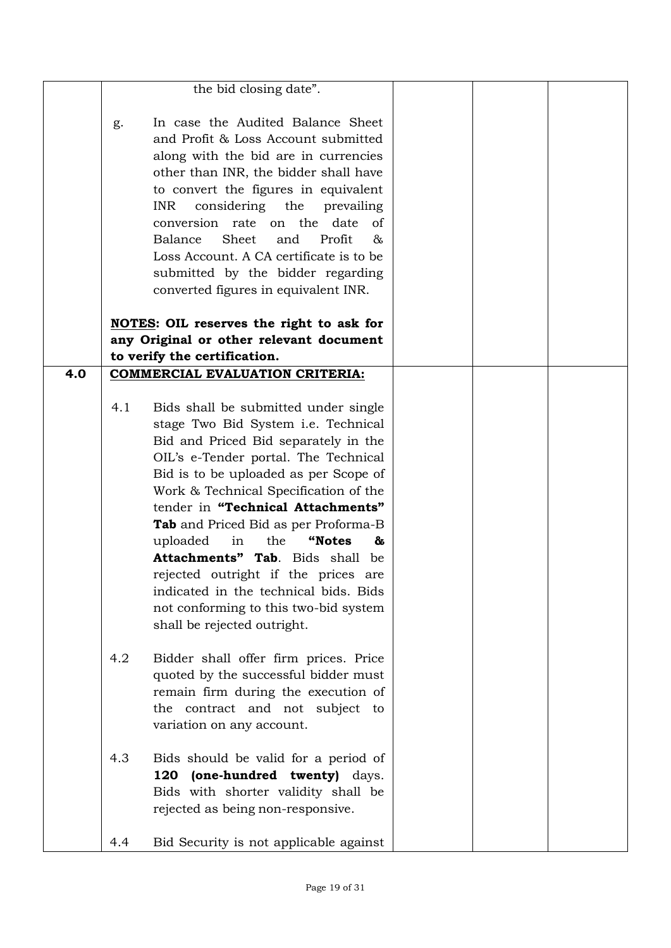|     |               | the bid closing date".                                                                                                                                                                                                                                                                                                                                                                                                                                                                                                                                               |  |  |
|-----|---------------|----------------------------------------------------------------------------------------------------------------------------------------------------------------------------------------------------------------------------------------------------------------------------------------------------------------------------------------------------------------------------------------------------------------------------------------------------------------------------------------------------------------------------------------------------------------------|--|--|
|     | g.            | In case the Audited Balance Sheet<br>and Profit & Loss Account submitted<br>along with the bid are in currencies<br>other than INR, the bidder shall have<br>to convert the figures in equivalent<br>considering the<br><b>INR</b><br>prevailing<br>conversion rate on the date<br>of<br>Balance<br>Sheet<br>Profit<br>and<br>&<br>Loss Account. A CA certificate is to be<br>submitted by the bidder regarding<br>converted figures in equivalent INR.                                                                                                              |  |  |
|     |               | NOTES: OIL reserves the right to ask for                                                                                                                                                                                                                                                                                                                                                                                                                                                                                                                             |  |  |
|     |               | any Original or other relevant document                                                                                                                                                                                                                                                                                                                                                                                                                                                                                                                              |  |  |
|     |               | to verify the certification.                                                                                                                                                                                                                                                                                                                                                                                                                                                                                                                                         |  |  |
| 4.0 |               | <b>COMMERCIAL EVALUATION CRITERIA:</b>                                                                                                                                                                                                                                                                                                                                                                                                                                                                                                                               |  |  |
|     | 4.1           | Bids shall be submitted under single<br>stage Two Bid System i.e. Technical<br>Bid and Priced Bid separately in the<br>OIL's e-Tender portal. The Technical<br>Bid is to be uploaded as per Scope of<br>Work & Technical Specification of the<br>tender in "Technical Attachments"<br><b>Tab</b> and Priced Bid as per Proforma-B<br>uploaded<br>in<br>the<br>"Notes<br>&<br>Attachments" Tab. Bids shall be<br>rejected outright if the prices are<br>indicated in the technical bids. Bids<br>not conforming to this two-bid system<br>shall be rejected outright. |  |  |
|     | $4.2^{\circ}$ | Bidder shall offer firm prices. Price<br>quoted by the successful bidder must<br>remain firm during the execution of<br>the contract and not subject to<br>variation on any account.                                                                                                                                                                                                                                                                                                                                                                                 |  |  |
|     | 4.3           | Bids should be valid for a period of<br>(one-hundred twenty) days.<br>120<br>Bids with shorter validity shall be<br>rejected as being non-responsive.                                                                                                                                                                                                                                                                                                                                                                                                                |  |  |
|     | 4.4           | Bid Security is not applicable against                                                                                                                                                                                                                                                                                                                                                                                                                                                                                                                               |  |  |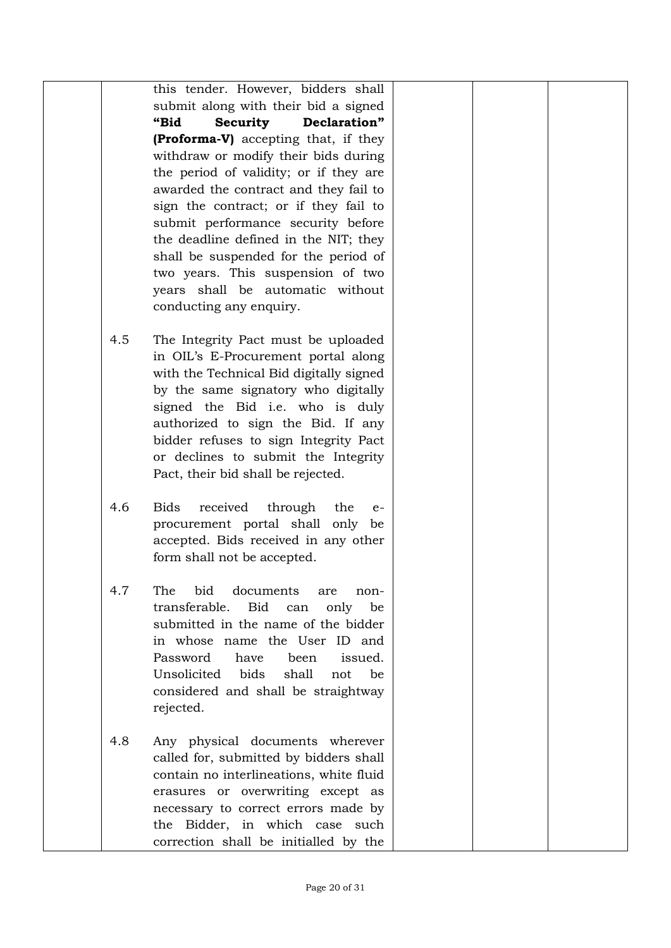|     | this tender. However, bidders shall                                      |  |  |
|-----|--------------------------------------------------------------------------|--|--|
|     | submit along with their bid a signed                                     |  |  |
|     | "Bid<br>Declaration"<br><b>Security</b>                                  |  |  |
|     | (Proforma-V) accepting that, if they                                     |  |  |
|     | withdraw or modify their bids during                                     |  |  |
|     | the period of validity; or if they are                                   |  |  |
|     | awarded the contract and they fail to                                    |  |  |
|     | sign the contract; or if they fail to                                    |  |  |
|     | submit performance security before                                       |  |  |
|     | the deadline defined in the NIT; they                                    |  |  |
|     | shall be suspended for the period of                                     |  |  |
|     | two years. This suspension of two                                        |  |  |
|     | years shall be automatic without                                         |  |  |
|     | conducting any enquiry.                                                  |  |  |
|     |                                                                          |  |  |
| 4.5 | The Integrity Pact must be uploaded                                      |  |  |
|     | in OIL's E-Procurement portal along                                      |  |  |
|     | with the Technical Bid digitally signed                                  |  |  |
|     | by the same signatory who digitally<br>signed the Bid i.e. who is duly   |  |  |
|     | authorized to sign the Bid. If any                                       |  |  |
|     | bidder refuses to sign Integrity Pact                                    |  |  |
|     | or declines to submit the Integrity                                      |  |  |
|     | Pact, their bid shall be rejected.                                       |  |  |
|     |                                                                          |  |  |
| 4.6 | received<br><b>Bids</b><br>through<br>the<br>$e-$                        |  |  |
|     | procurement portal shall only be                                         |  |  |
|     | accepted. Bids received in any other                                     |  |  |
|     | form shall not be accepted.                                              |  |  |
|     |                                                                          |  |  |
| 4.7 | bid<br>documents<br>The<br>are<br>non-                                   |  |  |
|     | transferable.<br>Bid<br>be<br>can<br>only                                |  |  |
|     | submitted in the name of the bidder                                      |  |  |
|     | in whose name the User ID and                                            |  |  |
|     | Password<br>been<br>issued.<br>have                                      |  |  |
|     | Unsolicited<br>bids<br>shall<br>be<br>not                                |  |  |
|     | considered and shall be straightway                                      |  |  |
|     | rejected.                                                                |  |  |
|     |                                                                          |  |  |
| 4.8 | Any physical documents wherever                                          |  |  |
|     | called for, submitted by bidders shall                                   |  |  |
|     | contain no interlineations, white fluid                                  |  |  |
|     | erasures or overwriting except as<br>necessary to correct errors made by |  |  |
|     | the Bidder, in which case such                                           |  |  |
|     | correction shall be initialled by the                                    |  |  |
|     |                                                                          |  |  |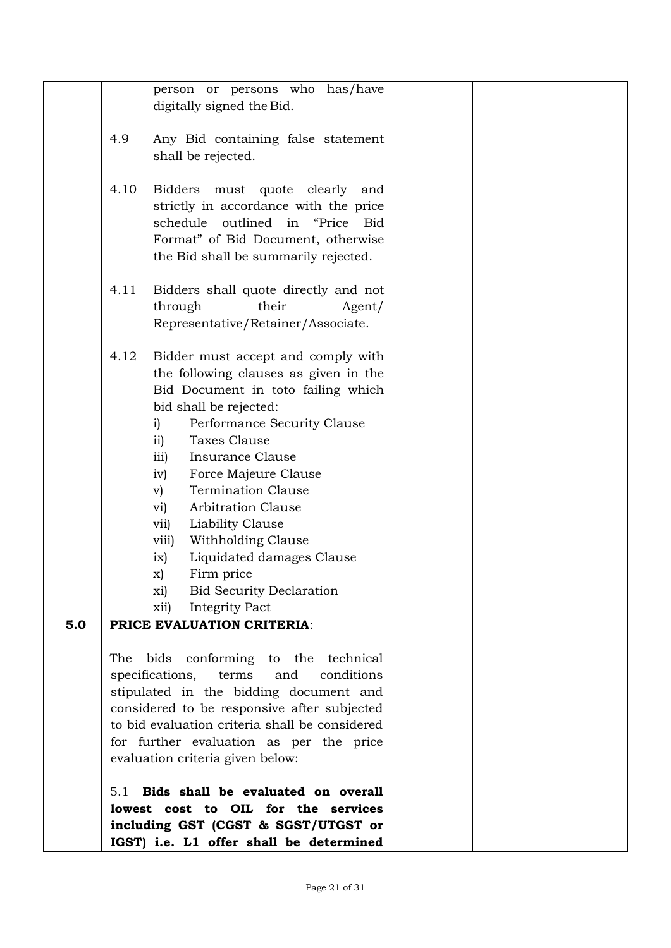|     | person or persons who has/have<br>digitally signed the Bid.                                                                                                                                                                                                                                                                                                                                                                                                                                                                                                                          |  |
|-----|--------------------------------------------------------------------------------------------------------------------------------------------------------------------------------------------------------------------------------------------------------------------------------------------------------------------------------------------------------------------------------------------------------------------------------------------------------------------------------------------------------------------------------------------------------------------------------------|--|
|     | 4.9<br>Any Bid containing false statement<br>shall be rejected.                                                                                                                                                                                                                                                                                                                                                                                                                                                                                                                      |  |
|     | 4.10<br>Bidders must quote clearly and<br>strictly in accordance with the price<br>schedule outlined in "Price Bid<br>Format" of Bid Document, otherwise<br>the Bid shall be summarily rejected.                                                                                                                                                                                                                                                                                                                                                                                     |  |
|     | Bidders shall quote directly and not<br>4.11<br>their<br>through<br>Agent/<br>Representative/Retainer/Associate.                                                                                                                                                                                                                                                                                                                                                                                                                                                                     |  |
|     | 4.12<br>Bidder must accept and comply with<br>the following clauses as given in the<br>Bid Document in toto failing which<br>bid shall be rejected:<br>Performance Security Clause<br>i)<br>$\overline{11}$<br>Taxes Clause<br><b>Insurance Clause</b><br>$\overline{111}$<br>Force Majeure Clause<br>iv)<br><b>Termination Clause</b><br>$\rm v)$<br><b>Arbitration Clause</b><br>vi)<br>Liability Clause<br>vii)<br>Withholding Clause<br>viii)<br>Liquidated damages Clause<br>ix)<br>Firm price<br>x)<br><b>Bid Security Declaration</b><br>xi)<br><b>Integrity Pact</b><br>xii) |  |
| 5.0 | PRICE EVALUATION CRITERIA:<br>conforming to the technical<br>bids<br>The<br>specifications,<br>conditions<br>terms<br>and<br>stipulated in the bidding document and<br>considered to be responsive after subjected<br>to bid evaluation criteria shall be considered<br>for further evaluation as per the price<br>evaluation criteria given below:                                                                                                                                                                                                                                  |  |
|     | Bids shall be evaluated on overall<br>5.1<br>lowest cost to OIL for the services<br>including GST (CGST & SGST/UTGST or<br>IGST) i.e. L1 offer shall be determined                                                                                                                                                                                                                                                                                                                                                                                                                   |  |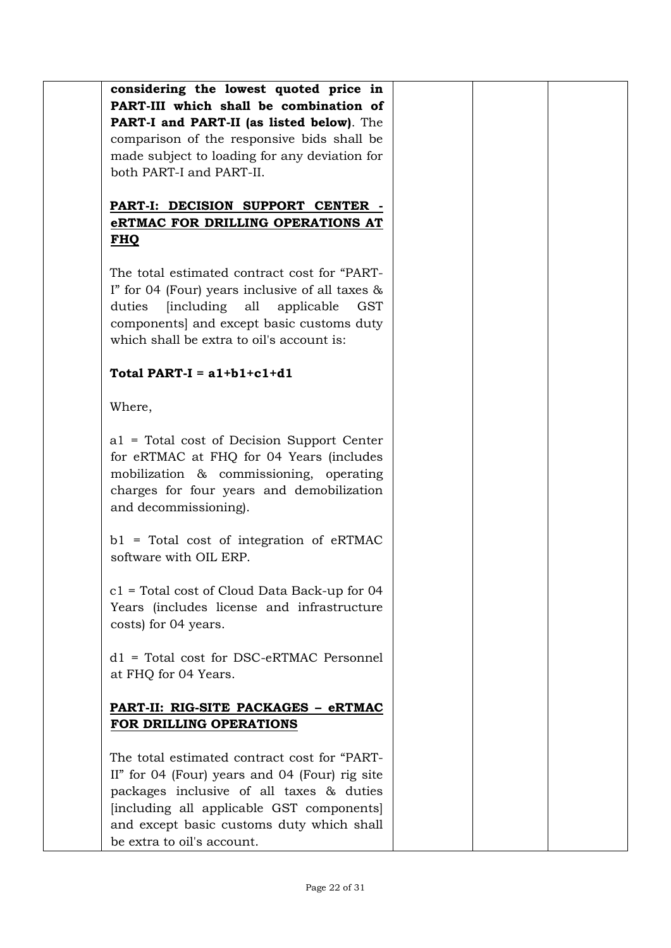**considering the lowest quoted price in PART-III which shall be combination of PART-I and PART-II (as listed below)**. The comparison of the responsive bids shall be made subject to loading for any deviation for both PART-I and PART-II.

# **PART-I: DECISION SUPPORT CENTER eRTMAC FOR DRILLING OPERATIONS AT FHQ**

The total estimated contract cost for "PART-I" for 04 (Four) years inclusive of all taxes & duties [including all applicable GST components] and except basic customs duty which shall be extra to oil's account is:

# **Total PART-I = a1+b1+c1+d1**

Where,

a1 = Total cost of Decision Support Center for eRTMAC at FHQ for 04 Years (includes mobilization & commissioning, operating charges for four years and demobilization and decommissioning).

b1 = Total cost of integration of eRTMAC software with OIL ERP.

c1 = Total cost of Cloud Data Back-up for 04 Years (includes license and infrastructure costs) for 04 years.

d1 = Total cost for DSC-eRTMAC Personnel at FHQ for 04 Years.

# **PART-II: RIG-SITE PACKAGES – eRTMAC FOR DRILLING OPERATIONS**

The total estimated contract cost for "PART-II" for 04 (Four) years and 04 (Four) rig site packages inclusive of all taxes & duties [including all applicable GST components] and except basic customs duty which shall be extra to oil's account.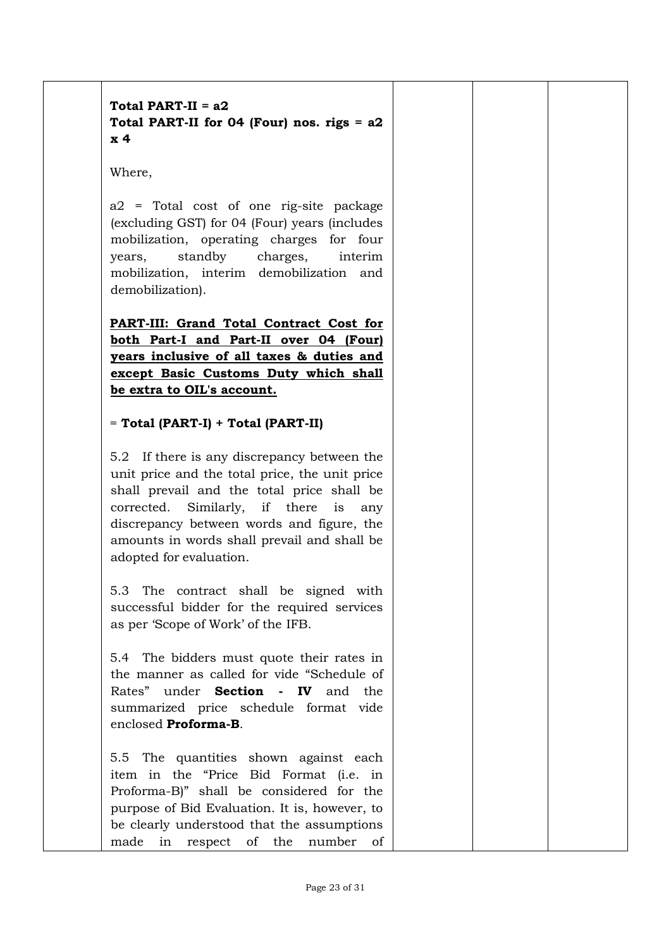# **Total PART-II = a2 Total PART-II for 04 (Four) nos. rigs = a2 x 4**

Where,

a2 = Total cost of one rig-site package (excluding GST) for 04 (Four) years (includes mobilization, operating charges for four years, standby charges, interim mobilization, interim demobilization and demobilization).

**PART-III: Grand Total Contract Cost for both Part-I and Part-II over 04 (Four) years inclusive of all taxes & duties and except Basic Customs Duty which shall be extra to OIL's account.**

## = **Total (PART-I) + Total (PART-II)**

5.2 If there is any discrepancy between the unit price and the total price, the unit price shall prevail and the total price shall be corrected. Similarly, if there is any discrepancy between words and figure, the amounts in words shall prevail and shall be adopted for evaluation.

5.3 The contract shall be signed with successful bidder for the required services as per 'Scope of Work' of the IFB.

5.4 The bidders must quote their rates in the manner as called for vide "Schedule of Rates" under **Section - IV** and the summarized price schedule format vide enclosed **Proforma-B**.

5.5 The quantities shown against each item in the "Price Bid Format (i.e. in Proforma-B)" shall be considered for the purpose of Bid Evaluation. It is, however, to be clearly understood that the assumptions made in respect of the number of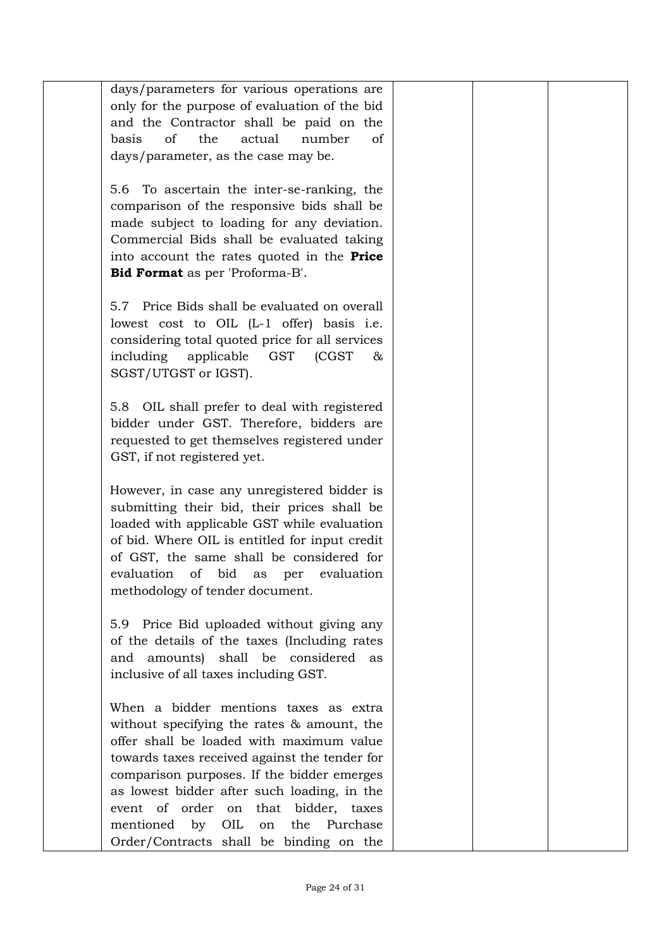| days/parameters for various operations are        |  |  |
|---------------------------------------------------|--|--|
| only for the purpose of evaluation of the bid     |  |  |
| and the Contractor shall be paid on the           |  |  |
| the<br>actual<br>number<br>basis<br>οf<br>οf      |  |  |
| days/parameter, as the case may be.               |  |  |
|                                                   |  |  |
|                                                   |  |  |
| To ascertain the inter-se-ranking, the<br>5.6     |  |  |
| comparison of the responsive bids shall be        |  |  |
| made subject to loading for any deviation.        |  |  |
| Commercial Bids shall be evaluated taking         |  |  |
| into account the rates quoted in the <b>Price</b> |  |  |
| <b>Bid Format</b> as per 'Proforma-B'.            |  |  |
|                                                   |  |  |
| 5.7 Price Bids shall be evaluated on overall      |  |  |
|                                                   |  |  |
| lowest cost to OIL (L-1 offer) basis i.e.         |  |  |
| considering total quoted price for all services   |  |  |
| including<br>applicable<br>GST<br>(CGST)<br>&     |  |  |
| SGST/UTGST or IGST).                              |  |  |
|                                                   |  |  |
| 5.8 OIL shall prefer to deal with registered      |  |  |
| bidder under GST. Therefore, bidders are          |  |  |
| requested to get themselves registered under      |  |  |
|                                                   |  |  |
| GST, if not registered yet.                       |  |  |
|                                                   |  |  |
| However, in case any unregistered bidder is       |  |  |
| submitting their bid, their prices shall be       |  |  |
| loaded with applicable GST while evaluation       |  |  |
| of bid. Where OIL is entitled for input credit    |  |  |
| of GST, the same shall be considered for          |  |  |
| evaluation<br>of bid<br>evaluation<br>as<br>per   |  |  |
| methodology of tender document.                   |  |  |
|                                                   |  |  |
| Price Bid uploaded without giving any<br>5.9      |  |  |
|                                                   |  |  |
| of the details of the taxes (Including rates      |  |  |
| and amounts) shall be considered<br>as            |  |  |
| inclusive of all taxes including GST.             |  |  |
|                                                   |  |  |
| When a bidder mentions taxes as extra             |  |  |
| without specifying the rates & amount, the        |  |  |
| offer shall be loaded with maximum value          |  |  |
| towards taxes received against the tender for     |  |  |
| comparison purposes. If the bidder emerges        |  |  |
| as lowest bidder after such loading, in the       |  |  |
|                                                   |  |  |
| event of order on that bidder, taxes              |  |  |
| by OIL<br>the Purchase<br>mentioned<br>on         |  |  |
| Order/Contracts shall be binding on the           |  |  |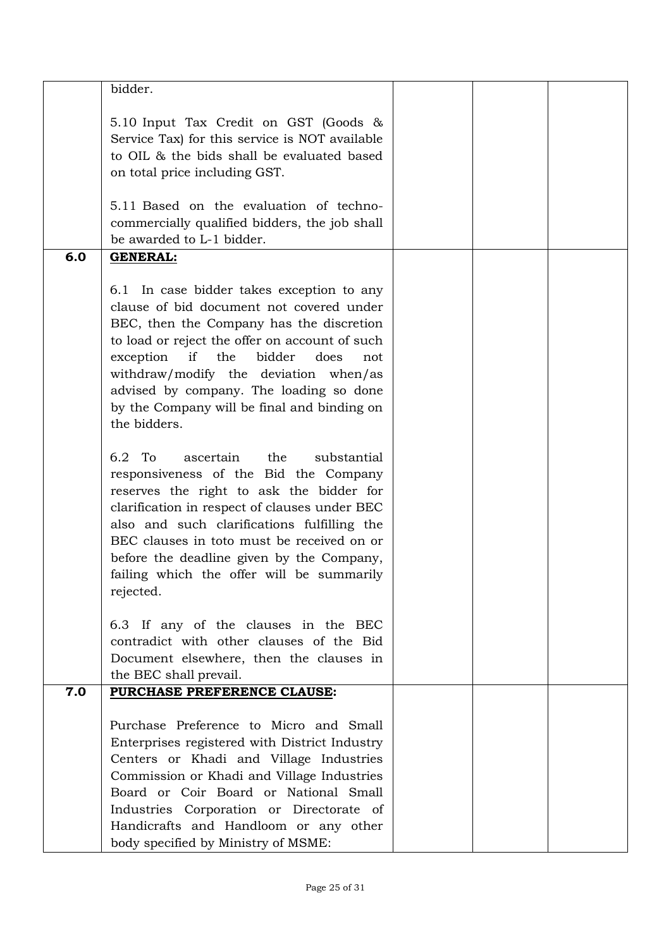|     | bidder.                                        |  |  |
|-----|------------------------------------------------|--|--|
|     | 5.10 Input Tax Credit on GST (Goods &          |  |  |
|     | Service Tax) for this service is NOT available |  |  |
|     | to OIL & the bids shall be evaluated based     |  |  |
|     | on total price including GST.                  |  |  |
|     |                                                |  |  |
|     | 5.11 Based on the evaluation of techno-        |  |  |
|     | commercially qualified bidders, the job shall  |  |  |
|     | be awarded to L-1 bidder.                      |  |  |
| 6.0 | <b>GENERAL:</b>                                |  |  |
|     |                                                |  |  |
|     | 6.1 In case bidder takes exception to any      |  |  |
|     | clause of bid document not covered under       |  |  |
|     | BEC, then the Company has the discretion       |  |  |
|     | to load or reject the offer on account of such |  |  |
|     | if the<br>bidder<br>exception<br>does<br>not   |  |  |
|     | withdraw/modify the deviation when/as          |  |  |
|     | advised by company. The loading so done        |  |  |
|     | by the Company will be final and binding on    |  |  |
|     | the bidders.                                   |  |  |
|     |                                                |  |  |
|     | 6.2 To<br>ascertain the<br>substantial         |  |  |
|     | responsiveness of the Bid the Company          |  |  |
|     | reserves the right to ask the bidder for       |  |  |
|     | clarification in respect of clauses under BEC  |  |  |
|     | also and such clarifications fulfilling the    |  |  |
|     | BEC clauses in toto must be received on or     |  |  |
|     | before the deadline given by the Company,      |  |  |
|     | failing which the offer will be summarily      |  |  |
|     | rejected.                                      |  |  |
|     | 6.3 If any of the clauses in the BEC           |  |  |
|     | contradict with other clauses of the Bid       |  |  |
|     | Document elsewhere, then the clauses in        |  |  |
|     | the BEC shall prevail.                         |  |  |
| 7.0 | PURCHASE PREFERENCE CLAUSE:                    |  |  |
|     |                                                |  |  |
|     | Purchase Preference to Micro and Small         |  |  |
|     | Enterprises registered with District Industry  |  |  |
|     | Centers or Khadi and Village Industries        |  |  |
|     | Commission or Khadi and Village Industries     |  |  |
|     | Board or Coir Board or National Small          |  |  |
|     | Industries Corporation or Directorate of       |  |  |
|     | Handicrafts and Handloom or any other          |  |  |
|     | body specified by Ministry of MSME:            |  |  |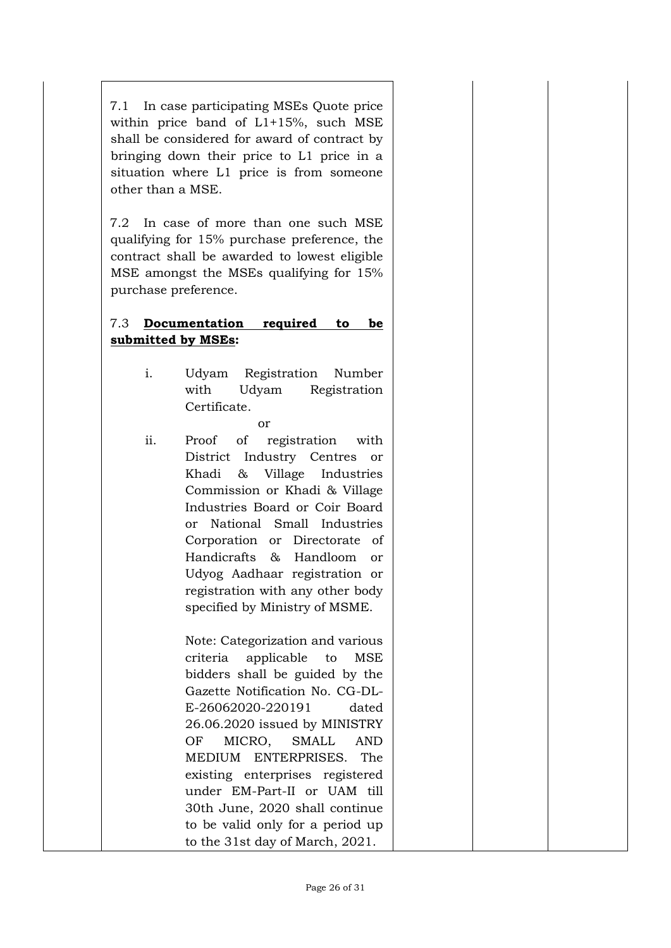7.1 In case participating MSEs Quote price within price band of L1+15%, such MSE shall be considered for award of contract by bringing down their price to L1 price in a situation where L1 price is from someone other than a MSE.

7.2 In case of more than one such MSE qualifying for 15% purchase preference, the contract shall be awarded to lowest eligible MSE amongst the MSEs qualifying for 15% purchase preference.

# 7.3 **Documentation required to be submitted by MSEs:**

- i. Udyam Registration Number with Udyam Registration Certificate.
	- or
- ii. Proof of registration with District Industry Centres or Khadi & Village Industries Commission or Khadi & Village Industries Board or Coir Board or National Small Industries Corporation or Directorate of Handicrafts & Handloom or Udyog Aadhaar registration or registration with any other body specified by Ministry of MSME.

Note: Categorization and various criteria applicable to MSE bidders shall be guided by the Gazette Notification No. CG-DL-E-26062020-220191 dated 26.06.2020 issued by MINISTRY OF MICRO, SMALL AND MEDIUM ENTERPRISES. The existing enterprises registered under EM-Part-II or UAM till 30th June, 2020 shall continue to be valid only for a period up to the 31st day of March, 2021.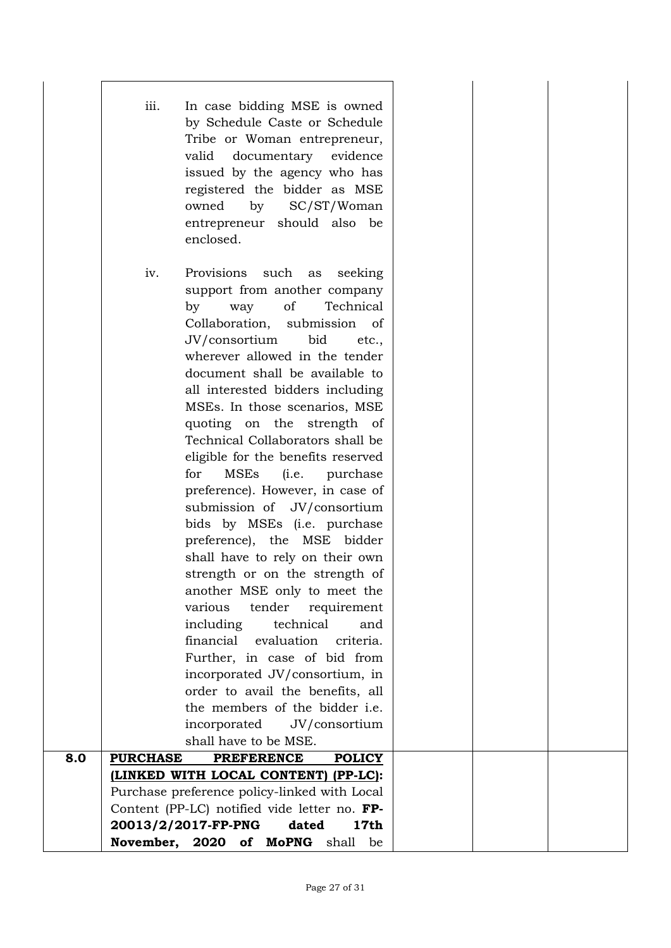|     | iii.<br>In case bidding MSE is owned<br>by Schedule Caste or Schedule<br>Tribe or Woman entrepreneur,<br>documentary evidence<br>valid<br>issued by the agency who has<br>registered the bidder as MSE<br>by<br>SC/ST/Woman<br>owned<br>entrepreneur should also be<br>enclosed.                                                                                                                                                                                                                                                                                                                                                                                                                                                                                                                                                                                                                                                                                                    |  |  |
|-----|-------------------------------------------------------------------------------------------------------------------------------------------------------------------------------------------------------------------------------------------------------------------------------------------------------------------------------------------------------------------------------------------------------------------------------------------------------------------------------------------------------------------------------------------------------------------------------------------------------------------------------------------------------------------------------------------------------------------------------------------------------------------------------------------------------------------------------------------------------------------------------------------------------------------------------------------------------------------------------------|--|--|
|     | iv.<br>Provisions such<br>seeking<br>as<br>support from another company<br>of<br>Technical<br>by<br>way<br>Collaboration, submission of<br>JV/consortium<br>bid<br>etc.,<br>wherever allowed in the tender<br>document shall be available to<br>all interested bidders including<br>MSEs. In those scenarios, MSE<br>quoting on the strength of<br>Technical Collaborators shall be<br>eligible for the benefits reserved<br>MSEs<br>for<br>(i.e. purchase<br>preference). However, in case of<br>submission of JV/consortium<br>bids by MSEs (i.e. purchase<br>preference), the MSE bidder<br>shall have to rely on their own<br>strength or on the strength of<br>another MSE only to meet the<br>various<br>tender<br>requirement<br>including<br>technical<br>and<br>financial evaluation<br>criteria.<br>Further, in case of bid from<br>incorporated JV/consortium, in<br>order to avail the benefits, all<br>the members of the bidder i.e.<br>incorporated<br>JV/consortium |  |  |
|     | shall have to be MSE.                                                                                                                                                                                                                                                                                                                                                                                                                                                                                                                                                                                                                                                                                                                                                                                                                                                                                                                                                               |  |  |
| 8.0 | <b>POLICY</b><br><b>PURCHASE</b><br><b>PREFERENCE</b>                                                                                                                                                                                                                                                                                                                                                                                                                                                                                                                                                                                                                                                                                                                                                                                                                                                                                                                               |  |  |
|     | (LINKED WITH LOCAL CONTENT) (PP-LC):<br>Purchase preference policy-linked with Local<br>Content (PP-LC) notified vide letter no. FP-<br>20013/2/2017-FP-PNG<br>dated<br>17th                                                                                                                                                                                                                                                                                                                                                                                                                                                                                                                                                                                                                                                                                                                                                                                                        |  |  |
|     | November, 2020 of MoPNG shall<br>be                                                                                                                                                                                                                                                                                                                                                                                                                                                                                                                                                                                                                                                                                                                                                                                                                                                                                                                                                 |  |  |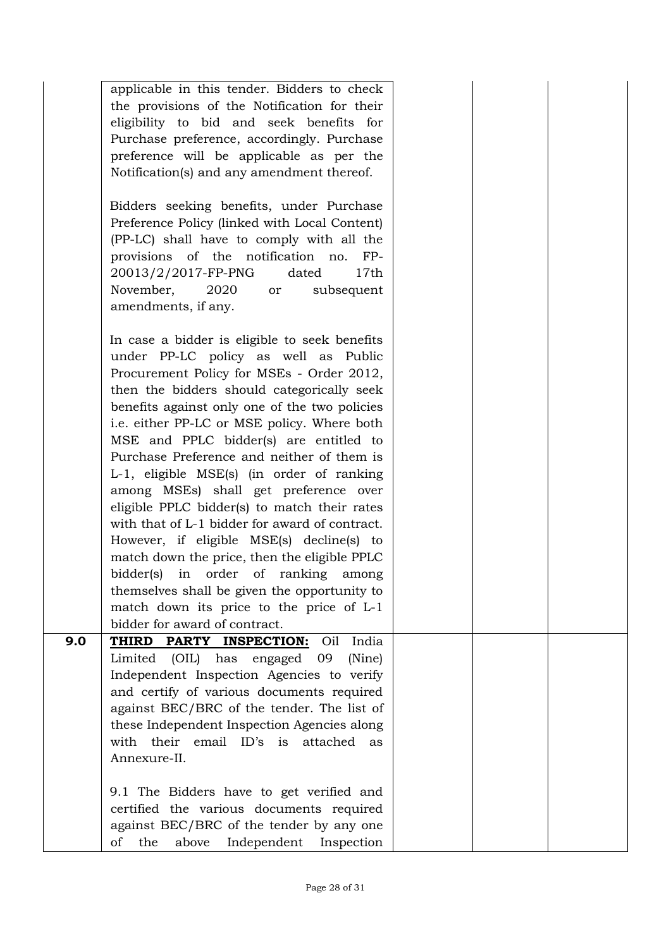|     | applicable in this tender. Bidders to check<br>the provisions of the Notification for their<br>eligibility to bid and seek benefits for<br>Purchase preference, accordingly. Purchase<br>preference will be applicable as per the<br>Notification(s) and any amendment thereof.<br>Bidders seeking benefits, under Purchase<br>Preference Policy (linked with Local Content)<br>(PP-LC) shall have to comply with all the<br>provisions of the notification no.<br>$FP-$                                                                                                                                                                                                                                                                                                                                                             |  |  |
|-----|--------------------------------------------------------------------------------------------------------------------------------------------------------------------------------------------------------------------------------------------------------------------------------------------------------------------------------------------------------------------------------------------------------------------------------------------------------------------------------------------------------------------------------------------------------------------------------------------------------------------------------------------------------------------------------------------------------------------------------------------------------------------------------------------------------------------------------------|--|--|
|     | 20013/2/2017-FP-PNG<br>dated<br>17th<br>November,<br>2020<br>subsequent<br>or<br>amendments, if any.                                                                                                                                                                                                                                                                                                                                                                                                                                                                                                                                                                                                                                                                                                                                 |  |  |
|     | In case a bidder is eligible to seek benefits<br>under PP-LC policy as well as Public<br>Procurement Policy for MSEs - Order 2012,<br>then the bidders should categorically seek<br>benefits against only one of the two policies<br>i.e. either PP-LC or MSE policy. Where both<br>MSE and PPLC bidder(s) are entitled to<br>Purchase Preference and neither of them is<br>L-1, eligible MSE(s) (in order of ranking<br>among MSEs) shall get preference over<br>eligible PPLC bidder(s) to match their rates<br>with that of L-1 bidder for award of contract.<br>However, if eligible MSE(s) decline(s) to<br>match down the price, then the eligible PPLC<br>bidder(s) in order of ranking<br>among<br>themselves shall be given the opportunity to<br>match down its price to the price of L-1<br>bidder for award of contract. |  |  |
| 9.0 | Oil<br>India<br>THIRD PARTY INSPECTION:<br>Limited (OIL) has<br>engaged 09<br>(Nine)                                                                                                                                                                                                                                                                                                                                                                                                                                                                                                                                                                                                                                                                                                                                                 |  |  |
|     | Independent Inspection Agencies to verify<br>and certify of various documents required                                                                                                                                                                                                                                                                                                                                                                                                                                                                                                                                                                                                                                                                                                                                               |  |  |
|     | against BEC/BRC of the tender. The list of                                                                                                                                                                                                                                                                                                                                                                                                                                                                                                                                                                                                                                                                                                                                                                                           |  |  |
|     | these Independent Inspection Agencies along<br>with their email ID's is attached<br>as<br>Annexure-II.                                                                                                                                                                                                                                                                                                                                                                                                                                                                                                                                                                                                                                                                                                                               |  |  |
|     | 9.1 The Bidders have to get verified and<br>certified the various documents required<br>against BEC/BRC of the tender by any one<br>the<br>above<br>Independent Inspection<br>of                                                                                                                                                                                                                                                                                                                                                                                                                                                                                                                                                                                                                                                     |  |  |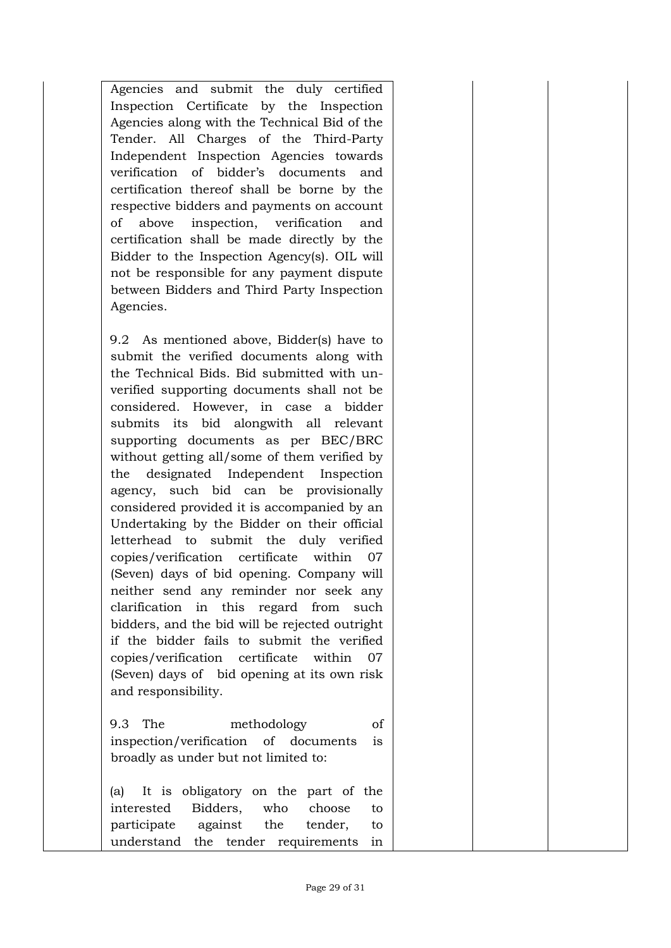Agencies and submit the duly certified Inspection Certificate by the Inspection Agencies along with the Technical Bid of the Tender. All Charges of the Third-Party Independent Inspection Agencies towards verification of bidder's documents and certification thereof shall be borne by the respective bidders and payments on account of above inspection, verification and certification shall be made directly by the Bidder to the Inspection Agency(s). OIL will not be responsible for any payment dispute between Bidders and Third Party Inspection Agencies.

9.2 As mentioned above, Bidder(s) have to submit the verified documents along with the Technical Bids. Bid submitted with unverified supporting documents shall not be considered. However, in case a bidder submits its bid alongwith all relevant supporting documents as per BEC/BRC without getting all/some of them verified by the designated Independent Inspection agency, such bid can be provisionally considered provided it is accompanied by an Undertaking by the Bidder on their official letterhead to submit the duly verified copies/verification certificate within 07 (Seven) days of bid opening. Company will neither send any reminder nor seek any clarification in this regard from such bidders, and the bid will be rejected outright if the bidder fails to submit the verified copies/verification certificate within 07 (Seven) days of bid opening at its own risk and responsibility.

9.3 The methodology of inspection/verification of documents is broadly as under but not limited to:

(a) It is obligatory on the part of the interested Bidders, who choose to participate against the tender, to understand the tender requirements in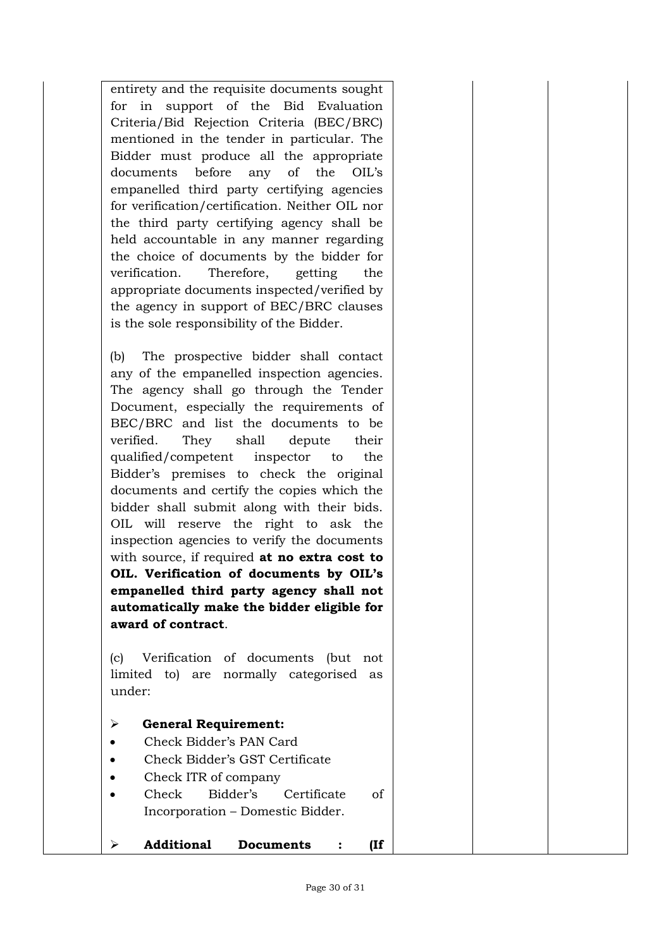entirety and the requisite documents sought for in support of the Bid Evaluation Criteria/Bid Rejection Criteria (BEC/BRC) mentioned in the tender in particular. The Bidder must produce all the appropriate documents before any of the OIL's empanelled third party certifying agencies for verification/certification. Neither OIL nor the third party certifying agency shall be held accountable in any manner regarding the choice of documents by the bidder for verification. Therefore, getting the appropriate documents inspected/verified by the agency in support of BEC/BRC clauses is the sole responsibility of the Bidder.

(b) The prospective bidder shall contact any of the empanelled inspection agencies. The agency shall go through the Tender Document, especially the requirements of BEC/BRC and list the documents to be verified. They shall depute their qualified/competent inspector to the Bidder's premises to check the original documents and certify the copies which the bidder shall submit along with their bids. OIL will reserve the right to ask the inspection agencies to verify the documents with source, if required **at no extra cost to OIL. Verification of documents by OIL's empanelled third party agency shall not automatically make the bidder eligible for award of contract**.

(c) Verification of documents (but not limited to) are normally categorised as under:

- **General Requirement:**
- Check Bidder's PAN Card
- Check Bidder's GST Certificate
- Check ITR of company
- Check Bidder's Certificate of Incorporation – Domestic Bidder.
- **Additional Documents : (If**